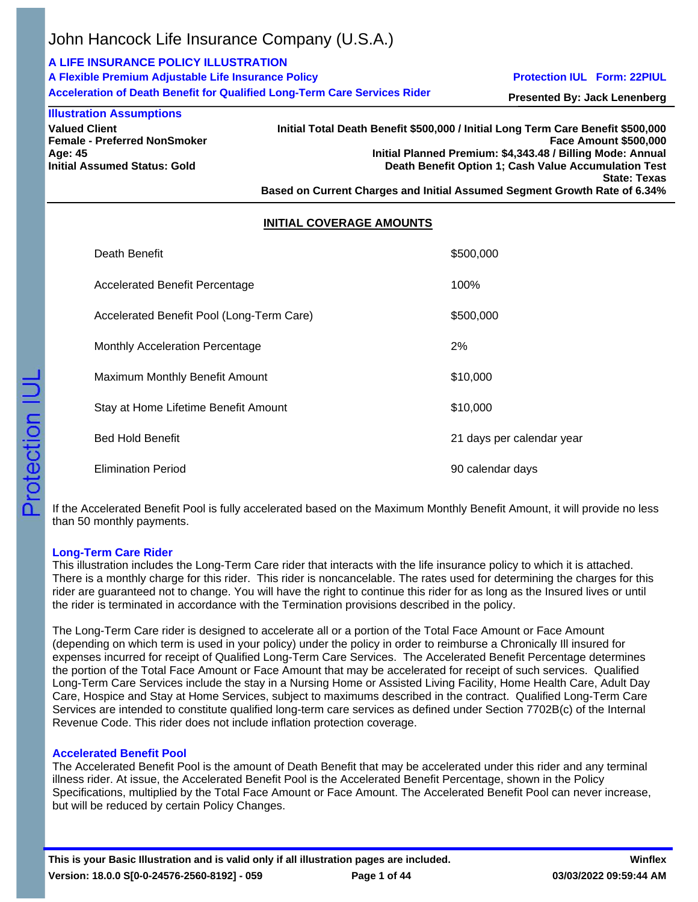## **A LIFE INSURANCE POLICY ILLUSTRATION**

| A Flexible Premium Adjustable Life Insurance Policy                              |  |
|----------------------------------------------------------------------------------|--|
| <b>Acceleration of Death Benefit for Qualified Long-Term Care Services Rider</b> |  |

**Protection IUL Form: 22PIUL**

**Presented By: Jack Lenenberg**

**Valued Client Female - Preferred NonSmoker Age: 45 Initial Assumed Status: Gold Illustration Assumptions**

**Initial Total Death Benefit \$500,000 / Initial Long Term Care Benefit \$500,000 Face Amount \$500,000 Initial Planned Premium: \$4,343.48 / Billing Mode: Annual Death Benefit Option 1; Cash Value Accumulation Test State: Texas Based on Current Charges and Initial Assumed Segment Growth Rate of 6.34%**

## **INITIAL COVERAGE AMOUNTS**

| Death Benefit                             | \$500,000                 |
|-------------------------------------------|---------------------------|
| Accelerated Benefit Percentage            | 100%                      |
| Accelerated Benefit Pool (Long-Term Care) | \$500,000                 |
| Monthly Acceleration Percentage           | 2%                        |
| Maximum Monthly Benefit Amount            | \$10,000                  |
| Stay at Home Lifetime Benefit Amount      | \$10,000                  |
| <b>Bed Hold Benefit</b>                   | 21 days per calendar year |
| <b>Elimination Period</b>                 | 90 calendar days          |

If the Accelerated Benefit Pool is fully accelerated based on the Maximum Monthly Benefit Amount, it will provide no less than 50 monthly payments.

## **Long-Term Care Rider**

This illustration includes the Long-Term Care rider that interacts with the life insurance policy to which it is attached. There is a monthly charge for this rider. This rider is noncancelable. The rates used for determining the charges for this rider are guaranteed not to change. You will have the right to continue this rider for as long as the Insured lives or until the rider is terminated in accordance with the Termination provisions described in the policy.

The Long-Term Care rider is designed to accelerate all or a portion of the Total Face Amount or Face Amount (depending on which term is used in your policy) under the policy in order to reimburse a Chronically Ill insured for expenses incurred for receipt of Qualified Long-Term Care Services. The Accelerated Benefit Percentage determines the portion of the Total Face Amount or Face Amount that may be accelerated for receipt of such services. Qualified Long-Term Care Services include the stay in a Nursing Home or Assisted Living Facility, Home Health Care, Adult Day Care, Hospice and Stay at Home Services, subject to maximums described in the contract. Qualified Long-Term Care Services are intended to constitute qualified long-term care services as defined under Section 7702B(c) of the Internal Revenue Code. This rider does not include inflation protection coverage.

## **Accelerated Benefit Pool**

The Accelerated Benefit Pool is the amount of Death Benefit that may be accelerated under this rider and any terminal illness rider. At issue, the Accelerated Benefit Pool is the Accelerated Benefit Percentage, shown in the Policy Specifications, multiplied by the Total Face Amount or Face Amount. The Accelerated Benefit Pool can never increase, but will be reduced by certain Policy Changes.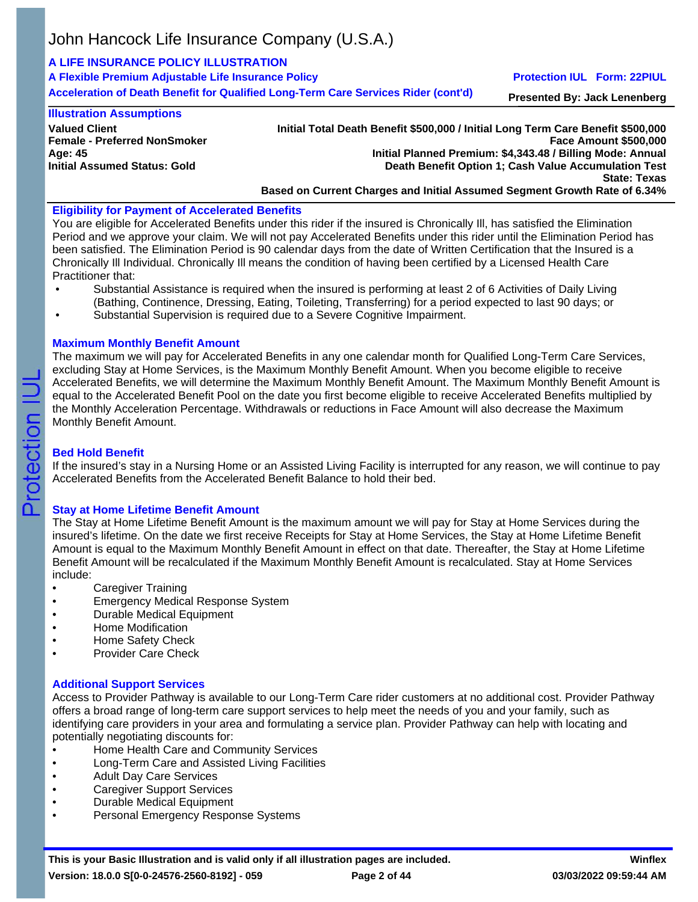## **A LIFE INSURANCE POLICY ILLUSTRATION**

| A Flexible Premium Adjustable Life Insurance Policy<br>Acceleration of Death Benefit for Qualified Long-Term Care Services Rider (cont'd) | <b>Protection IUL Form: 22PIUL</b>  |
|-------------------------------------------------------------------------------------------------------------------------------------------|-------------------------------------|
|                                                                                                                                           | <b>Presented By: Jack Lenenberg</b> |

### **Illustration Assumptions**

**Valued Client Female - Preferred NonSmoker Age: 45 Initial Assumed Status: Gold**

### **Initial Total Death Benefit \$500,000 / Initial Long Term Care Benefit \$500,000 Face Amount \$500,000 Initial Planned Premium: \$4,343.48 / Billing Mode: Annual Death Benefit Option 1; Cash Value Accumulation Test State: Texas Based on Current Charges and Initial Assumed Segment Growth Rate of 6.34%**

## **Eligibility for Payment of Accelerated Benefits**

You are eligible for Accelerated Benefits under this rider if the insured is Chronically Ill, has satisfied the Elimination Period and we approve your claim. We will not pay Accelerated Benefits under this rider until the Elimination Period has been satisfied. The Elimination Period is 90 calendar days from the date of Written Certification that the Insured is a Chronically Ill Individual. Chronically Ill means the condition of having been certified by a Licensed Health Care Practitioner that:

- Substantial Assistance is required when the insured is performing at least 2 of 6 Activities of Daily Living (Bathing, Continence, Dressing, Eating, Toileting, Transferring) for a period expected to last 90 days; or
- Substantial Supervision is required due to a Severe Cognitive Impairment.

## **Maximum Monthly Benefit Amount**

The maximum we will pay for Accelerated Benefits in any one calendar month for Qualified Long-Term Care Services, excluding Stay at Home Services, is the Maximum Monthly Benefit Amount. When you become eligible to receive Accelerated Benefits, we will determine the Maximum Monthly Benefit Amount. The Maximum Monthly Benefit Amount is equal to the Accelerated Benefit Pool on the date you first become eligible to receive Accelerated Benefits multiplied by the Monthly Acceleration Percentage. Withdrawals or reductions in Face Amount will also decrease the Maximum Monthly Benefit Amount.

## **Bed Hold Benefit**

If the insured's stay in a Nursing Home or an Assisted Living Facility is interrupted for any reason, we will continue to pay Accelerated Benefits from the Accelerated Benefit Balance to hold their bed.

## **Stay at Home Lifetime Benefit Amount**

The Stay at Home Lifetime Benefit Amount is the maximum amount we will pay for Stay at Home Services during the insured's lifetime. On the date we first receive Receipts for Stay at Home Services, the Stay at Home Lifetime Benefit Amount is equal to the Maximum Monthly Benefit Amount in effect on that date. Thereafter, the Stay at Home Lifetime Benefit Amount will be recalculated if the Maximum Monthly Benefit Amount is recalculated. Stay at Home Services include:

- Caregiver Training
- Emergency Medical Response System
- Durable Medical Equipment
- Home Modification
- Home Safety Check
- Provider Care Check

## **Additional Support Services**

Access to Provider Pathway is available to our Long-Term Care rider customers at no additional cost. Provider Pathway offers a broad range of long-term care support services to help meet the needs of you and your family, such as identifying care providers in your area and formulating a service plan. Provider Pathway can help with locating and potentially negotiating discounts for:

- Home Health Care and Community Services
- Long-Term Care and Assisted Living Facilities
- Adult Day Care Services
- Caregiver Support Services
- Durable Medical Equipment
- Personal Emergency Response Systems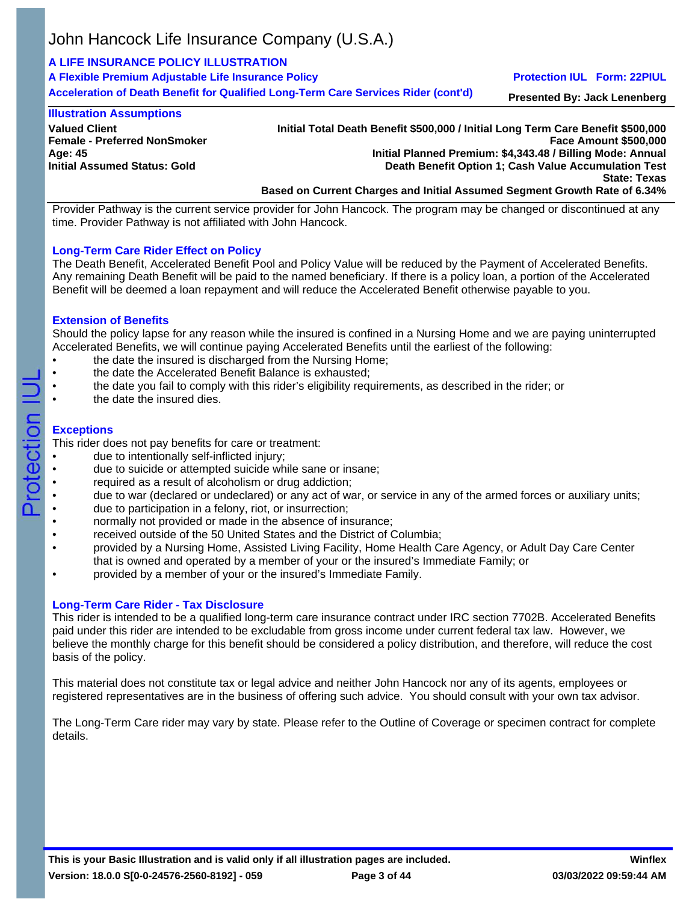## **A LIFE INSURANCE POLICY ILLUSTRATION**

| A Flexible Premium Adjustable Life Insurance Policy                                | <b>Protection IUL Form: 22PIUL</b>  |
|------------------------------------------------------------------------------------|-------------------------------------|
| Acceleration of Death Benefit for Qualified Long-Term Care Services Rider (cont'd) | <b>Presented By: Jack Lenenberg</b> |

### **Illustration Assumptions**

**Valued Client Female - Preferred NonSmoker Age: 45 Initial Assumed Status: Gold**

**Initial Total Death Benefit \$500,000 / Initial Long Term Care Benefit \$500,000 Face Amount \$500,000 Initial Planned Premium: \$4,343.48 / Billing Mode: Annual Death Benefit Option 1; Cash Value Accumulation Test State: Texas Based on Current Charges and Initial Assumed Segment Growth Rate of 6.34%**

Provider Pathway is the current service provider for John Hancock. The program may be changed or discontinued at any time. Provider Pathway is not affiliated with John Hancock.

## **Long-Term Care Rider Effect on Policy**

The Death Benefit, Accelerated Benefit Pool and Policy Value will be reduced by the Payment of Accelerated Benefits. Any remaining Death Benefit will be paid to the named beneficiary. If there is a policy loan, a portion of the Accelerated Benefit will be deemed a loan repayment and will reduce the Accelerated Benefit otherwise payable to you.

## **Extension of Benefits**

Should the policy lapse for any reason while the insured is confined in a Nursing Home and we are paying uninterrupted Accelerated Benefits, we will continue paying Accelerated Benefits until the earliest of the following:

- the date the insured is discharged from the Nursing Home;
- the date the Accelerated Benefit Balance is exhausted;
- the date you fail to comply with this rider's eligibility requirements, as described in the rider; or
- the date the insured dies.

## **Exceptions**

Protection

This rider does not pay benefits for care or treatment:

- due to intentionally self-inflicted injury;
- due to suicide or attempted suicide while sane or insane;
- required as a result of alcoholism or drug addiction;
- due to war (declared or undeclared) or any act of war, or service in any of the armed forces or auxiliary units;
- due to participation in a felony, riot, or insurrection;
- normally not provided or made in the absence of insurance;
- received outside of the 50 United States and the District of Columbia;
- provided by a Nursing Home, Assisted Living Facility, Home Health Care Agency, or Adult Day Care Center that is owned and operated by a member of your or the insured's Immediate Family; or
- provided by a member of your or the insured's Immediate Family.

## **Long-Term Care Rider - Tax Disclosure**

This rider is intended to be a qualified long-term care insurance contract under IRC section 7702B. Accelerated Benefits paid under this rider are intended to be excludable from gross income under current federal tax law. However, we believe the monthly charge for this benefit should be considered a policy distribution, and therefore, will reduce the cost basis of the policy.

This material does not constitute tax or legal advice and neither John Hancock nor any of its agents, employees or registered representatives are in the business of offering such advice. You should consult with your own tax advisor.

The Long-Term Care rider may vary by state. Please refer to the Outline of Coverage or specimen contract for complete details.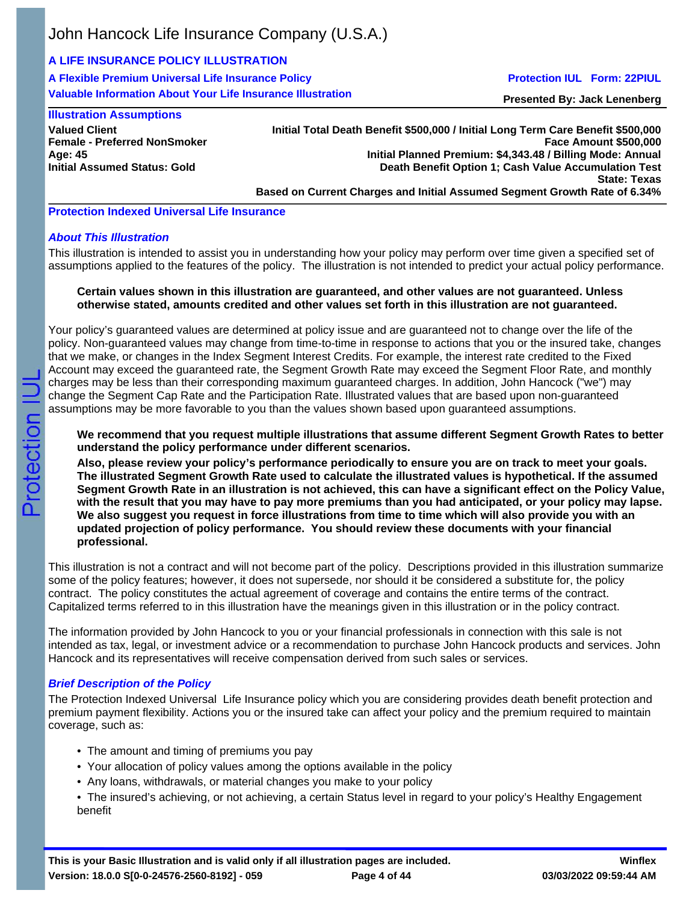# **A LIFE INSURANCE POLICY ILLUSTRATION**

**A Flexible Premium Universal Life Insurance Policy Valuable Information About Your Life Insurance Illustration**

## **Protection IUL Form: 22PIUL**

**Presented By: Jack Lenenberg**

## **Illustration Assumptions**

**Valued Client Female - Preferred NonSmoker Age: 45 Initial Assumed Status: Gold**

#### **Initial Total Death Benefit \$500,000 / Initial Long Term Care Benefit \$500,000 Face Amount \$500,000 Initial Planned Premium: \$4,343.48 / Billing Mode: Annual Death Benefit Option 1; Cash Value Accumulation Test State: Texas Based on Current Charges and Initial Assumed Segment Growth Rate of 6.34%**

**Protection Indexed Universal Life Insurance**

## *About This Illustration*

This illustration is intended to assist you in understanding how your policy may perform over time given a specified set of assumptions applied to the features of the policy. The illustration is not intended to predict your actual policy performance.

### **Certain values shown in this illustration are guaranteed, and other values are not guaranteed. Unless otherwise stated, amounts credited and other values set forth in this illustration are not guaranteed.**

Your policy's guaranteed values are determined at policy issue and are guaranteed not to change over the life of the policy. Non-guaranteed values may change from time-to-time in response to actions that you or the insured take, changes that we make, or changes in the Index Segment Interest Credits. For example, the interest rate credited to the Fixed Account may exceed the guaranteed rate, the Segment Growth Rate may exceed the Segment Floor Rate, and monthly charges may be less than their corresponding maximum guaranteed charges. In addition, John Hancock ("we") may change the Segment Cap Rate and the Participation Rate. Illustrated values that are based upon non-guaranteed assumptions may be more favorable to you than the values shown based upon guaranteed assumptions.

**We recommend that you request multiple illustrations that assume different Segment Growth Rates to better understand the policy performance under different scenarios.**

**Also, please review your policy's performance periodically to ensure you are on track to meet your goals. The illustrated Segment Growth Rate used to calculate the illustrated values is hypothetical. If the assumed Segment Growth Rate in an illustration is not achieved, this can have a significant effect on the Policy Value, with the result that you may have to pay more premiums than you had anticipated, or your policy may lapse. We also suggest you request in force illustrations from time to time which will also provide you with an updated projection of policy performance. You should review these documents with your financial professional.**

This illustration is not a contract and will not become part of the policy. Descriptions provided in this illustration summarize some of the policy features; however, it does not supersede, nor should it be considered a substitute for, the policy contract. The policy constitutes the actual agreement of coverage and contains the entire terms of the contract. Capitalized terms referred to in this illustration have the meanings given in this illustration or in the policy contract.

The information provided by John Hancock to you or your financial professionals in connection with this sale is not intended as tax, legal, or investment advice or a recommendation to purchase John Hancock products and services. John Hancock and its representatives will receive compensation derived from such sales or services.

## *Brief Description of the Policy*

The Protection Indexed Universal Life Insurance policy which you are considering provides death benefit protection and premium payment flexibility. Actions you or the insured take can affect your policy and the premium required to maintain coverage, such as:

- The amount and timing of premiums you pay
- Your allocation of policy values among the options available in the policy
- Any loans, withdrawals, or material changes you make to your policy
- The insured's achieving, or not achieving, a certain Status level in regard to your policy's Healthy Engagement benefit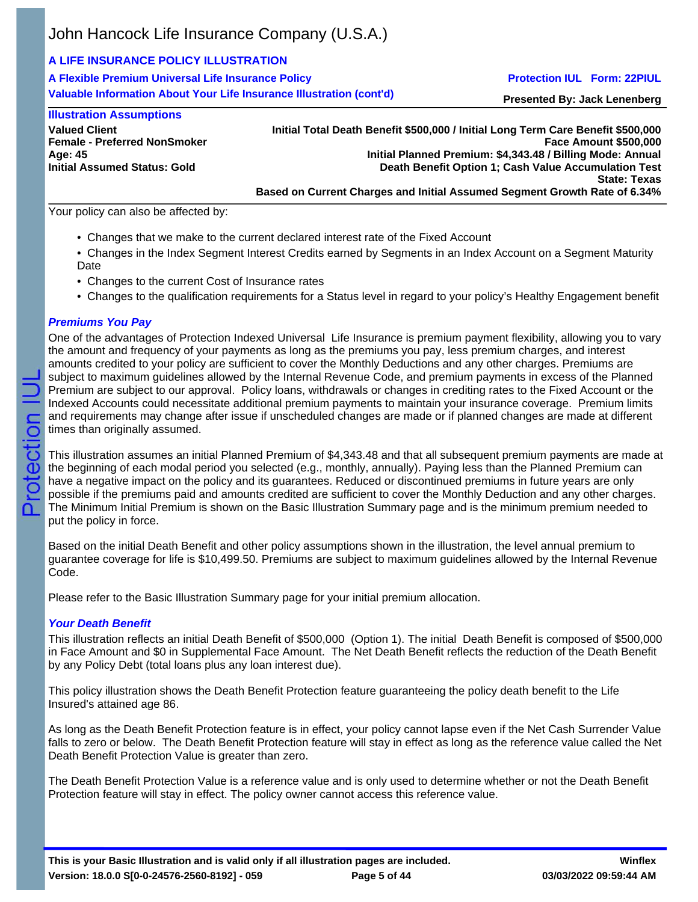# **A LIFE INSURANCE POLICY ILLUSTRATION**

**A Flexible Premium Universal Life Insurance Policy Valuable Information About Your Life Insurance Illustration (cont'd)**

## **Protection IUL Form: 22PIUL**

**Presented By: Jack Lenenberg**

| <b>Illustration Assumptions</b>     |
|-------------------------------------|
| <b>Valued Client</b>                |
| <b>Female - Preferred NonSmoker</b> |
| Age: 45                             |
| <b>Initial Assumed Status: Gold</b> |
|                                     |

**Initial Total Death Benefit \$500,000 / Initial Long Term Care Benefit \$500,000 Face Amount \$500,000 Initial Planned Premium: \$4,343.48 / Billing Mode: Annual Death Benefit Option 1; Cash Value Accumulation Test State: Texas Based on Current Charges and Initial Assumed Segment Growth Rate of 6.34%**

Your policy can also be affected by:

- Changes that we make to the current declared interest rate of the Fixed Account
- Changes in the Index Segment Interest Credits earned by Segments in an Index Account on a Segment Maturity Date
- Changes to the current Cost of Insurance rates
- Changes to the qualification requirements for a Status level in regard to your policy's Healthy Engagement benefit

## *Premiums You Pay*

One of the advantages of Protection Indexed Universal Life Insurance is premium payment flexibility, allowing you to vary the amount and frequency of your payments as long as the premiums you pay, less premium charges, and interest amounts credited to your policy are sufficient to cover the Monthly Deductions and any other charges. Premiums are subject to maximum guidelines allowed by the Internal Revenue Code, and premium payments in excess of the Planned Premium are subject to our approval. Policy loans, withdrawals or changes in crediting rates to the Fixed Account or the Indexed Accounts could necessitate additional premium payments to maintain your insurance coverage. Premium limits and requirements may change after issue if unscheduled changes are made or if planned changes are made at different times than originally assumed.

This illustration assumes an initial Planned Premium of \$4,343.48 and that all subsequent premium payments are made at the beginning of each modal period you selected (e.g., monthly, annually). Paying less than the Planned Premium can have a negative impact on the policy and its guarantees. Reduced or discontinued premiums in future years are only possible if the premiums paid and amounts credited are sufficient to cover the Monthly Deduction and any other charges. The Minimum Initial Premium is shown on the Basic Illustration Summary page and is the minimum premium needed to put the policy in force.

Based on the initial Death Benefit and other policy assumptions shown in the illustration, the level annual premium to guarantee coverage for life is \$10,499.50. Premiums are subject to maximum guidelines allowed by the Internal Revenue Code.

Please refer to the Basic Illustration Summary page for your initial premium allocation.

## *Your Death Benefit*

This illustration reflects an initial Death Benefit of \$500,000 (Option 1). The initial Death Benefit is composed of \$500,000 in Face Amount and \$0 in Supplemental Face Amount. The Net Death Benefit reflects the reduction of the Death Benefit by any Policy Debt (total loans plus any loan interest due).

This policy illustration shows the Death Benefit Protection feature guaranteeing the policy death benefit to the Life Insured's attained age 86.

As long as the Death Benefit Protection feature is in effect, your policy cannot lapse even if the Net Cash Surrender Value falls to zero or below. The Death Benefit Protection feature will stay in effect as long as the reference value called the Net Death Benefit Protection Value is greater than zero.

The Death Benefit Protection Value is a reference value and is only used to determine whether or not the Death Benefit Protection feature will stay in effect. The policy owner cannot access this reference value.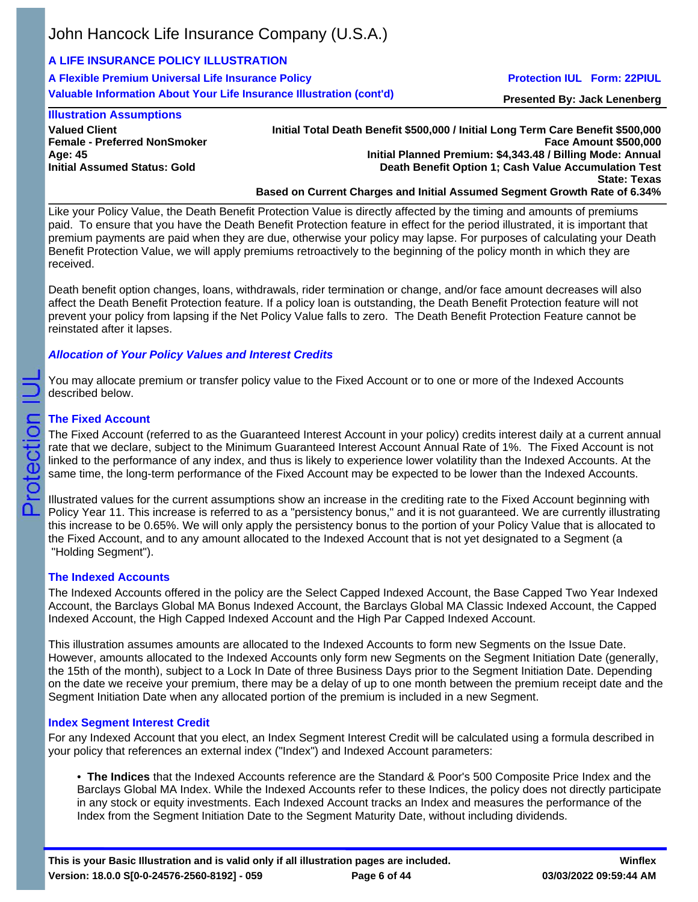# **A LIFE INSURANCE POLICY ILLUSTRATION**

**A Flexible Premium Universal Life Insurance Policy Valuable Information About Your Life Insurance Illustration (cont'd)**

## **Protection IUL Form: 22PIUL**

**Presented By: Jack Lenenberg**

## **Illustration Assumptions**

**Valued Client Female - Preferred NonSmoker Age: 45 Initial Assumed Status: Gold**

**Initial Total Death Benefit \$500,000 / Initial Long Term Care Benefit \$500,000 Face Amount \$500,000 Initial Planned Premium: \$4,343.48 / Billing Mode: Annual Death Benefit Option 1; Cash Value Accumulation Test State: Texas Based on Current Charges and Initial Assumed Segment Growth Rate of 6.34%**

Like your Policy Value, the Death Benefit Protection Value is directly affected by the timing and amounts of premiums paid. To ensure that you have the Death Benefit Protection feature in effect for the period illustrated, it is important that premium payments are paid when they are due, otherwise your policy may lapse. For purposes of calculating your Death Benefit Protection Value, we will apply premiums retroactively to the beginning of the policy month in which they are received.

Death benefit option changes, loans, withdrawals, rider termination or change, and/or face amount decreases will also affect the Death Benefit Protection feature. If a policy loan is outstanding, the Death Benefit Protection feature will not prevent your policy from lapsing if the Net Policy Value falls to zero. The Death Benefit Protection Feature cannot be reinstated after it lapses.

## *Allocation of Your Policy Values and Interest Credits*

You may allocate premium or transfer policy value to the Fixed Account or to one or more of the Indexed Accounts described below.

## **The Fixed Account**

Protection

The Fixed Account (referred to as the Guaranteed Interest Account in your policy) credits interest daily at a current annual rate that we declare, subject to the Minimum Guaranteed Interest Account Annual Rate of 1%. The Fixed Account is not linked to the performance of any index, and thus is likely to experience lower volatility than the Indexed Accounts. At the same time, the long-term performance of the Fixed Account may be expected to be lower than the Indexed Accounts.

Illustrated values for the current assumptions show an increase in the crediting rate to the Fixed Account beginning with Policy Year 11. This increase is referred to as a "persistency bonus," and it is not guaranteed. We are currently illustrating this increase to be 0.65%. We will only apply the persistency bonus to the portion of your Policy Value that is allocated to the Fixed Account, and to any amount allocated to the Indexed Account that is not yet designated to a Segment (a "Holding Segment").

## **The Indexed Accounts**

The Indexed Accounts offered in the policy are the Select Capped Indexed Account, the Base Capped Two Year Indexed Account, the Barclays Global MA Bonus Indexed Account, the Barclays Global MA Classic Indexed Account, the Capped Indexed Account, the High Capped Indexed Account and the High Par Capped Indexed Account.

This illustration assumes amounts are allocated to the Indexed Accounts to form new Segments on the Issue Date. However, amounts allocated to the Indexed Accounts only form new Segments on the Segment Initiation Date (generally, the 15th of the month), subject to a Lock In Date of three Business Days prior to the Segment Initiation Date. Depending on the date we receive your premium, there may be a delay of up to one month between the premium receipt date and the Segment Initiation Date when any allocated portion of the premium is included in a new Segment.

# **Index Segment Interest Credit**

For any Indexed Account that you elect, an Index Segment Interest Credit will be calculated using a formula described in your policy that references an external index ("Index") and Indexed Account parameters:

• **The Indices** that the Indexed Accounts reference are the Standard & Poor's 500 Composite Price Index and the Barclays Global MA Index. While the Indexed Accounts refer to these Indices, the policy does not directly participate in any stock or equity investments. Each Indexed Account tracks an Index and measures the performance of the Index from the Segment Initiation Date to the Segment Maturity Date, without including dividends.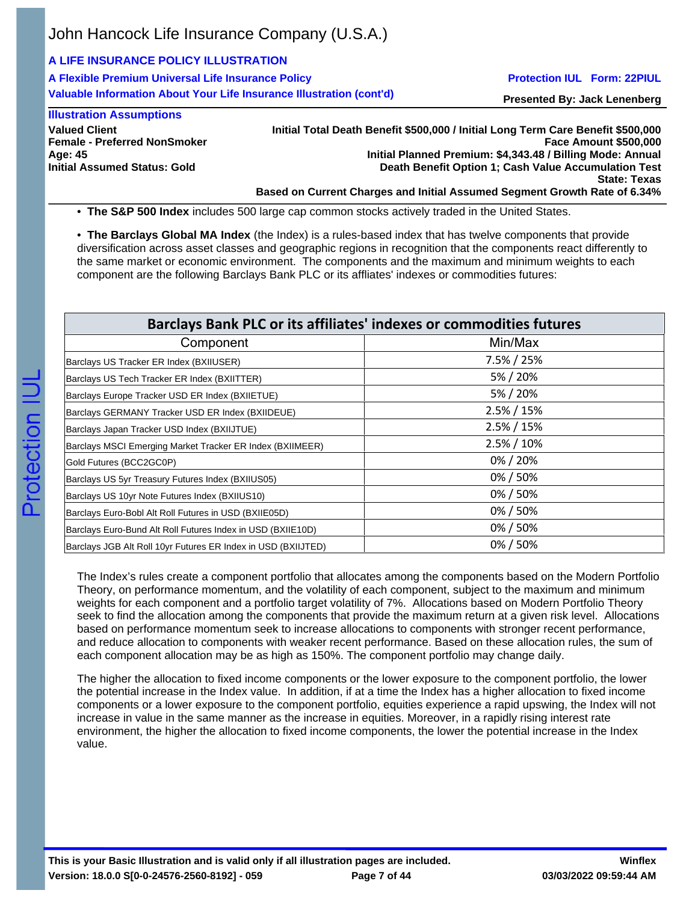## **A LIFE INSURANCE POLICY ILLUSTRATION**

**A Flexible Premium Universal Life Insurance Policy Valuable Information About Your Life Insurance Illustration (cont'd)**

### **Protection IUL Form: 22PIUL**

**Presented By: Jack Lenenberg**

### **Illustration Assumptions**

**Valued Client Female - Preferred NonSmoker Age: 45 Initial Assumed Status: Gold**

**Initial Total Death Benefit \$500,000 / Initial Long Term Care Benefit \$500,000 Face Amount \$500,000 Initial Planned Premium: \$4,343.48 / Billing Mode: Annual Death Benefit Option 1; Cash Value Accumulation Test State: Texas Based on Current Charges and Initial Assumed Segment Growth Rate of 6.34%**

• **The S&P 500 Index** includes 500 large cap common stocks actively traded in the United States.

• **The Barclays Global MA Index** (the Index) is a rules-based index that has twelve components that provide diversification across asset classes and geographic regions in recognition that the components react differently to the same market or economic environment. The components and the maximum and minimum weights to each component are the following Barclays Bank PLC or its affliates' indexes or commodities futures:

| Barclays Bank PLC or its affiliates' indexes or commodities futures |                |  |  |  |  |
|---------------------------------------------------------------------|----------------|--|--|--|--|
| Component                                                           | Min/Max        |  |  |  |  |
| Barclays US Tracker ER Index (BXIIUSER)                             | $7.5\% / 25\%$ |  |  |  |  |
| Barclays US Tech Tracker ER Index (BXIITTER)                        | 5% / 20%       |  |  |  |  |
| Barclays Europe Tracker USD ER Index (BXIIETUE)                     | 5% / 20%       |  |  |  |  |
| Barclays GERMANY Tracker USD ER Index (BXIIDEUE)                    | $2.5\% / 15\%$ |  |  |  |  |
| Barclays Japan Tracker USD Index (BXIIJTUE)                         | $2.5\% / 15\%$ |  |  |  |  |
| Barclays MSCI Emerging Market Tracker ER Index (BXIIMEER)           | 2.5% / 10%     |  |  |  |  |
| Gold Futures (BCC2GC0P)                                             | 0%/20%         |  |  |  |  |
| Barclays US 5yr Treasury Futures Index (BXIIUS05)                   | 0%/50%         |  |  |  |  |
| Barclays US 10yr Note Futures Index (BXIIUS10)                      | 0%/50%         |  |  |  |  |
| Barclays Euro-Bobl Alt Roll Futures in USD (BXIIE05D)               | 0%/50%         |  |  |  |  |
| Barclays Euro-Bund Alt Roll Futures Index in USD (BXIIE10D)         | 0%/50%         |  |  |  |  |
| Barclays JGB Alt Roll 10yr Futures ER Index in USD (BXIIJTED)       | 0%/50%         |  |  |  |  |

The Index's rules create a component portfolio that allocates among the components based on the Modern Portfolio Theory, on performance momentum, and the volatility of each component, subject to the maximum and minimum weights for each component and a portfolio target volatility of 7%. Allocations based on Modern Portfolio Theory seek to find the allocation among the components that provide the maximum return at a given risk level. Allocations based on performance momentum seek to increase allocations to components with stronger recent performance, and reduce allocation to components with weaker recent performance. Based on these allocation rules, the sum of each component allocation may be as high as 150%. The component portfolio may change daily.

The higher the allocation to fixed income components or the lower exposure to the component portfolio, the lower the potential increase in the Index value. In addition, if at a time the Index has a higher allocation to fixed income components or a lower exposure to the component portfolio, equities experience a rapid upswing, the Index will not increase in value in the same manner as the increase in equities. Moreover, in a rapidly rising interest rate environment, the higher the allocation to fixed income components, the lower the potential increase in the Index value.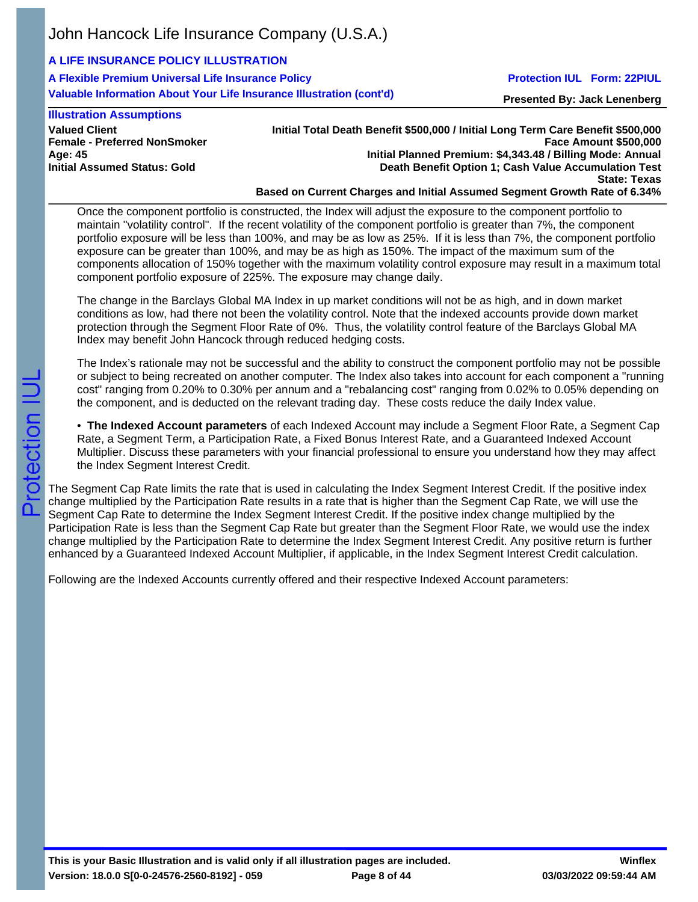# **A LIFE INSURANCE POLICY ILLUSTRATION**

**A Flexible Premium Universal Life Insurance Policy Valuable Information About Your Life Insurance Illustration (cont'd)**

## **Protection IUL Form: 22PIUL**

**Presented By: Jack Lenenberg**

#### **Illustration Assumptions**

**Valued Client Female - Preferred NonSmoker Age: 45 Initial Assumed Status: Gold**

**Initial Total Death Benefit \$500,000 / Initial Long Term Care Benefit \$500,000 Face Amount \$500,000 Initial Planned Premium: \$4,343.48 / Billing Mode: Annual Death Benefit Option 1; Cash Value Accumulation Test State: Texas Based on Current Charges and Initial Assumed Segment Growth Rate of 6.34%**

Once the component portfolio is constructed, the Index will adjust the exposure to the component portfolio to maintain "volatility control". If the recent volatility of the component portfolio is greater than 7%, the component portfolio exposure will be less than 100%, and may be as low as 25%. If it is less than 7%, the component portfolio exposure can be greater than 100%, and may be as high as 150%. The impact of the maximum sum of the components allocation of 150% together with the maximum volatility control exposure may result in a maximum total component portfolio exposure of 225%. The exposure may change daily.

The change in the Barclays Global MA Index in up market conditions will not be as high, and in down market conditions as low, had there not been the volatility control. Note that the indexed accounts provide down market protection through the Segment Floor Rate of 0%. Thus, the volatility control feature of the Barclays Global MA Index may benefit John Hancock through reduced hedging costs.

The Index's rationale may not be successful and the ability to construct the component portfolio may not be possible or subject to being recreated on another computer. The Index also takes into account for each component a "running cost" ranging from 0.20% to 0.30% per annum and a "rebalancing cost" ranging from 0.02% to 0.05% depending on the component, and is deducted on the relevant trading day. These costs reduce the daily Index value.

• **The Indexed Account parameters** of each Indexed Account may include a Segment Floor Rate, a Segment Cap Rate, a Segment Term, a Participation Rate, a Fixed Bonus Interest Rate, and a Guaranteed Indexed Account Multiplier. Discuss these parameters with your financial professional to ensure you understand how they may affect the Index Segment Interest Credit.

The Segment Cap Rate limits the rate that is used in calculating the Index Segment Interest Credit. If the positive index change multiplied by the Participation Rate results in a rate that is higher than the Segment Cap Rate, we will use the Segment Cap Rate to determine the Index Segment Interest Credit. If the positive index change multiplied by the Participation Rate is less than the Segment Cap Rate but greater than the Segment Floor Rate, we would use the index change multiplied by the Participation Rate to determine the Index Segment Interest Credit. Any positive return is further enhanced by a Guaranteed Indexed Account Multiplier, if applicable, in the Index Segment Interest Credit calculation.

Following are the Indexed Accounts currently offered and their respective Indexed Account parameters:

**This is your Basic Illustration and is valid only if all illustration pages are included. Version: 18.0.0 S[0-0-24576-2560-8192] - 059**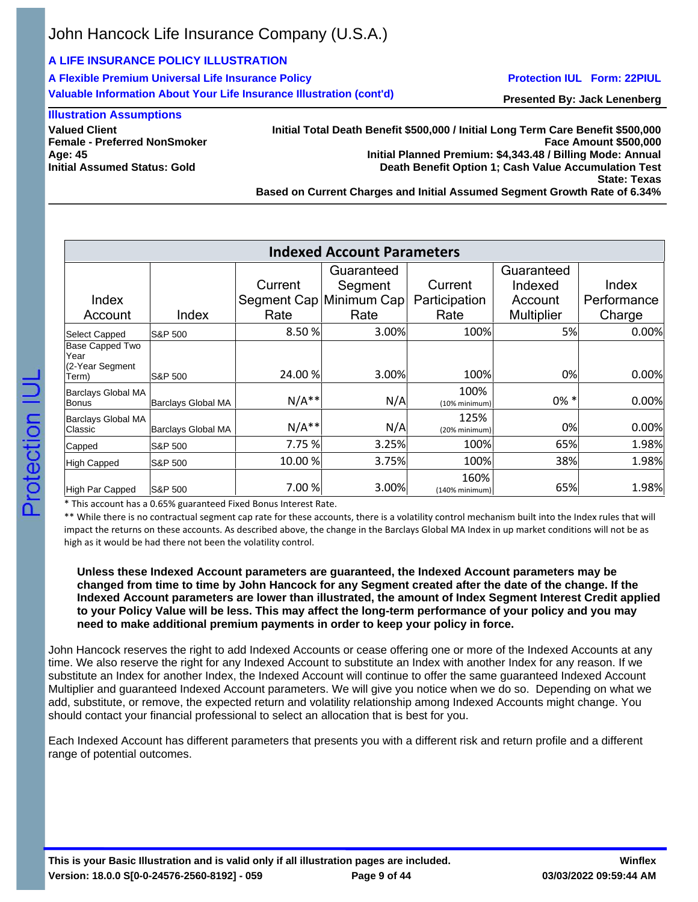## **A LIFE INSURANCE POLICY ILLUSTRATION**

**A Flexible Premium Universal Life Insurance Policy Valuable Information About Your Life Insurance Illustration (cont'd)**

#### **Protection IUL Form: 22PIUL**

**Presented By: Jack Lenenberg**

### **Illustration Assumptions**

**Valued Client Female - Preferred NonSmoker Age: 45 Initial Assumed Status: Gold**

**Initial Total Death Benefit \$500,000 / Initial Long Term Care Benefit \$500,000 Face Amount \$500,000 Initial Planned Premium: \$4,343.48 / Billing Mode: Annual Death Benefit Option 1; Cash Value Accumulation Test State: Texas Based on Current Charges and Initial Assumed Segment Growth Rate of 6.34%**

| <b>Indexed Account Parameters</b>          |                    |         |                         |                          |                   |             |  |  |
|--------------------------------------------|--------------------|---------|-------------------------|--------------------------|-------------------|-------------|--|--|
|                                            |                    |         | Guaranteed              |                          | Guaranteed        |             |  |  |
|                                            |                    | Current | Segment                 | Current                  | Indexed           | Index       |  |  |
| Index                                      |                    |         | Segment Cap Minimum Cap | Participation            | Account           | Performance |  |  |
| Account                                    | Index              | Rate    | Rate                    | Rate                     | <b>Multiplier</b> | Charge      |  |  |
| Select Capped                              | S&P 500            | 8.50%   | 3.00%                   | 100%                     | <b>5%</b>         | 0.00%       |  |  |
| Base Capped Two<br>Year<br>(2-Year Segment |                    |         |                         |                          |                   |             |  |  |
| Term)                                      | S&P 500            | 24.00 % | 3.00%                   | 100%                     | 0%                | 0.00%       |  |  |
| Barclays Global MA<br>Bonus                | Barclays Global MA | $N/A**$ | N/A                     | 100%<br>(10% minimum)    | $0\% *$           | 0.00%       |  |  |
| Barclays Global MA<br>Classic              | Barclays Global MA | $N/A**$ | N/A                     | 125%<br>(20% minimum)    | 0%                | 0.00%       |  |  |
| Capped                                     | IS&P 500           | 7.75 %  | 3.25%                   | 100%                     | 65%               | 1.98%       |  |  |
| High Capped                                | S&P 500            | 10.00 % | 3.75%                   | 100%                     | 38%               | 1.98%       |  |  |
| High Par Capped                            | <b>S&amp;P 500</b> | 7.00 %  | 3.00%                   | 160%<br>$(140%$ minimum) | 65%               | 1.98%       |  |  |

\* This account has a 0.65% guaranteed Fixed Bonus Interest Rate.

\*\* While there is no contractual segment cap rate for these accounts, there is a volatility control mechanism built into the Index rules that will impact the returns on these accounts. As described above, the change in the Barclays Global MA Index in up market conditions will not be as high as it would be had there not been the volatility control.

### **Unless these Indexed Account parameters are guaranteed, the Indexed Account parameters may be changed from time to time by John Hancock for any Segment created after the date of the change. If the Indexed Account parameters are lower than illustrated, the amount of Index Segment Interest Credit applied to your Policy Value will be less. This may affect the long-term performance of your policy and you may need to make additional premium payments in order to keep your policy in force.**

John Hancock reserves the right to add Indexed Accounts or cease offering one or more of the Indexed Accounts at any time. We also reserve the right for any Indexed Account to substitute an Index with another Index for any reason. If we substitute an Index for another Index, the Indexed Account will continue to offer the same guaranteed Indexed Account Multiplier and guaranteed Indexed Account parameters. We will give you notice when we do so. Depending on what we add, substitute, or remove, the expected return and volatility relationship among Indexed Accounts might change. You should contact your financial professional to select an allocation that is best for you.

Each Indexed Account has different parameters that presents you with a different risk and return profile and a different range of potential outcomes.

**This is your Basic Illustration and is valid only if all illustration pages are included. Version: 18.0.0 S[0-0-24576-2560-8192] - 059**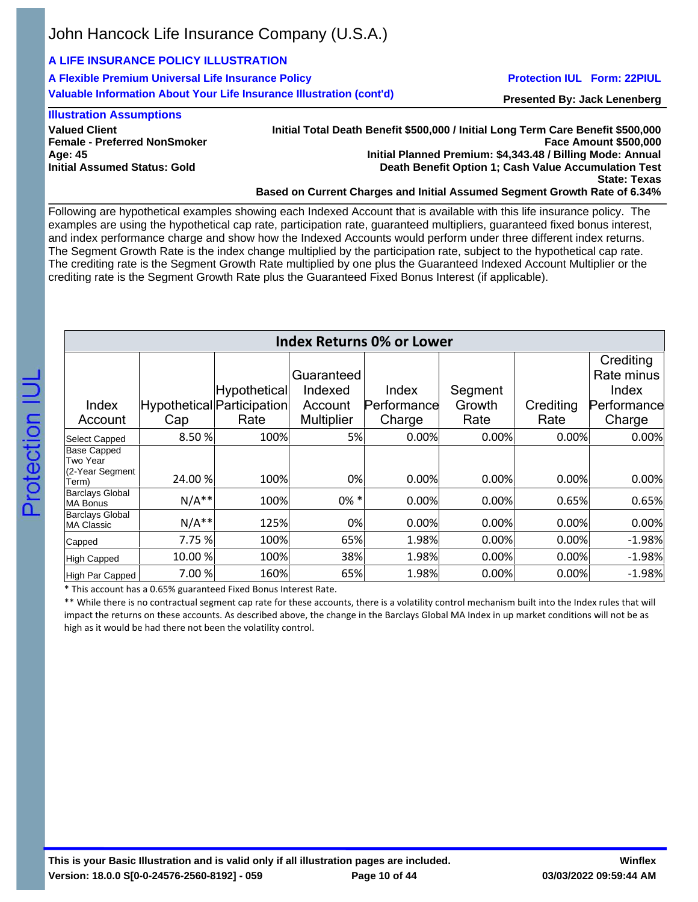# **A LIFE INSURANCE POLICY ILLUSTRATION**

**A Flexible Premium Universal Life Insurance Policy Valuable Information About Your Life Insurance Illustration (cont'd)**

### **Protection IUL Form: 22PIUL**

**Presented By: Jack Lenenberg**

## **Illustration Assumptions**

**Valued Client Female - Preferred NonSmoker Age: 45 Initial Assumed Status: Gold**

**Initial Total Death Benefit \$500,000 / Initial Long Term Care Benefit \$500,000 Face Amount \$500,000 Initial Planned Premium: \$4,343.48 / Billing Mode: Annual Death Benefit Option 1; Cash Value Accumulation Test State: Texas Based on Current Charges and Initial Assumed Segment Growth Rate of 6.34%**

Following are hypothetical examples showing each Indexed Account that is available with this life insurance policy. The examples are using the hypothetical cap rate, participation rate, guaranteed multipliers, guaranteed fixed bonus interest, and index performance charge and show how the Indexed Accounts would perform under three different index returns. The Segment Growth Rate is the index change multiplied by the participation rate, subject to the hypothetical cap rate. The crediting rate is the Segment Growth Rate multiplied by one plus the Guaranteed Indexed Account Multiplier or the crediting rate is the Segment Growth Rate plus the Guaranteed Fixed Bonus Interest (if applicable).

| <b>Index Returns 0% or Lower</b>            |         |                            |                   |             |         |           |             |
|---------------------------------------------|---------|----------------------------|-------------------|-------------|---------|-----------|-------------|
|                                             |         |                            |                   |             |         |           | Crediting   |
|                                             |         |                            | Guaranteed        |             |         |           | Rate minus  |
|                                             |         | Hypothetical               | Indexed           | Index       | Segment |           | Index       |
| Index                                       |         | Hypothetical Participation | Account           | Performance | Growth  | Crediting | Performance |
| Account                                     | Cap     | Rate                       | <b>Multiplier</b> | Charge      | Rate    | Rate      | Charge      |
| <b>Select Capped</b>                        | 8.50 %  | 100%                       | 5%                | 0.00%       | 0.00%   | 0.00%     | 0.00%       |
| <b>Base Capped</b><br>Two Year              |         |                            |                   |             |         |           |             |
| (2-Year Segment)<br>Term)                   | 24.00 % | 100%                       | 0%                | 0.00%       | 0.00%   | 0.00%     | 0.00%       |
| <b>Barclays Global</b><br><b>MA Bonus</b>   | $N/A**$ | 100%                       | $0\% *$           | 0.00%       | 0.00%   | 0.65%     | 0.65%       |
| <b>Barclays Global</b><br><b>MA Classic</b> | $N/A**$ | 125%                       | 0%                | 0.00%       | 0.00%   | 0.00%     | 0.00%       |
| Capped                                      | 7.75 %  | 100%                       | 65%               | 1.98%       | 0.00%   | 0.00%     | $-1.98%$    |
| <b>High Capped</b>                          | 10.00 % | 100%                       | 38%               | 1.98%       | 0.00%   | 0.00%     | $-1.98%$    |
| High Par Capped                             | 7.00 %  | 160%                       | 65%               | 1.98%       | 0.00%   | 0.00%     | $-1.98%$    |

\* This account has a 0.65% guaranteed Fixed Bonus Interest Rate.

\*\* While there is no contractual segment cap rate for these accounts, there is a volatility control mechanism built into the Index rules that will impact the returns on these accounts. As described above, the change in the Barclays Global MA Index in up market conditions will not be as high as it would be had there not been the volatility control.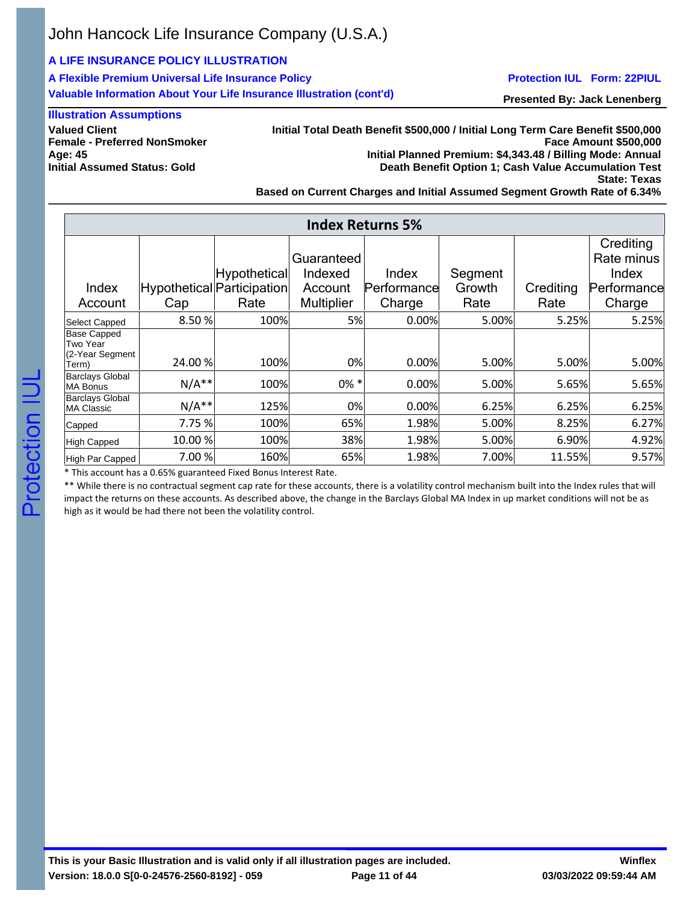## **A LIFE INSURANCE POLICY ILLUSTRATION**

**A Flexible Premium Universal Life Insurance Policy Valuable Information About Your Life Insurance Illustration (cont'd)**

### **Protection IUL Form: 22PIUL**

**Presented By: Jack Lenenberg**

### **Illustration Assumptions**

**Valued Client Female - Preferred NonSmoker Age: 45 Initial Assumed Status: Gold**

**Initial Total Death Benefit \$500,000 / Initial Long Term Care Benefit \$500,000 Face Amount \$500,000 Initial Planned Premium: \$4,343.48 / Billing Mode: Annual Death Benefit Option 1; Cash Value Accumulation Test State: Texas**

**Based on Current Charges and Initial Assumed Segment Growth Rate of 6.34%**

|                                      | <b>Index Returns 5%</b> |                            |                   |             |         |           |             |  |
|--------------------------------------|-------------------------|----------------------------|-------------------|-------------|---------|-----------|-------------|--|
|                                      |                         |                            |                   |             |         |           | Crediting   |  |
|                                      |                         |                            | Guaranteed        |             |         |           | Rate minus  |  |
|                                      |                         | Hypothetical               | Indexed           | Index       | Segment |           | Index       |  |
| Index                                |                         | Hypothetical Participation | Account           | Performance | Growth  | Crediting | Performance |  |
| Account                              | Cap                     | Rate                       | <b>Multiplier</b> | Charge      | Rate    | Rate      | Charge      |  |
| <b>Select Capped</b>                 | 8.50%                   | 100%                       | 5%                | 0.00%       | 5.00%   | 5.25%     | 5.25%       |  |
| Base Capped<br>Two Year              |                         |                            |                   |             |         |           |             |  |
| (2-Year Segment<br>Term)             | 24.00 %                 | 100%                       | 0%                | 0.00%       | 5.00%   | 5.00%     | 5.00%       |  |
| <b>Barclays Global</b><br>MA Bonus   | $N/A**$                 | 100%                       | $0\% *$           | 0.00%       | 5.00%   | 5.65%     | 5.65%       |  |
| <b>Barclays Global</b><br>MA Classic | $N/A**$                 | 125%                       | 0%                | 0.00%       | 6.25%   | 6.25%     | 6.25%       |  |
| Capped                               | 7.75 %                  | 100%                       | 65%               | 1.98%       | 5.00%   | 8.25%     | 6.27%       |  |
| High Capped                          | 10.00 %                 | 100%                       | 38%               | 1.98%       | 5.00%   | 6.90%     | 4.92%       |  |
| High Par Capped                      | 7.00 %                  | 160%                       | 65%               | 1.98%       | 7.00%   | 11.55%    | 9.57%       |  |

\* This account has a 0.65% guaranteed Fixed Bonus Interest Rate.

\*\* While there is no contractual segment cap rate for these accounts, there is a volatility control mechanism built into the Index rules that will impact the returns on these accounts. As described above, the change in the Barclays Global MA Index in up market conditions will not be as high as it would be had there not been the volatility control.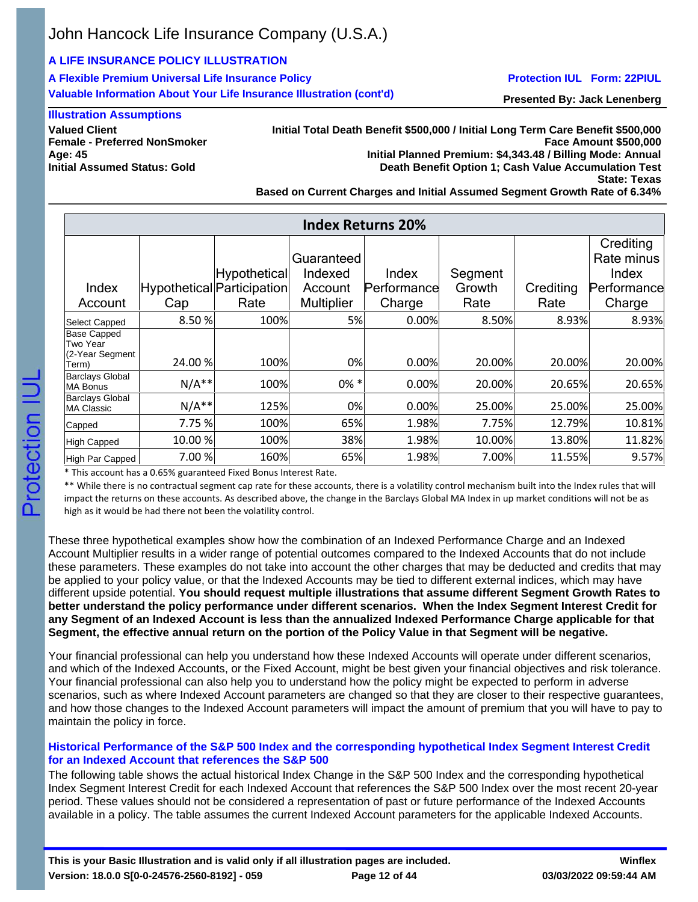## **A LIFE INSURANCE POLICY ILLUSTRATION**

**A Flexible Premium Universal Life Insurance Policy Valuable Information About Your Life Insurance Illustration (cont'd)**

## **Protection IUL Form: 22PIUL**

**Presented By: Jack Lenenberg**

### **Illustration Assumptions**

**Valued Client Female - Preferred NonSmoker Age: 45 Initial Assumed Status: Gold**

**Initial Total Death Benefit \$500,000 / Initial Long Term Care Benefit \$500,000 Face Amount \$500,000 Initial Planned Premium: \$4,343.48 / Billing Mode: Annual Death Benefit Option 1; Cash Value Accumulation Test State: Texas**

**Based on Current Charges and Initial Assumed Segment Growth Rate of 6.34%**

|                                                            | <b>Index Returns 20%</b> |                                                    |                                                       |                                |                           |                   |                                                           |  |
|------------------------------------------------------------|--------------------------|----------------------------------------------------|-------------------------------------------------------|--------------------------------|---------------------------|-------------------|-----------------------------------------------------------|--|
| Index<br>Account                                           | Cap                      | Hypothetical<br>Hypothetical Participation<br>Rate | Guaranteed<br>Indexed<br>Account<br><b>Multiplier</b> | Index<br>Performance<br>Charge | Segment<br>Growth<br>Rate | Crediting<br>Rate | Crediting<br>Rate minus<br>Index<br>Performance<br>Charge |  |
| Select Capped                                              | 8.50 %                   | 100%                                               | <b>5%</b>                                             | 0.00%                          | 8.50%                     | 8.93%             | 8.93%                                                     |  |
| <b>Base Capped</b><br>Two Year<br>(2-Year Segment<br>Term) | 24.00 %                  | 100%                                               | 0%                                                    | 0.00%                          | 20.00%                    | 20.00%            | 20.00%                                                    |  |
| <b>Barclays Global</b><br><b>MA Bonus</b>                  | $N/A**$                  | 100%                                               | $0\% *$                                               | 0.00%                          | 20.00%                    | 20.65%            | 20.65%                                                    |  |
| <b>Barclays Global</b><br>MA Classic                       | $N/A**$                  | 125%                                               | 0%                                                    | 0.00%                          | 25.00%                    | 25.00%            | 25.00%                                                    |  |
| Capped                                                     | 7.75 %                   | 100%                                               | 65%                                                   | 1.98%                          | 7.75%                     | 12.79%            | 10.81%                                                    |  |
| High Capped                                                | 10.00 %                  | 100%                                               | 38%                                                   | 1.98%                          | 10.00%                    | 13.80%            | 11.82%                                                    |  |
| High Par Capped                                            | 7.00 %                   | 160%                                               | 65%                                                   | 1.98%                          | 7.00%                     | 11.55%            | 9.57%                                                     |  |

\* This account has a 0.65% guaranteed Fixed Bonus Interest Rate.

\*\* While there is no contractual segment cap rate for these accounts, there is a volatility control mechanism built into the Index rules that will impact the returns on these accounts. As described above, the change in the Barclays Global MA Index in up market conditions will not be as high as it would be had there not been the volatility control.

These three hypothetical examples show how the combination of an Indexed Performance Charge and an Indexed Account Multiplier results in a wider range of potential outcomes compared to the Indexed Accounts that do not include these parameters. These examples do not take into account the other charges that may be deducted and credits that may be applied to your policy value, or that the Indexed Accounts may be tied to different external indices, which may have different upside potential. **You should request multiple illustrations that assume different Segment Growth Rates to better understand the policy performance under different scenarios. When the Index Segment Interest Credit for any Segment of an Indexed Account is less than the annualized Indexed Performance Charge applicable for that Segment, the effective annual return on the portion of the Policy Value in that Segment will be negative.**

Your financial professional can help you understand how these Indexed Accounts will operate under different scenarios, and which of the Indexed Accounts, or the Fixed Account, might be best given your financial objectives and risk tolerance. Your financial professional can also help you to understand how the policy might be expected to perform in adverse scenarios, such as where Indexed Account parameters are changed so that they are closer to their respective guarantees, and how those changes to the Indexed Account parameters will impact the amount of premium that you will have to pay to maintain the policy in force.

## **Historical Performance of the S&P 500 Index and the corresponding hypothetical Index Segment Interest Credit for an Indexed Account that references the S&P 500**

The following table shows the actual historical Index Change in the S&P 500 Index and the corresponding hypothetical Index Segment Interest Credit for each Indexed Account that references the S&P 500 Index over the most recent 20-year period. These values should not be considered a representation of past or future performance of the Indexed Accounts available in a policy. The table assumes the current Indexed Account parameters for the applicable Indexed Accounts.

**This is your Basic Illustration and is valid only if all illustration pages are included. Version: 18.0.0 S[0-0-24576-2560-8192] - 059**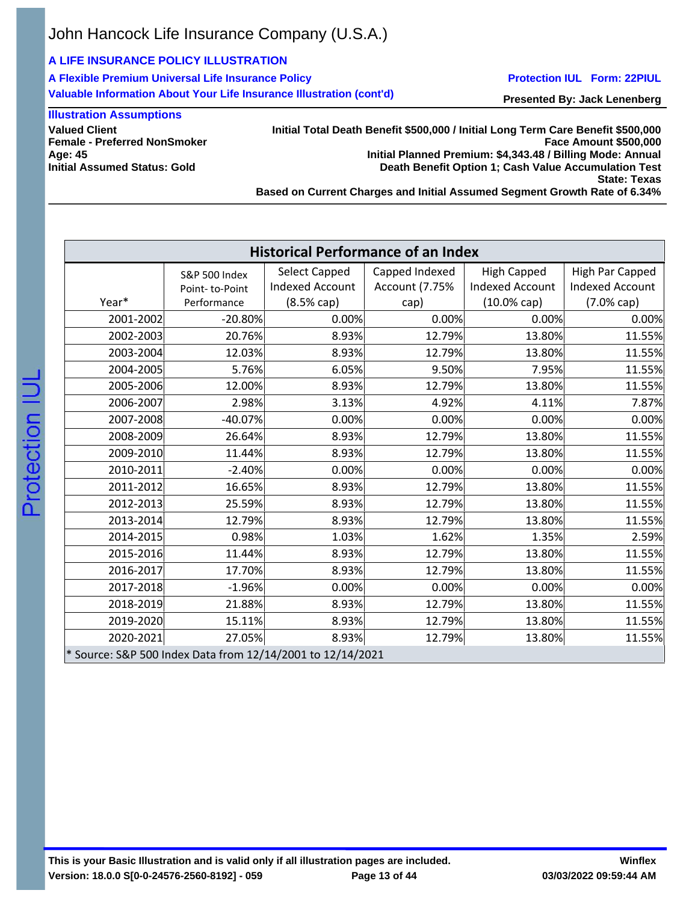# **A LIFE INSURANCE POLICY ILLUSTRATION**

**A Flexible Premium Universal Life Insurance Policy Valuable Information About Your Life Insurance Illustration (cont'd)**

### **Protection IUL Form: 22PIUL**

**Presented By: Jack Lenenberg**

## **Illustration Assumptions**

**Valued Client Female - Preferred NonSmoker Age: 45 Initial Assumed Status: Gold**

**Initial Total Death Benefit \$500,000 / Initial Long Term Care Benefit \$500,000 Face Amount \$500,000 Initial Planned Premium: \$4,343.48 / Billing Mode: Annual Death Benefit Option 1; Cash Value Accumulation Test State: Texas Based on Current Charges and Initial Assumed Segment Growth Rate of 6.34%**

**Historical Performance of an Index** Year\* S&P 500 Index Point- to-Point Performance Select Capped Indexed Account (8.5% cap) Capped Indexed Account (7.75% cap) High Capped Indexed Account (10.0% cap) High Par Capped Indexed Account (7.0% cap) 2001-2002 -20.80% 0.00% 0.00% 0.00% 0.00% 0.00% 0.00% 0.00% 2002-2003 20.76% 8.93% 12.79% 13.80% 11.55% 2003-2004 12.03% 8.93% 12.79% 13.80% 11.55% 2004-2005 5.76% 6.05% 9.50% 7.95% 11.55% 2005-2006 12.00% 8.93% 12.79% 13.80% 11.55% 2006-2007 2.98% 3.13% 4.92% 4.11% 7.87% 2007-2008 -40.07% 0.00% 0.00% 0.00% 0.00% 0.00% 0.00% 0.00% 2008-2009 26.64% 8.93% 12.79% 13.80% 11.55% 2009-2010 11.44% 8.93% 12.79% 13.80% 11.55% 2010-2011 -2.40% 0.00% 0.00% 0.00% 0.00% 2011-2012 16.65% 8.93% 12.79% 13.80% 11.55% 2012-2013 25.59% 8.93% 12.79% 13.80% 11.55% 2013-2014 12.79% 8.93% 12.79% 13.80% 11.55% 2014-2015 0.98% 1.03% 1.62% 1.35% 2.59% 2015-2016 11.44% 8.93% 12.79% 13.80% 11.55% 2016-2017 17.70% 8.93% 12.79% 13.80% 11.55% 2017-2018 -1.96% 0.00% 0.00% 0.00% 0.00% 0.00% 0.00% 0.00% 2018-2019 21.88% 8.93% 12.79% 13.80% 11.55% 2019-2020 15.11% 8.93% 12.79% 13.80% 13.80% 11.55% 2020-2021 27.05% 8.93% 12.79% 13.80% 11.55% \* Source: S&P 500 Index Data from 12/14/2001 to 12/14/2021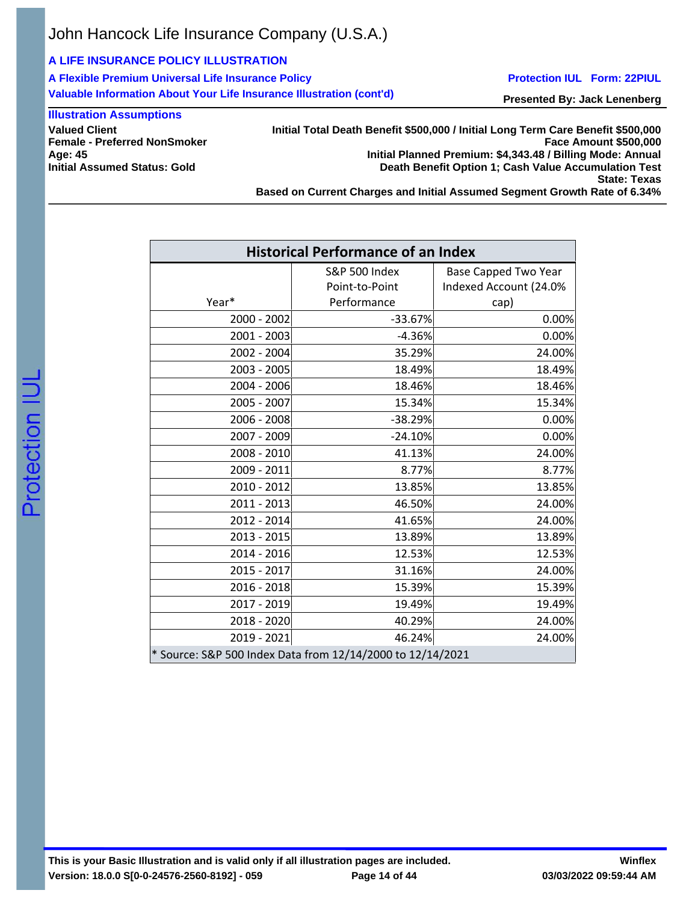## **A LIFE INSURANCE POLICY ILLUSTRATION**

**A Flexible Premium Universal Life Insurance Policy Valuable Information About Your Life Insurance Illustration (cont'd)**

#### **Protection IUL Form: 22PIUL**

**Presented By: Jack Lenenberg**

## **Illustration Assumptions**

**Valued Client Female - Preferred NonSmoker Age: 45 Initial Assumed Status: Gold**

**Initial Total Death Benefit \$500,000 / Initial Long Term Care Benefit \$500,000 Face Amount \$500,000 Initial Planned Premium: \$4,343.48 / Billing Mode: Annual Death Benefit Option 1; Cash Value Accumulation Test State: Texas**

**Based on Current Charges and Initial Assumed Segment Growth Rate of 6.34%**

| <b>Historical Performance of an Index</b>                             |                          |                             |  |  |  |
|-----------------------------------------------------------------------|--------------------------|-----------------------------|--|--|--|
|                                                                       | <b>S&amp;P 500 Index</b> | <b>Base Capped Two Year</b> |  |  |  |
|                                                                       | Point-to-Point           | Indexed Account (24.0%      |  |  |  |
| Year*                                                                 | Performance              | cap)                        |  |  |  |
| 2000 - 2002                                                           | $-33.67%$                | 0.00%                       |  |  |  |
| $2001 - 2003$                                                         | $-4.36%$                 | 0.00%                       |  |  |  |
| 2002 - 2004                                                           | 35.29%                   | 24.00%                      |  |  |  |
| 2003 - 2005                                                           | 18.49%                   | 18.49%                      |  |  |  |
| 2004 - 2006                                                           | 18.46%                   | 18.46%                      |  |  |  |
| 2005 - 2007                                                           | 15.34%                   | 15.34%                      |  |  |  |
| 2006 - 2008                                                           | $-38.29%$                | 0.00%                       |  |  |  |
| 2007 - 2009                                                           | $-24.10%$                | 0.00%                       |  |  |  |
| 2008 - 2010                                                           | 41.13%                   | 24.00%                      |  |  |  |
| 2009 - 2011                                                           | 8.77%                    | 8.77%                       |  |  |  |
| $2010 - 2012$                                                         | 13.85%                   | 13.85%                      |  |  |  |
| $2011 - 2013$                                                         | 46.50%                   | 24.00%                      |  |  |  |
| 2012 - 2014                                                           | 41.65%                   | 24.00%                      |  |  |  |
| 2013 - 2015                                                           | 13.89%                   | 13.89%                      |  |  |  |
| 2014 - 2016                                                           | 12.53%                   | 12.53%                      |  |  |  |
| 2015 - 2017                                                           | 31.16%                   | 24.00%                      |  |  |  |
| $2016 - 2018$                                                         | 15.39%                   | 15.39%                      |  |  |  |
| 2017 - 2019                                                           | 19.49%                   | 19.49%                      |  |  |  |
| $2018 - 2020$                                                         | 40.29%                   | 24.00%                      |  |  |  |
| $2019 - 2021$                                                         | 46.24%                   | 24.00%                      |  |  |  |
| <sup>*</sup> Source: S&P 500 Index Data from 12/14/2000 to 12/14/2021 |                          |                             |  |  |  |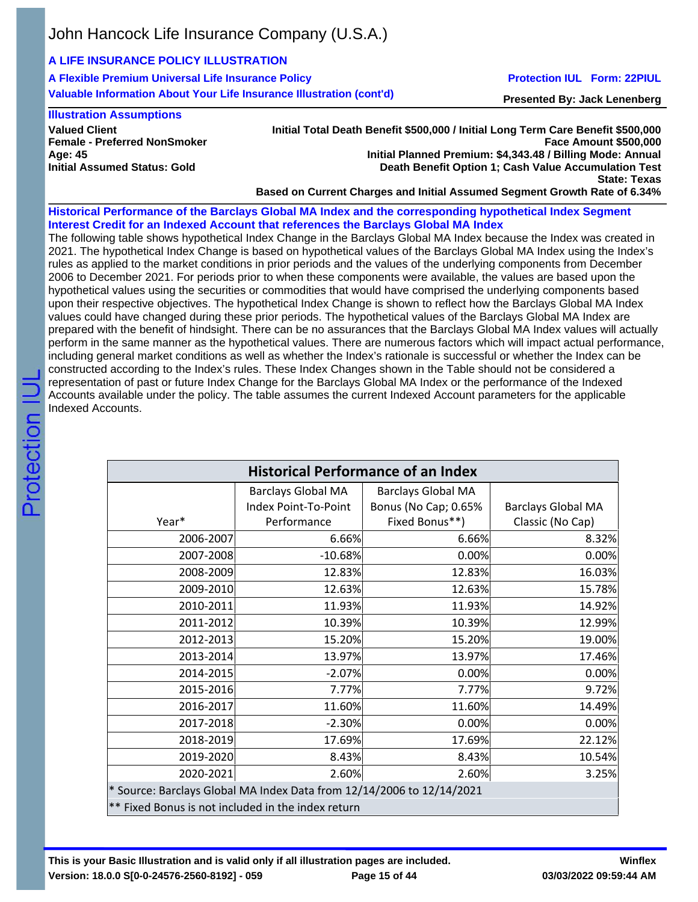# **A LIFE INSURANCE POLICY ILLUSTRATION**

**A Flexible Premium Universal Life Insurance Policy Valuable Information About Your Life Insurance Illustration (cont'd)**

### **Protection IUL Form: 22PIUL**

**Presented By: Jack Lenenberg**

#### **Illustration Assumptions**

**Valued Client Female - Preferred NonSmoker Age: 45 Initial Assumed Status: Gold**

**Initial Total Death Benefit \$500,000 / Initial Long Term Care Benefit \$500,000 Face Amount \$500,000 Initial Planned Premium: \$4,343.48 / Billing Mode: Annual Death Benefit Option 1; Cash Value Accumulation Test State: Texas**

**Based on Current Charges and Initial Assumed Segment Growth Rate of 6.34%**

**Historical Performance of the Barclays Global MA Index and the corresponding hypothetical Index Segment Interest Credit for an Indexed Account that references the Barclays Global MA Index**

The following table shows hypothetical Index Change in the Barclays Global MA Index because the Index was created in 2021. The hypothetical Index Change is based on hypothetical values of the Barclays Global MA Index using the Index's rules as applied to the market conditions in prior periods and the values of the underlying components from December 2006 to December 2021. For periods prior to when these components were available, the values are based upon the hypothetical values using the securities or commodities that would have comprised the underlying components based upon their respective objectives. The hypothetical Index Change is shown to reflect how the Barclays Global MA Index values could have changed during these prior periods. The hypothetical values of the Barclays Global MA Index are prepared with the benefit of hindsight. There can be no assurances that the Barclays Global MA Index values will actually perform in the same manner as the hypothetical values. There are numerous factors which will impact actual performance, including general market conditions as well as whether the Index's rationale is successful or whether the Index can be constructed according to the Index's rules. These Index Changes shown in the Table should not be considered a representation of past or future Index Change for the Barclays Global MA Index or the performance of the Indexed Accounts available under the policy. The table assumes the current Indexed Account parameters for the applicable Indexed Accounts.

| <b>Historical Performance of an Index</b>                             |                           |                           |                           |  |  |  |
|-----------------------------------------------------------------------|---------------------------|---------------------------|---------------------------|--|--|--|
|                                                                       | <b>Barclays Global MA</b> | <b>Barclays Global MA</b> |                           |  |  |  |
|                                                                       | Index Point-To-Point      | Bonus (No Cap; 0.65%      | <b>Barclays Global MA</b> |  |  |  |
| Year*                                                                 | Performance               | Fixed Bonus**)            | Classic (No Cap)          |  |  |  |
| 2006-2007                                                             | 6.66%                     | 6.66%                     | 8.32%                     |  |  |  |
| 2007-2008                                                             | $-10.68%$                 | 0.00%                     | 0.00%                     |  |  |  |
| 2008-2009                                                             | 12.83%                    | 12.83%                    | 16.03%                    |  |  |  |
| 2009-2010                                                             | 12.63%                    | 12.63%                    | 15.78%                    |  |  |  |
| 2010-2011                                                             | 11.93%                    | 11.93%                    | 14.92%                    |  |  |  |
| 2011-2012                                                             | 10.39%                    | 10.39%                    | 12.99%                    |  |  |  |
| 2012-2013                                                             | 15.20%                    | 15.20%                    | 19.00%                    |  |  |  |
| 2013-2014                                                             | 13.97%                    | 13.97%                    | 17.46%                    |  |  |  |
| 2014-2015                                                             | $-2.07%$                  | 0.00%                     | 0.00%                     |  |  |  |
| 2015-2016                                                             | 7.77%                     | 7.77%                     | 9.72%                     |  |  |  |
| 2016-2017                                                             | 11.60%                    | 11.60%                    | 14.49%                    |  |  |  |
| 2017-2018                                                             | $-2.30%$                  | 0.00%                     | 0.00%                     |  |  |  |
| 2018-2019                                                             | 17.69%                    | 17.69%                    | 22.12%                    |  |  |  |
| 2019-2020                                                             | 8.43%                     | 8.43%                     | 10.54%                    |  |  |  |
| 2020-2021                                                             | 2.60%                     | 2.60%                     | 3.25%                     |  |  |  |
| * Source: Barclays Global MA Index Data from 12/14/2006 to 12/14/2021 |                           |                           |                           |  |  |  |
| ** Fixed Bonus is not included in the index return                    |                           |                           |                           |  |  |  |

**This is your Basic Illustration and is valid only if all illustration pages are included. Version: 18.0.0 S[0-0-24576-2560-8192] - 059**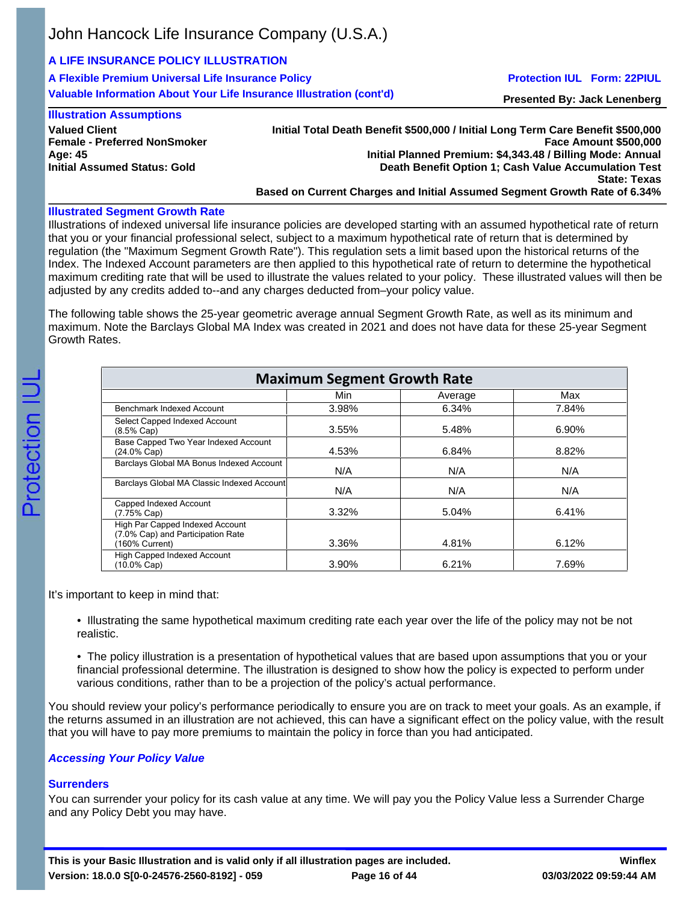## **A LIFE INSURANCE POLICY ILLUSTRATION**

**A Flexible Premium Universal Life Insurance Policy Valuable Information About Your Life Insurance Illustration (cont'd)**

### **Protection IUL Form: 22PIUL**

**Presented By: Jack Lenenberg**

#### **Illustration Assumptions**

**Valued Client Female - Preferred NonSmoker Age: 45 Initial Assumed Status: Gold**

**Initial Total Death Benefit \$500,000 / Initial Long Term Care Benefit \$500,000 Face Amount \$500,000 Initial Planned Premium: \$4,343.48 / Billing Mode: Annual Death Benefit Option 1; Cash Value Accumulation Test State: Texas Based on Current Charges and Initial Assumed Segment Growth Rate of 6.34%**

### **Illustrated Segment Growth Rate**

Illustrations of indexed universal life insurance policies are developed starting with an assumed hypothetical rate of return that you or your financial professional select, subject to a maximum hypothetical rate of return that is determined by regulation (the "Maximum Segment Growth Rate"). This regulation sets a limit based upon the historical returns of the Index. The Indexed Account parameters are then applied to this hypothetical rate of return to determine the hypothetical maximum crediting rate that will be used to illustrate the values related to your policy. These illustrated values will then be adjusted by any credits added to--and any charges deducted from–your policy value.

The following table shows the 25-year geometric average annual Segment Growth Rate, as well as its minimum and maximum. Note the Barclays Global MA Index was created in 2021 and does not have data for these 25-year Segment Growth Rates.

| <b>Maximum Segment Growth Rate</b>                                                     |          |         |       |  |  |  |  |
|----------------------------------------------------------------------------------------|----------|---------|-------|--|--|--|--|
|                                                                                        | Min      | Average | Max   |  |  |  |  |
| Benchmark Indexed Account                                                              | 3.98%    | 6.34%   | 7.84% |  |  |  |  |
| Select Capped Indexed Account<br>$(8.5\% \text{ Cap})$                                 | 3.55%    | 5.48%   | 6.90% |  |  |  |  |
| Base Capped Two Year Indexed Account<br>$(24.0\% \text{ Cap})$                         | 4.53%    | 6.84%   | 8.82% |  |  |  |  |
| Barclays Global MA Bonus Indexed Account                                               | N/A      | N/A     | N/A   |  |  |  |  |
| Barclays Global MA Classic Indexed Account                                             | N/A      | N/A     | N/A   |  |  |  |  |
| Capped Indexed Account<br>$(7.75\% \text{ Cap})$                                       | $3.32\%$ | 5.04%   | 6.41% |  |  |  |  |
| High Par Capped Indexed Account<br>(7.0% Cap) and Participation Rate<br>(160% Current) | 3.36%    | 4.81%   | 6.12% |  |  |  |  |
| High Capped Indexed Account<br>$(10.0\% \text{ Cap})$                                  | 3.90%    | 6.21%   | 7.69% |  |  |  |  |

It's important to keep in mind that:

• Illustrating the same hypothetical maximum crediting rate each year over the life of the policy may not be not realistic.

• The policy illustration is a presentation of hypothetical values that are based upon assumptions that you or your financial professional determine. The illustration is designed to show how the policy is expected to perform under various conditions, rather than to be a projection of the policy's actual performance.

You should review your policy's performance periodically to ensure you are on track to meet your goals. As an example, if the returns assumed in an illustration are not achieved, this can have a significant effect on the policy value, with the result that you will have to pay more premiums to maintain the policy in force than you had anticipated.

## *Accessing Your Policy Value*

# **Surrenders**

You can surrender your policy for its cash value at any time. We will pay you the Policy Value less a Surrender Charge and any Policy Debt you may have.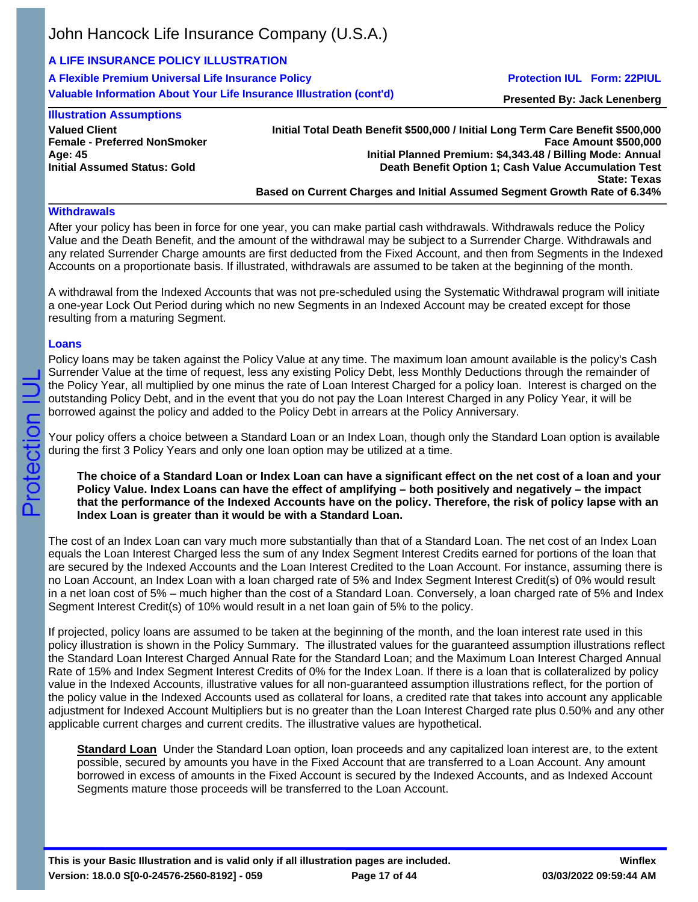# **A LIFE INSURANCE POLICY ILLUSTRATION**

**A Flexible Premium Universal Life Insurance Policy Valuable Information About Your Life Insurance Illustration (cont'd)**

### **Protection IUL Form: 22PIUL**

**Presented By: Jack Lenenberg**

## **Illustration Assumptions**

| <b>Valued Client</b>                |
|-------------------------------------|
| <b>Female - Preferred NonSmoker</b> |
| Age: 45                             |
| <b>Initial Assumed Status: Gold</b> |

**Initial Total Death Benefit \$500,000 / Initial Long Term Care Benefit \$500,000 Face Amount \$500,000 Initial Planned Premium: \$4,343.48 / Billing Mode: Annual Death Benefit Option 1; Cash Value Accumulation Test State: Texas Based on Current Charges and Initial Assumed Segment Growth Rate of 6.34%**

### **Withdrawals**

After your policy has been in force for one year, you can make partial cash withdrawals. Withdrawals reduce the Policy Value and the Death Benefit, and the amount of the withdrawal may be subject to a Surrender Charge. Withdrawals and any related Surrender Charge amounts are first deducted from the Fixed Account, and then from Segments in the Indexed Accounts on a proportionate basis. If illustrated, withdrawals are assumed to be taken at the beginning of the month.

A withdrawal from the Indexed Accounts that was not pre-scheduled using the Systematic Withdrawal program will initiate a one-year Lock Out Period during which no new Segments in an Indexed Account may be created except for those resulting from a maturing Segment.

## **Loans**

Policy loans may be taken against the Policy Value at any time. The maximum loan amount available is the policy's Cash Surrender Value at the time of request, less any existing Policy Debt, less Monthly Deductions through the remainder of the Policy Year, all multiplied by one minus the rate of Loan Interest Charged for a policy loan. Interest is charged on the outstanding Policy Debt, and in the event that you do not pay the Loan Interest Charged in any Policy Year, it will be borrowed against the policy and added to the Policy Debt in arrears at the Policy Anniversary.

Your policy offers a choice between a Standard Loan or an Index Loan, though only the Standard Loan option is available during the first 3 Policy Years and only one loan option may be utilized at a time.

**The choice of a Standard Loan or Index Loan can have a significant effect on the net cost of a loan and your Policy Value. Index Loans can have the effect of amplifying – both positively and negatively – the impact that the performance of the Indexed Accounts have on the policy. Therefore, the risk of policy lapse with an Index Loan is greater than it would be with a Standard Loan.**

The cost of an Index Loan can vary much more substantially than that of a Standard Loan. The net cost of an Index Loan equals the Loan Interest Charged less the sum of any Index Segment Interest Credits earned for portions of the loan that are secured by the Indexed Accounts and the Loan Interest Credited to the Loan Account. For instance, assuming there is no Loan Account, an Index Loan with a loan charged rate of 5% and Index Segment Interest Credit(s) of 0% would result in a net loan cost of 5% – much higher than the cost of a Standard Loan. Conversely, a loan charged rate of 5% and Index Segment Interest Credit(s) of 10% would result in a net loan gain of 5% to the policy.

If projected, policy loans are assumed to be taken at the beginning of the month, and the loan interest rate used in this policy illustration is shown in the Policy Summary. The illustrated values for the guaranteed assumption illustrations reflect the Standard Loan Interest Charged Annual Rate for the Standard Loan; and the Maximum Loan Interest Charged Annual Rate of 15% and Index Segment Interest Credits of 0% for the Index Loan. If there is a loan that is collateralized by policy value in the Indexed Accounts, illustrative values for all non-guaranteed assumption illustrations reflect, for the portion of the policy value in the Indexed Accounts used as collateral for loans, a credited rate that takes into account any applicable adjustment for Indexed Account Multipliers but is no greater than the Loan Interest Charged rate plus 0.50% and any other applicable current charges and current credits. The illustrative values are hypothetical.

**Standard Loan** Under the Standard Loan option, loan proceeds and any capitalized loan interest are, to the extent possible, secured by amounts you have in the Fixed Account that are transferred to a Loan Account. Any amount borrowed in excess of amounts in the Fixed Account is secured by the Indexed Accounts, and as Indexed Account Segments mature those proceeds will be transferred to the Loan Account.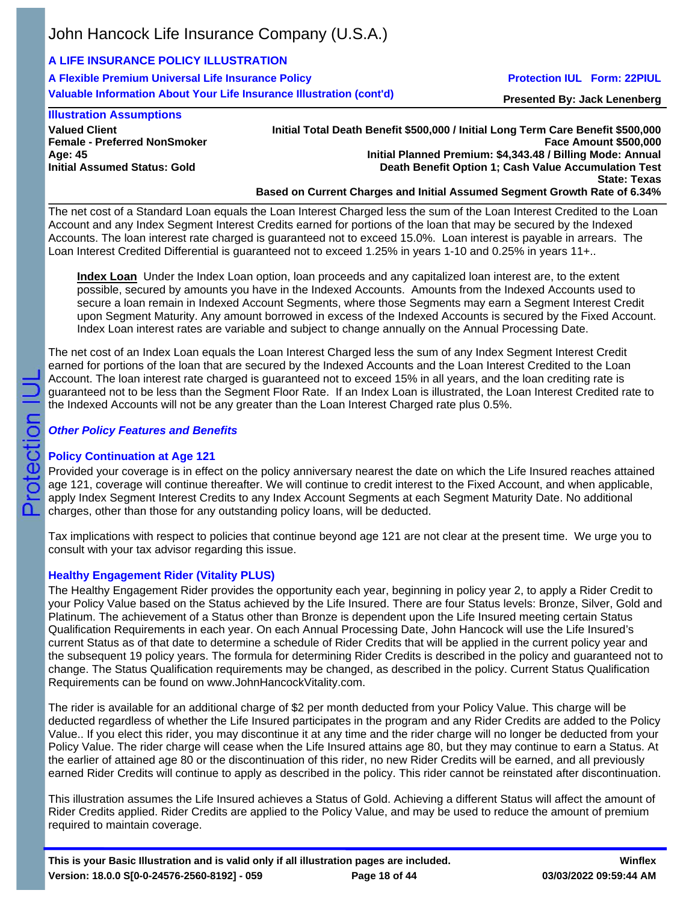# **A LIFE INSURANCE POLICY ILLUSTRATION**

**A Flexible Premium Universal Life Insurance Policy Valuable Information About Your Life Insurance Illustration (cont'd)**

## **Protection IUL Form: 22PIUL**

**Presented By: Jack Lenenberg**

## **Illustration Assumptions**

**Valued Client Female - Preferred NonSmoker Age: 45 Initial Assumed Status: Gold**

**Initial Total Death Benefit \$500,000 / Initial Long Term Care Benefit \$500,000 Face Amount \$500,000 Initial Planned Premium: \$4,343.48 / Billing Mode: Annual Death Benefit Option 1; Cash Value Accumulation Test State: Texas Based on Current Charges and Initial Assumed Segment Growth Rate of 6.34%**

The net cost of a Standard Loan equals the Loan Interest Charged less the sum of the Loan Interest Credited to the Loan Account and any Index Segment Interest Credits earned for portions of the loan that may be secured by the Indexed Accounts. The loan interest rate charged is guaranteed not to exceed 15.0%. Loan interest is payable in arrears. The Loan Interest Credited Differential is guaranteed not to exceed 1.25% in years 1-10 and 0.25% in years 11+..

**Index Loan** Under the Index Loan option, loan proceeds and any capitalized loan interest are, to the extent possible, secured by amounts you have in the Indexed Accounts. Amounts from the Indexed Accounts used to secure a loan remain in Indexed Account Segments, where those Segments may earn a Segment Interest Credit upon Segment Maturity. Any amount borrowed in excess of the Indexed Accounts is secured by the Fixed Account. Index Loan interest rates are variable and subject to change annually on the Annual Processing Date.

The net cost of an Index Loan equals the Loan Interest Charged less the sum of any Index Segment Interest Credit earned for portions of the loan that are secured by the Indexed Accounts and the Loan Interest Credited to the Loan Account. The loan interest rate charged is guaranteed not to exceed 15% in all years, and the loan crediting rate is guaranteed not to be less than the Segment Floor Rate. If an Index Loan is illustrated, the Loan Interest Credited rate to the Indexed Accounts will not be any greater than the Loan Interest Charged rate plus 0.5%.

## *Other Policy Features and Benefits*

## **Policy Continuation at Age 121**

Provided your coverage is in effect on the policy anniversary nearest the date on which the Life Insured reaches attained age 121, coverage will continue thereafter. We will continue to credit interest to the Fixed Account, and when applicable, apply Index Segment Interest Credits to any Index Account Segments at each Segment Maturity Date. No additional charges, other than those for any outstanding policy loans, will be deducted.

Tax implications with respect to policies that continue beyond age 121 are not clear at the present time. We urge you to consult with your tax advisor regarding this issue.

## **Healthy Engagement Rider (Vitality PLUS)**

The Healthy Engagement Rider provides the opportunity each year, beginning in policy year 2, to apply a Rider Credit to your Policy Value based on the Status achieved by the Life Insured. There are four Status levels: Bronze, Silver, Gold and Platinum. The achievement of a Status other than Bronze is dependent upon the Life Insured meeting certain Status Qualification Requirements in each year. On each Annual Processing Date, John Hancock will use the Life Insured's current Status as of that date to determine a schedule of Rider Credits that will be applied in the current policy year and the subsequent 19 policy years. The formula for determining Rider Credits is described in the policy and guaranteed not to change. The Status Qualification requirements may be changed, as described in the policy. Current Status Qualification Requirements can be found on www.JohnHancockVitality.com.

The rider is available for an additional charge of \$2 per month deducted from your Policy Value. This charge will be deducted regardless of whether the Life Insured participates in the program and any Rider Credits are added to the Policy Value.. If you elect this rider, you may discontinue it at any time and the rider charge will no longer be deducted from your Policy Value. The rider charge will cease when the Life Insured attains age 80, but they may continue to earn a Status. At the earlier of attained age 80 or the discontinuation of this rider, no new Rider Credits will be earned, and all previously earned Rider Credits will continue to apply as described in the policy. This rider cannot be reinstated after discontinuation.

This illustration assumes the Life Insured achieves a Status of Gold. Achieving a different Status will affect the amount of Rider Credits applied. Rider Credits are applied to the Policy Value, and may be used to reduce the amount of premium required to maintain coverage.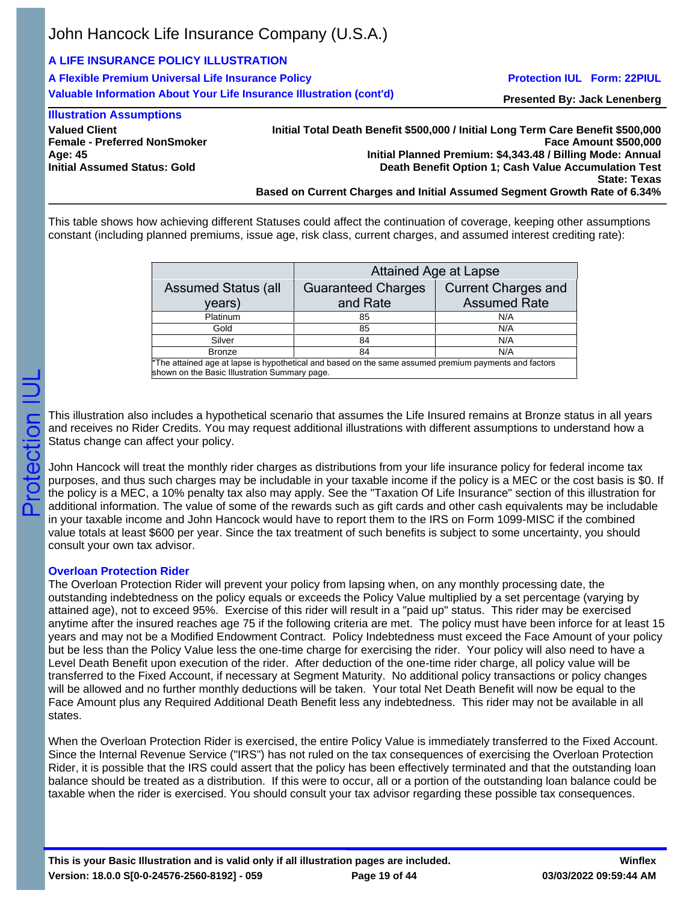# **A LIFE INSURANCE POLICY ILLUSTRATION**

**A Flexible Premium Universal Life Insurance Policy Valuable Information About Your Life Insurance Illustration (cont'd)**

### **Protection IUL Form: 22PIUL**

**Presented By: Jack Lenenberg**

#### **Illustration Assumptions Valued Client Female - Preferred NonSmoker Age: 45 Initial Assumed Status: Gold**

**Initial Total Death Benefit \$500,000 / Initial Long Term Care Benefit \$500,000 Face Amount \$500,000 Initial Planned Premium: \$4,343.48 / Billing Mode: Annual Death Benefit Option 1; Cash Value Accumulation Test State: Texas Based on Current Charges and Initial Assumed Segment Growth Rate of 6.34%**

This table shows how achieving different Statuses could affect the continuation of coverage, keeping other assumptions constant (including planned premiums, issue age, risk class, current charges, and assumed interest crediting rate):

|                                                                                                                                                        | <b>Attained Age at Lapse</b>          |                                                   |  |  |  |  |  |
|--------------------------------------------------------------------------------------------------------------------------------------------------------|---------------------------------------|---------------------------------------------------|--|--|--|--|--|
| <b>Assumed Status (all</b><br>years)                                                                                                                   | <b>Guaranteed Charges</b><br>and Rate | <b>Current Charges and</b><br><b>Assumed Rate</b> |  |  |  |  |  |
| Platinum                                                                                                                                               | 85                                    | N/A                                               |  |  |  |  |  |
| Gold                                                                                                                                                   | 85                                    | N/A                                               |  |  |  |  |  |
| Silver                                                                                                                                                 | 84                                    | N/A                                               |  |  |  |  |  |
| <b>Bronze</b>                                                                                                                                          | 84                                    | N/A                                               |  |  |  |  |  |
| *The attained age at lapse is hypothetical and based on the same assumed premium payments and factors<br>shown on the Basic Illustration Summary page. |                                       |                                                   |  |  |  |  |  |

This illustration also includes a hypothetical scenario that assumes the Life Insured remains at Bronze status in all years and receives no Rider Credits. You may request additional illustrations with different assumptions to understand how a Status change can affect your policy.

John Hancock will treat the monthly rider charges as distributions from your life insurance policy for federal income tax purposes, and thus such charges may be includable in your taxable income if the policy is a MEC or the cost basis is \$0. If the policy is a MEC, a 10% penalty tax also may apply. See the "Taxation Of Life Insurance" section of this illustration for additional information. The value of some of the rewards such as gift cards and other cash equivalents may be includable in your taxable income and John Hancock would have to report them to the IRS on Form 1099-MISC if the combined value totals at least \$600 per year. Since the tax treatment of such benefits is subject to some uncertainty, you should consult your own tax advisor.

## **Overloan Protection Rider**

The Overloan Protection Rider will prevent your policy from lapsing when, on any monthly processing date, the outstanding indebtedness on the policy equals or exceeds the Policy Value multiplied by a set percentage (varying by attained age), not to exceed 95%. Exercise of this rider will result in a "paid up" status. This rider may be exercised anytime after the insured reaches age 75 if the following criteria are met. The policy must have been inforce for at least 15 years and may not be a Modified Endowment Contract. Policy Indebtedness must exceed the Face Amount of your policy but be less than the Policy Value less the one-time charge for exercising the rider. Your policy will also need to have a Level Death Benefit upon execution of the rider. After deduction of the one-time rider charge, all policy value will be transferred to the Fixed Account, if necessary at Segment Maturity. No additional policy transactions or policy changes will be allowed and no further monthly deductions will be taken. Your total Net Death Benefit will now be equal to the Face Amount plus any Required Additional Death Benefit less any indebtedness. This rider may not be available in all states.

When the Overloan Protection Rider is exercised, the entire Policy Value is immediately transferred to the Fixed Account. Since the Internal Revenue Service ("IRS") has not ruled on the tax consequences of exercising the Overloan Protection Rider, it is possible that the IRS could assert that the policy has been effectively terminated and that the outstanding loan balance should be treated as a distribution. If this were to occur, all or a portion of the outstanding loan balance could be taxable when the rider is exercised. You should consult your tax advisor regarding these possible tax consequences.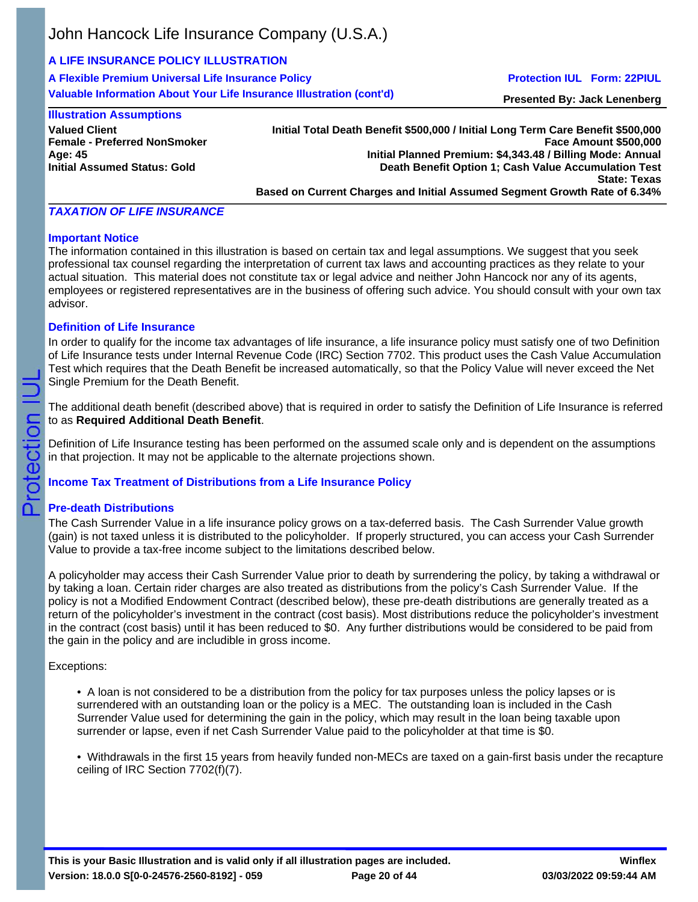# **A LIFE INSURANCE POLICY ILLUSTRATION**

**A Flexible Premium Universal Life Insurance Policy Valuable Information About Your Life Insurance Illustration (cont'd)**

### **Protection IUL Form: 22PIUL**

**Presented By: Jack Lenenberg**

### **Illustration Assumptions**

**Valued Client Female - Preferred NonSmoker Age: 45 Initial Assumed Status: Gold**

**Initial Total Death Benefit \$500,000 / Initial Long Term Care Benefit \$500,000 Face Amount \$500,000 Initial Planned Premium: \$4,343.48 / Billing Mode: Annual Death Benefit Option 1; Cash Value Accumulation Test State: Texas Based on Current Charges and Initial Assumed Segment Growth Rate of 6.34%**

## *TAXATION OF LIFE INSURANCE*

### **Important Notice**

The information contained in this illustration is based on certain tax and legal assumptions. We suggest that you seek professional tax counsel regarding the interpretation of current tax laws and accounting practices as they relate to your actual situation. This material does not constitute tax or legal advice and neither John Hancock nor any of its agents, employees or registered representatives are in the business of offering such advice. You should consult with your own tax advisor.

## **Definition of Life Insurance**

In order to qualify for the income tax advantages of life insurance, a life insurance policy must satisfy one of two Definition of Life Insurance tests under Internal Revenue Code (IRC) Section 7702. This product uses the Cash Value Accumulation Test which requires that the Death Benefit be increased automatically, so that the Policy Value will never exceed the Net Single Premium for the Death Benefit.

The additional death benefit (described above) that is required in order to satisfy the Definition of Life Insurance is referred to as **Required Additional Death Benefit**.

Definition of Life Insurance testing has been performed on the assumed scale only and is dependent on the assumptions in that projection. It may not be applicable to the alternate projections shown.

## **Income Tax Treatment of Distributions from a Life Insurance Policy**

## **Pre-death Distributions**

The Cash Surrender Value in a life insurance policy grows on a tax-deferred basis. The Cash Surrender Value growth (gain) is not taxed unless it is distributed to the policyholder. If properly structured, you can access your Cash Surrender Value to provide a tax-free income subject to the limitations described below.

A policyholder may access their Cash Surrender Value prior to death by surrendering the policy, by taking a withdrawal or by taking a loan. Certain rider charges are also treated as distributions from the policy's Cash Surrender Value. If the policy is not a Modified Endowment Contract (described below), these pre-death distributions are generally treated as a return of the policyholder's investment in the contract (cost basis). Most distributions reduce the policyholder's investment in the contract (cost basis) until it has been reduced to \$0. Any further distributions would be considered to be paid from the gain in the policy and are includible in gross income.

Exceptions:

• A loan is not considered to be a distribution from the policy for tax purposes unless the policy lapses or is surrendered with an outstanding loan or the policy is a MEC. The outstanding loan is included in the Cash Surrender Value used for determining the gain in the policy, which may result in the loan being taxable upon surrender or lapse, even if net Cash Surrender Value paid to the policyholder at that time is \$0.

• Withdrawals in the first 15 years from heavily funded non-MECs are taxed on a gain-first basis under the recapture ceiling of IRC Section 7702(f)(7).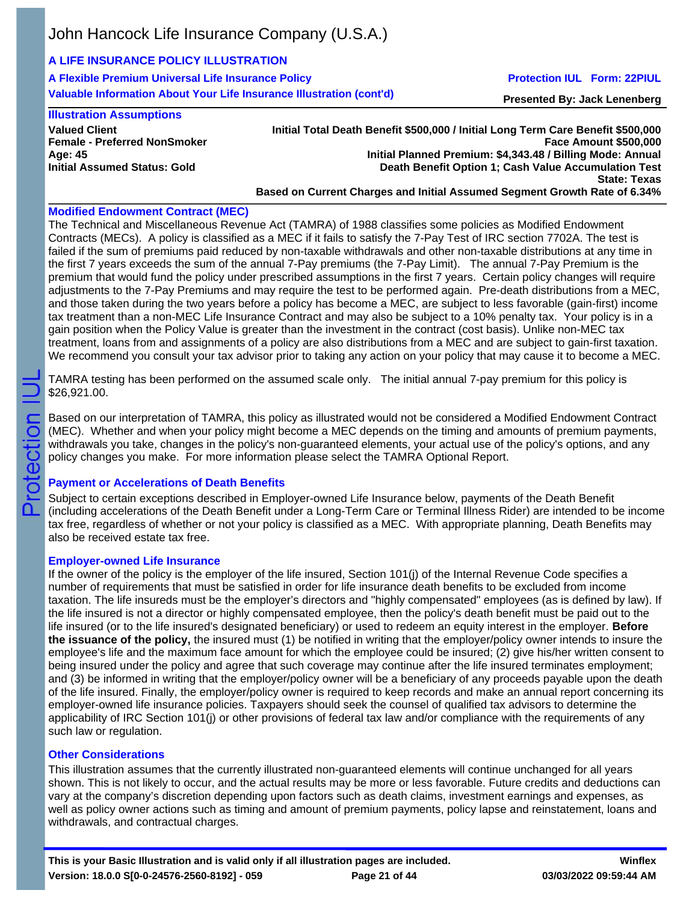# **A LIFE INSURANCE POLICY ILLUSTRATION**

**A Flexible Premium Universal Life Insurance Policy Valuable Information About Your Life Insurance Illustration (cont'd)**

## **Protection IUL Form: 22PIUL**

**Presented By: Jack Lenenberg**

### **Illustration Assumptions**

**Valued Client Female - Preferred NonSmoker Age: 45 Initial Assumed Status: Gold**

#### **Initial Total Death Benefit \$500,000 / Initial Long Term Care Benefit \$500,000 Face Amount \$500,000 Initial Planned Premium: \$4,343.48 / Billing Mode: Annual Death Benefit Option 1; Cash Value Accumulation Test State: Texas Based on Current Charges and Initial Assumed Segment Growth Rate of 6.34%**

## **Modified Endowment Contract (MEC)**

The Technical and Miscellaneous Revenue Act (TAMRA) of 1988 classifies some policies as Modified Endowment Contracts (MECs). A policy is classified as a MEC if it fails to satisfy the 7-Pay Test of IRC section 7702A. The test is failed if the sum of premiums paid reduced by non-taxable withdrawals and other non-taxable distributions at any time in the first 7 years exceeds the sum of the annual 7-Pay premiums (the 7-Pay Limit). The annual 7-Pay Premium is the premium that would fund the policy under prescribed assumptions in the first 7 years. Certain policy changes will require adjustments to the 7-Pay Premiums and may require the test to be performed again. Pre-death distributions from a MEC, and those taken during the two years before a policy has become a MEC, are subject to less favorable (gain-first) income tax treatment than a non-MEC Life Insurance Contract and may also be subject to a 10% penalty tax. Your policy is in a gain position when the Policy Value is greater than the investment in the contract (cost basis). Unlike non-MEC tax treatment, loans from and assignments of a policy are also distributions from a MEC and are subject to gain-first taxation. We recommend you consult your tax advisor prior to taking any action on your policy that may cause it to become a MEC.

TAMRA testing has been performed on the assumed scale only. The initial annual 7-pay premium for this policy is \$26,921.00.

Based on our interpretation of TAMRA, this policy as illustrated would not be considered a Modified Endowment Contract (MEC). Whether and when your policy might become a MEC depends on the timing and amounts of premium payments, withdrawals you take, changes in the policy's non-guaranteed elements, your actual use of the policy's options, and any policy changes you make. For more information please select the TAMRA Optional Report.

# **Payment or Accelerations of Death Benefits**

Subject to certain exceptions described in Employer-owned Life Insurance below, payments of the Death Benefit (including accelerations of the Death Benefit under a Long-Term Care or Terminal Illness Rider) are intended to be income tax free, regardless of whether or not your policy is classified as a MEC. With appropriate planning, Death Benefits may also be received estate tax free.

## **Employer-owned Life Insurance**

rotection

൳

If the owner of the policy is the employer of the life insured, Section 101(j) of the Internal Revenue Code specifies a number of requirements that must be satisfied in order for life insurance death benefits to be excluded from income taxation. The life insureds must be the employer's directors and "highly compensated" employees (as is defined by law). If the life insured is not a director or highly compensated employee, then the policy's death benefit must be paid out to the life insured (or to the life insured's designated beneficiary) or used to redeem an equity interest in the employer. **Before the issuance of the policy,** the insured must (1) be notified in writing that the employer/policy owner intends to insure the employee's life and the maximum face amount for which the employee could be insured; (2) give his/her written consent to being insured under the policy and agree that such coverage may continue after the life insured terminates employment; and (3) be informed in writing that the employer/policy owner will be a beneficiary of any proceeds payable upon the death of the life insured. Finally, the employer/policy owner is required to keep records and make an annual report concerning its employer-owned life insurance policies. Taxpayers should seek the counsel of qualified tax advisors to determine the applicability of IRC Section 101(j) or other provisions of federal tax law and/or compliance with the requirements of any such law or regulation.

## **Other Considerations**

This illustration assumes that the currently illustrated non-guaranteed elements will continue unchanged for all years shown. This is not likely to occur, and the actual results may be more or less favorable. Future credits and deductions can vary at the company's discretion depending upon factors such as death claims, investment earnings and expenses, as well as policy owner actions such as timing and amount of premium payments, policy lapse and reinstatement, loans and withdrawals, and contractual charges.

**Winflex**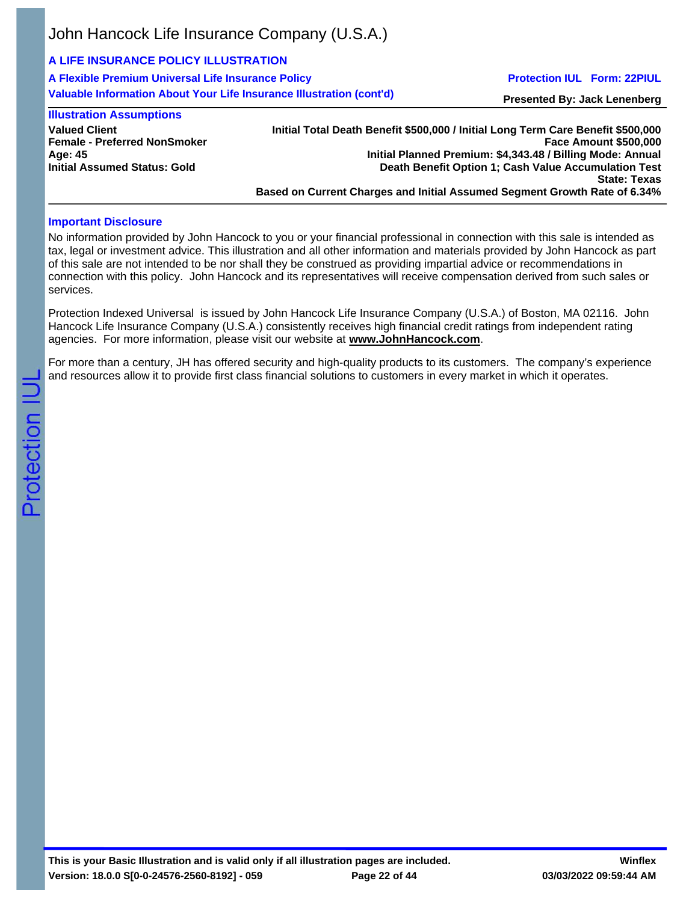# **A LIFE INSURANCE POLICY ILLUSTRATION**

**A Flexible Premium Universal Life Insurance Policy Valuable Information About Your Life Insurance Illustration (cont'd)**

## **Protection IUL Form: 22PIUL**

**Presented By: Jack Lenenberg**

## **Illustration Assumptions**

**Valued Client Female - Preferred NonSmoker Age: 45 Initial Assumed Status: Gold**

#### **Initial Total Death Benefit \$500,000 / Initial Long Term Care Benefit \$500,000 Face Amount \$500,000 Initial Planned Premium: \$4,343.48 / Billing Mode: Annual Death Benefit Option 1; Cash Value Accumulation Test State: Texas Based on Current Charges and Initial Assumed Segment Growth Rate of 6.34%**

## **Important Disclosure**

No information provided by John Hancock to you or your financial professional in connection with this sale is intended as tax, legal or investment advice. This illustration and all other information and materials provided by John Hancock as part of this sale are not intended to be nor shall they be construed as providing impartial advice or recommendations in connection with this policy. John Hancock and its representatives will receive compensation derived from such sales or services.

Protection Indexed Universal is issued by John Hancock Life Insurance Company (U.S.A.) of Boston, MA 02116. John Hancock Life Insurance Company (U.S.A.) consistently receives high financial credit ratings from independent rating agencies. For more information, please visit our website at **www.JohnHancock.com**.

For more than a century, JH has offered security and high-quality products to its customers. The company's experience and resources allow it to provide first class financial solutions to customers in every market in which it operates.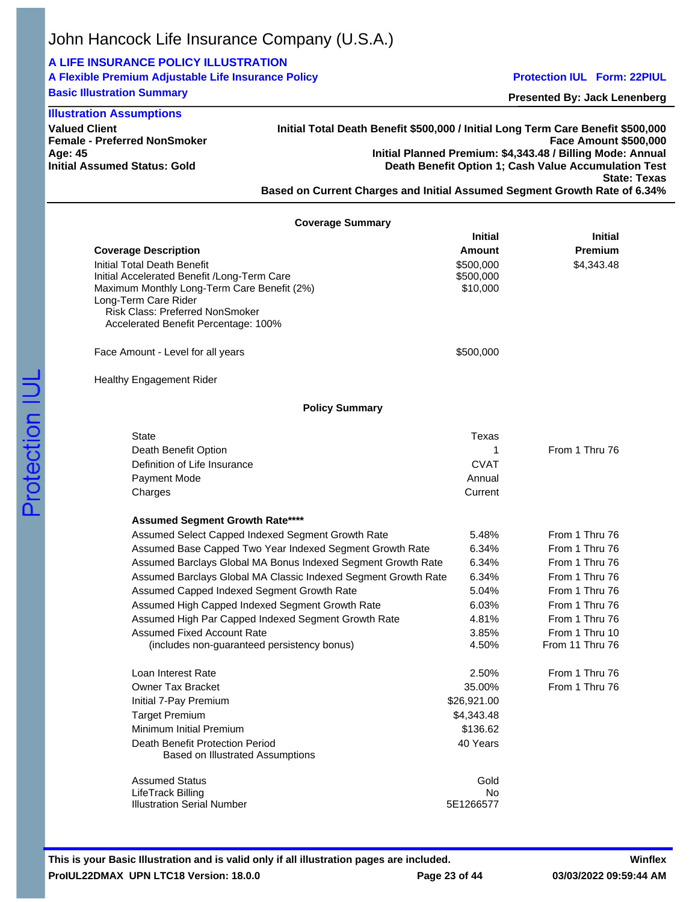# **A LIFE INSURANCE POLICY ILLUSTRATION**

| A Flexible Premium Adjustable Life Insurance Policy |  |  |
|-----------------------------------------------------|--|--|
| <b>Rasic Illustration Summary</b>                   |  |  |

**Basic Illustration Summary**

**Valued Client**

**Age: 45**

### **Protection IUL Form: 22PIUL**

**Presented By: Jack Lenenberg**

**Face Amount \$500,000**

**State: Texas**

**Female - Preferred NonSmoker Initial Assumed Status: Gold Initial Total Death Benefit \$500,000 / Initial Long Term Care Benefit \$500,000 Initial Planned Premium: \$4,343.48 / Billing Mode: Annual Death Benefit Option 1; Cash Value Accumulation Test Based on Current Charges and Initial Assumed Segment Growth Rate of 6.34% Illustration Assumptions**

| <b>Coverage Summary</b>                                                                                                                                                          | <b>Initial</b>                                      | <b>Initial</b>                    |
|----------------------------------------------------------------------------------------------------------------------------------------------------------------------------------|-----------------------------------------------------|-----------------------------------|
| <b>Coverage Description</b><br>Initial Total Death Benefit<br>Initial Accelerated Benefit /Long-Term Care<br>Maximum Monthly Long-Term Care Benefit (2%)<br>Long-Term Care Rider | <b>Amount</b><br>\$500,000<br>\$500,000<br>\$10,000 | <b>Premium</b><br>\$4,343.48      |
| Risk Class: Preferred NonSmoker<br>Accelerated Benefit Percentage: 100%                                                                                                          |                                                     |                                   |
| Face Amount - Level for all years                                                                                                                                                | \$500,000                                           |                                   |
| <b>Healthy Engagement Rider</b>                                                                                                                                                  |                                                     |                                   |
| <b>Policy Summary</b>                                                                                                                                                            |                                                     |                                   |
| <b>State</b>                                                                                                                                                                     | Texas                                               |                                   |
| Death Benefit Option                                                                                                                                                             | 1                                                   | From 1 Thru 76                    |
| Definition of Life Insurance                                                                                                                                                     | <b>CVAT</b>                                         |                                   |
| Payment Mode                                                                                                                                                                     | Annual                                              |                                   |
| Charges                                                                                                                                                                          | Current                                             |                                   |
| <b>Assumed Segment Growth Rate****</b>                                                                                                                                           |                                                     |                                   |
| Assumed Select Capped Indexed Segment Growth Rate                                                                                                                                | 5.48%                                               | From 1 Thru 76                    |
| Assumed Base Capped Two Year Indexed Segment Growth Rate                                                                                                                         | 6.34%                                               | From 1 Thru 76                    |
| Assumed Barclays Global MA Bonus Indexed Segment Growth Rate                                                                                                                     | 6.34%                                               | From 1 Thru 76                    |
| Assumed Barclays Global MA Classic Indexed Segment Growth Rate                                                                                                                   | 6.34%                                               | From 1 Thru 76                    |
| Assumed Capped Indexed Segment Growth Rate                                                                                                                                       | 5.04%                                               | From 1 Thru 76                    |
| Assumed High Capped Indexed Segment Growth Rate                                                                                                                                  | 6.03%                                               | From 1 Thru 76                    |
| Assumed High Par Capped Indexed Segment Growth Rate                                                                                                                              | 4.81%                                               | From 1 Thru 76                    |
| <b>Assumed Fixed Account Rate</b><br>(includes non-guaranteed persistency bonus)                                                                                                 | 3.85%<br>4.50%                                      | From 1 Thru 10<br>From 11 Thru 76 |
| Loan Interest Rate                                                                                                                                                               | 2.50%                                               | From 1 Thru 76                    |
| <b>Owner Tax Bracket</b>                                                                                                                                                         | 35.00%                                              | From 1 Thru 76                    |
| Initial 7-Pay Premium                                                                                                                                                            | \$26,921.00                                         |                                   |
| <b>Target Premium</b>                                                                                                                                                            | \$4,343.48                                          |                                   |
| Minimum Initial Premium                                                                                                                                                          | \$136.62                                            |                                   |
| Death Benefit Protection Period<br>Based on Illustrated Assumptions                                                                                                              | 40 Years                                            |                                   |
| <b>Assumed Status</b>                                                                                                                                                            | Gold                                                |                                   |
| LifeTrack Billing<br><b>Illustration Serial Number</b>                                                                                                                           | No<br>5E1266577                                     |                                   |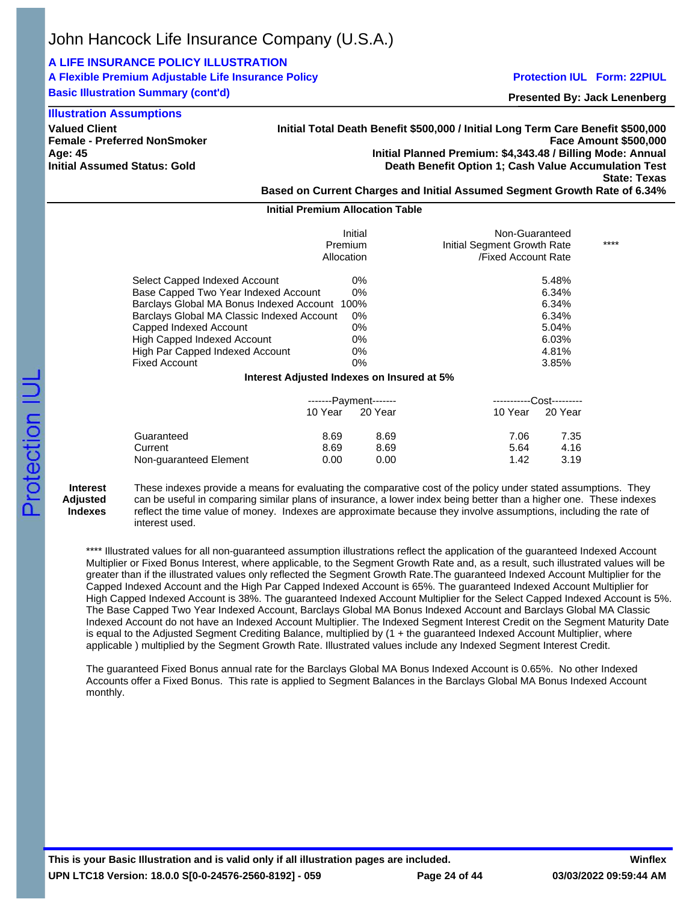## **A LIFE INSURANCE POLICY ILLUSTRATION**

# **A Flexible Premium Adjustable Life Insurance Policy**

**Basic Illustration Summary (cont'd)**

### **Protection IUL Form: 22PIUL**

**Presented By: Jack Lenenberg**

| <b>Illustration Assumptions</b>                                                                                                                                                                                                                                                          |                                                                                                                                                                                                                                                                                                                                            |                                                                      |      |  |
|------------------------------------------------------------------------------------------------------------------------------------------------------------------------------------------------------------------------------------------------------------------------------------------|--------------------------------------------------------------------------------------------------------------------------------------------------------------------------------------------------------------------------------------------------------------------------------------------------------------------------------------------|----------------------------------------------------------------------|------|--|
| <b>Valued Client</b><br><b>Female - Preferred NonSmoker</b><br>Age: 45<br>Initial Assumed Status: Gold                                                                                                                                                                                   | Initial Total Death Benefit \$500,000 / Initial Long Term Care Benefit \$500,000<br><b>Face Amount \$500,000</b><br>Initial Planned Premium: \$4,343.48 / Billing Mode: Annual<br>Death Benefit Option 1; Cash Value Accumulation Test<br><b>State: Texas</b><br>Based on Current Charges and Initial Assumed Segment Growth Rate of 6.34% |                                                                      |      |  |
|                                                                                                                                                                                                                                                                                          | <b>Initial Premium Allocation Table</b>                                                                                                                                                                                                                                                                                                    |                                                                      |      |  |
|                                                                                                                                                                                                                                                                                          | Initial<br>Premium<br>Allocation                                                                                                                                                                                                                                                                                                           | Non-Guaranteed<br>Initial Segment Growth Rate<br>/Fixed Account Rate | **** |  |
| Select Capped Indexed Account<br>Base Capped Two Year Indexed Account<br>Barclays Global MA Bonus Indexed Account 100%<br>Barclays Global MA Classic Indexed Account<br>Capped Indexed Account<br>High Capped Indexed Account<br>High Par Capped Indexed Account<br><b>Fixed Account</b> | 0%<br>0%<br>0%<br>0%<br>0%<br>0%<br>0%                                                                                                                                                                                                                                                                                                     | 5.48%<br>6.34%<br>6.34%<br>6.34%<br>5.04%<br>6.03%<br>4.81%<br>3.85% |      |  |

#### **Interest Adjusted Indexes on Insured at 5%**

|                        | -------Payment------- |         |         | -----------Cost--------- |
|------------------------|-----------------------|---------|---------|--------------------------|
|                        | 10 Year               | 20 Year | 10 Year | 20 Year                  |
| Guaranteed             | 8.69                  | 8.69    | 7.06    | 7.35                     |
| Current                | 8.69                  | 8.69    | 5.64    | 4.16                     |
| Non-guaranteed Element | 0.00                  | 0.00    | 1.42    | 3.19                     |

#### **Interest Adjusted Indexes**

These indexes provide a means for evaluating the comparative cost of the policy under stated assumptions. They can be useful in comparing similar plans of insurance, a lower index being better than a higher one. These indexes reflect the time value of money. Indexes are approximate because they involve assumptions, including the rate of interest used.

\*\*\*\* Illustrated values for all non-guaranteed assumption illustrations reflect the application of the guaranteed Indexed Account Multiplier or Fixed Bonus Interest, where applicable, to the Segment Growth Rate and, as a result, such illustrated values will be greater than if the illustrated values only reflected the Segment Growth Rate.The guaranteed Indexed Account Multiplier for the Capped Indexed Account and the High Par Capped Indexed Account is 65%. The guaranteed Indexed Account Multiplier for High Capped Indexed Account is 38%. The guaranteed Indexed Account Multiplier for the Select Capped Indexed Account is 5%. The Base Capped Two Year Indexed Account, Barclays Global MA Bonus Indexed Account and Barclays Global MA Classic Indexed Account do not have an Indexed Account Multiplier. The Indexed Segment Interest Credit on the Segment Maturity Date is equal to the Adjusted Segment Crediting Balance, multiplied by (1 + the guaranteed Indexed Account Multiplier, where applicable ) multiplied by the Segment Growth Rate. Illustrated values include any Indexed Segment Interest Credit.

The guaranteed Fixed Bonus annual rate for the Barclays Global MA Bonus Indexed Account is 0.65%. No other Indexed Accounts offer a Fixed Bonus. This rate is applied to Segment Balances in the Barclays Global MA Bonus Indexed Account monthly.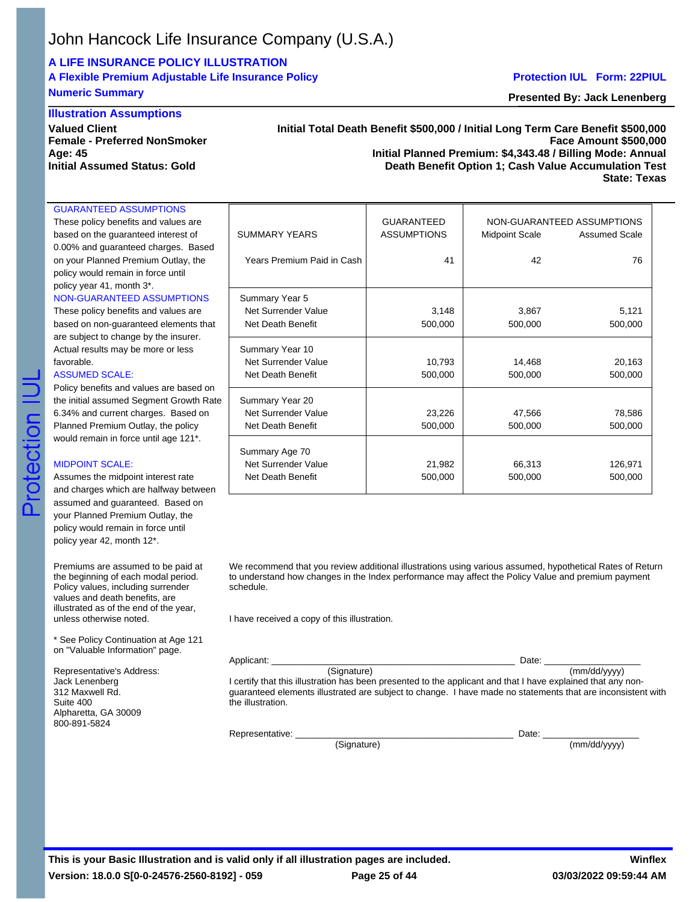# **A LIFE INSURANCE POLICY ILLUSTRATION**

# **A Flexible Premium Adjustable Life Insurance Policy**

# **Numeric Summary**

### **Illustration Assumptions**

**Valued Client Female - Preferred NonSmoker Age: 45 Initial Assumed Status: Gold**

### **Initial Total Death Benefit \$500,000 / Initial Long Term Care Benefit \$500,000 Face Amount \$500,000 Initial Planned Premium: \$4,343.48 / Billing Mode: Annual Death Benefit Option 1; Cash Value Accumulation Test**

**State: Texas**

#### These policy benefits and values are based on the quaranteed interest of 0.00% and guaranteed charges. Based on your Planned Premium Outlay, the policy would remain in force until policy year 41, month 3\*. NON-GUARANTEED ASSUMPTIONS

GUARANTEED ASSUMPTIONS

## These policy benefits and values are based on non-guaranteed elements that are subject to change by the insurer.

#### ASSUMED SCALE:

### MIDPOINT SCALE:

Protection

Assumes the midpoint interest rate and charges which are halfway between assumed and guaranteed. Based on your Planned Premium Outlay, the policy would remain in force until policy year 42, month 12\*.

Premiums are assumed to be paid at the beginning of each modal period. Policy values, including surrender values and death benefits, are illustrated as of the end of the year, unless otherwise noted.

\* See Policy Continuation at Age 121 on "Valuable Information" page.

Representative's Address: Jack Lenenberg 312 Maxwell Rd. Suite 400 Alpharetta, GA 30009 800-891-5824

| These policy benefits and values are    |                            | <b>GUARANTEED</b>  |                       | NON-GUARANTEED ASSUMPTIONS |
|-----------------------------------------|----------------------------|--------------------|-----------------------|----------------------------|
| based on the guaranteed interest of     | <b>SUMMARY YEARS</b>       | <b>ASSUMPTIONS</b> | <b>Midpoint Scale</b> | <b>Assumed Scale</b>       |
| 0.00% and guaranteed charges. Based     |                            |                    |                       |                            |
| on your Planned Premium Outlay, the     | Years Premium Paid in Cash | 41                 | 42                    | 76                         |
| policy would remain in force until      |                            |                    |                       |                            |
| policy year 41, month 3*.               |                            |                    |                       |                            |
| NON-GUARANTEED ASSUMPTIONS              | Summary Year 5             |                    |                       |                            |
| These policy benefits and values are    | Net Surrender Value        | 3,148              | 3,867                 | 5,121                      |
| based on non-guaranteed elements that   | Net Death Benefit          | 500,000            | 500,000               | 500,000                    |
| are subject to change by the insurer.   |                            |                    |                       |                            |
| Actual results may be more or less      | Summary Year 10            |                    |                       |                            |
| favorable.                              | Net Surrender Value        | 10,793             | 14.468                | 20,163                     |
| ASSUMED SCALE:                          | Net Death Benefit          | 500,000            | 500,000               | 500,000                    |
| Policy benefits and values are based on |                            |                    |                       |                            |
| the initial assumed Segment Growth Rate | Summary Year 20            |                    |                       |                            |
| 6.34% and current charges. Based on     | Net Surrender Value        | 23,226             | 47,566                | 78,586                     |
| Planned Premium Outlay, the policy      | Net Death Benefit          | 500,000            | 500,000               | 500,000                    |
| would remain in force until age 121*.   |                            |                    |                       |                            |
|                                         | Summary Age 70             |                    |                       |                            |
| <b>MIDPOINT SCALE:</b>                  | Net Surrender Value        | 21,982             | 66,313                | 126,971                    |
| Assumes the midpoint interest rate      | Net Death Benefit          | 500,000            | 500,000               | 500,000                    |
| and charges which are halfway between   |                            |                    |                       |                            |

We recommend that you review additional illustrations using various assumed, hypothetical Rates of Return to understand how changes in the Index performance may affect the Policy Value and premium payment schedule.

I have received a copy of this illustration.

Applicant: \_\_\_\_\_\_\_\_\_\_\_\_\_\_\_\_\_\_\_\_\_\_\_\_\_\_\_\_\_\_\_\_\_\_\_\_\_\_\_\_\_\_\_\_\_\_\_\_ Date: \_\_\_\_\_\_\_\_\_\_\_\_\_\_\_\_\_\_\_  $\overline{\text{(mm/dd/yyyy)}}$ I certify that this illustration has been presented to the applicant and that I have explained that any nonguaranteed elements illustrated are subject to change. I have made no statements that are inconsistent with the illustration.

Representative:  $\Box$ 

 $(\hbox{Signature}) \hspace{2.5cm} (\hbox{mm/dd/yyyy})$ 

**Presented By: Jack Lenenberg**

**Protection IUL Form: 22PIUL**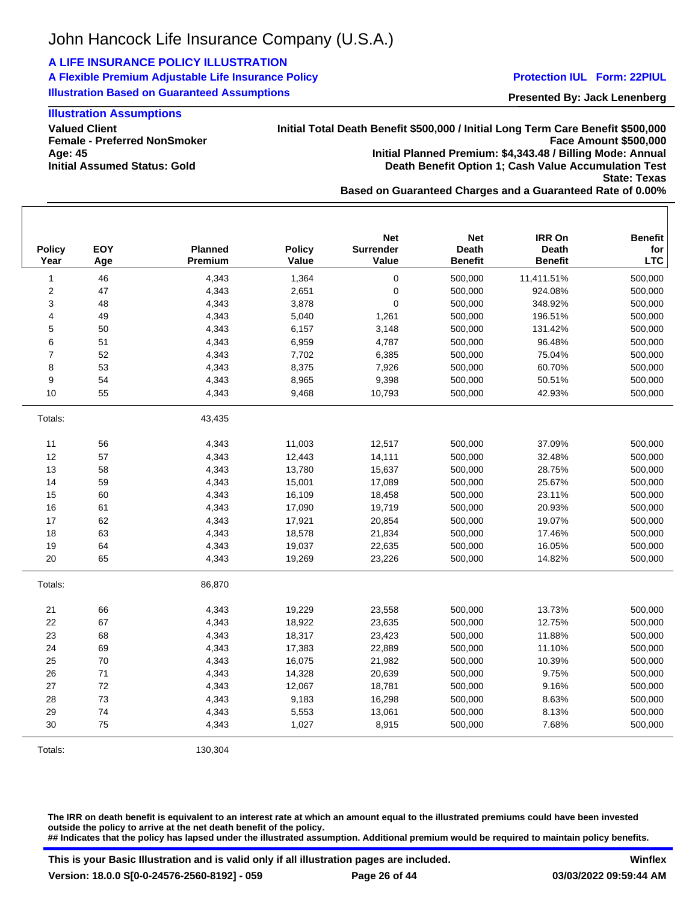## **A LIFE INSURANCE POLICY ILLUSTRATION**

**A Flexible Premium Adjustable Life Insurance Policy Illustration Based on Guaranteed Assumptions**

#### **Protection IUL Form: 22PIUL**

**Presented By: Jack Lenenberg**

## **Illustration Assumptions**

**Valued Client Female - Preferred NonSmoker Age: 45 Initial Assumed Status: Gold**

**Initial Total Death Benefit \$500,000 / Initial Long Term Care Benefit \$500,000 Face Amount \$500,000 Initial Planned Premium: \$4,343.48 / Billing Mode: Annual Death Benefit Option 1; Cash Value Accumulation Test State: Texas Based on Guaranteed Charges and a Guaranteed Rate of 0.00%**

1 46 4,343 1,364 0 500,000 11,411.51% 500,000 2 47 4,343 2,651 0 500,000 924.08% 500,000 3 48 4,343 3,878 0 500,000 348.92% 500,000 4 49 4,343 5,040 1,261 500,000 196.51% 500,000 5 50 4,343 6,157 3,148 500,000 131.42% 500,000 6 51 4,343 6,959 4,787 500,000 96.48% 500,000 7 52 4,343 7,702 6,385 500,000 75.04% 500,000 8 53 4,343 8,375 7,926 500,000 60.70% 500,000 9 54 4,343 8,965 9,398 500,000 50.51% 500,000 10 55 4,343 9,468 10,793 500,000 42.93% 500,000 Totals: 43,435 11 56 4,343 11,003 12,517 500,000 37.09% 500,000 12 57 4,343 12,443 14,111 500,000 32.48% 500,000 13 58 4,343 13,780 15,637 500,000 28.75% 500,000 14 59 4,343 15,001 17,089 500,000 25.67% 500,000 15 60 4,343 16,109 18,458 500,000 23.11% 500,000 16 61 4,343 17,090 19,719 500,000 20.93% 500,000 17 62 4,343 17,921 20,854 500,000 19.07% 500,000 18 63 4,343 18,578 21,834 500,000 17.46% 500,000 19 64 4,343 19,037 22,635 500,000 16.05% 500,000 20 65 4,343 19,269 23,226 500,000 14.82% 500,000 Totals: 86,870 21 66 4,343 19,229 23,558 500,000 13.73% 500,000 22 67 4,343 18,922 23,635 500,000 12.75% 500,000 23 68 4,343 18,317 23,423 500,000 11.88% 500,000 24 69 4,343 17,383 22,889 500,000 11.10% 500,000 25 70 4,343 16,075 21,982 500,000 10.39% 500,000 26 71 4,343 14,328 20,639 500,000 9.75% 500,000 27 72 4,343 12,067 18,781 500,000 9.16% 500,000 28 73 4,343 9,183 16,298 500,000 8.63% 500,000 29 74 4,343 5,553 13,061 500,000 8.13% 500,000 30 75 4,343 1,027 8,915 500,000 7.68% 500,000 **Policy Year EOY Age Planned Premium Policy Value Net Surrender Value Net Death Benefit IRR On Death Benefit Benefit for LTC**

Totals: 130,304

**The IRR on death benefit is equivalent to an interest rate at which an amount equal to the illustrated premiums could have been invested outside the policy to arrive at the net death benefit of the policy. ## Indicates that the policy has lapsed under the illustrated assumption. Additional premium would be required to maintain policy benefits.**

**This is your Basic Illustration and is valid only if all illustration pages are included. Version: 18.0.0 S[0-0-24576-2560-8192] - 059 Page 26 of 44**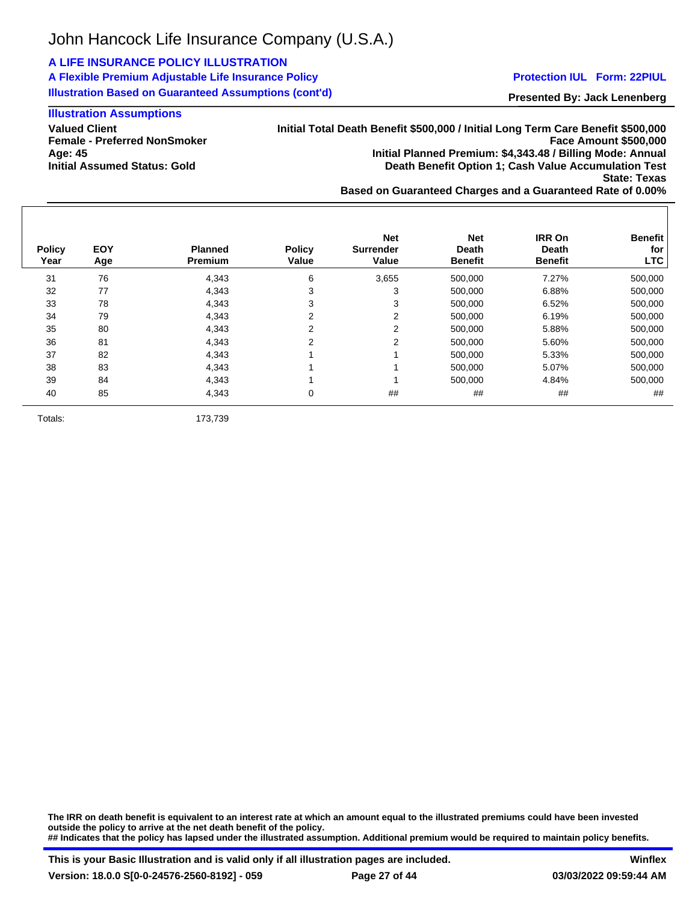## **A LIFE INSURANCE POLICY ILLUSTRATION**

**A Flexible Premium Adjustable Life Insurance Policy Illustration Based on Guaranteed Assumptions (cont'd)**

#### **Protection IUL Form: 22PIUL**

**Presented By: Jack Lenenberg**

## **Illustration Assumptions**

**Valued Client Female - Preferred NonSmoker Age: 45 Initial Assumed Status: Gold**

**Initial Total Death Benefit \$500,000 / Initial Long Term Care Benefit \$500,000 Face Amount \$500,000 Initial Planned Premium: \$4,343.48 / Billing Mode: Annual Death Benefit Option 1; Cash Value Accumulation Test State: Texas Based on Guaranteed Charges and a Guaranteed Rate of 0.00%**

31 76 4,343 6 3,655 500,000 7.27% 500,000 32 77 4,343 3 3 500,000 6.88% 500,000 33 78 4,343 3 3 500,000 6.52% 500,000 34 79 4,343 2 2 500,000 6.19% 500,000 35 80 4,343 2 2 500,000 5.88% 500,000 36 81 4,343 2 2 500,000 5.60% 500,000 37 82 4,343 1 1 500,000 5.33% 500,000 38 83 4,343 1 1 500,000 5.07% 500,000 39 84 4,343 1 1 500,000 4.84% 500,000 40 85 4,343 0 ## ## ## ## **Policy Year EOY Age Planned Premium Policy Value Net Surrender Value Net Death Benefit IRR On Death Benefit Benefit for LTC**

Totals: 173,739

**The IRR on death benefit is equivalent to an interest rate at which an amount equal to the illustrated premiums could have been invested outside the policy to arrive at the net death benefit of the policy. ## Indicates that the policy has lapsed under the illustrated assumption. Additional premium would be required to maintain policy benefits.**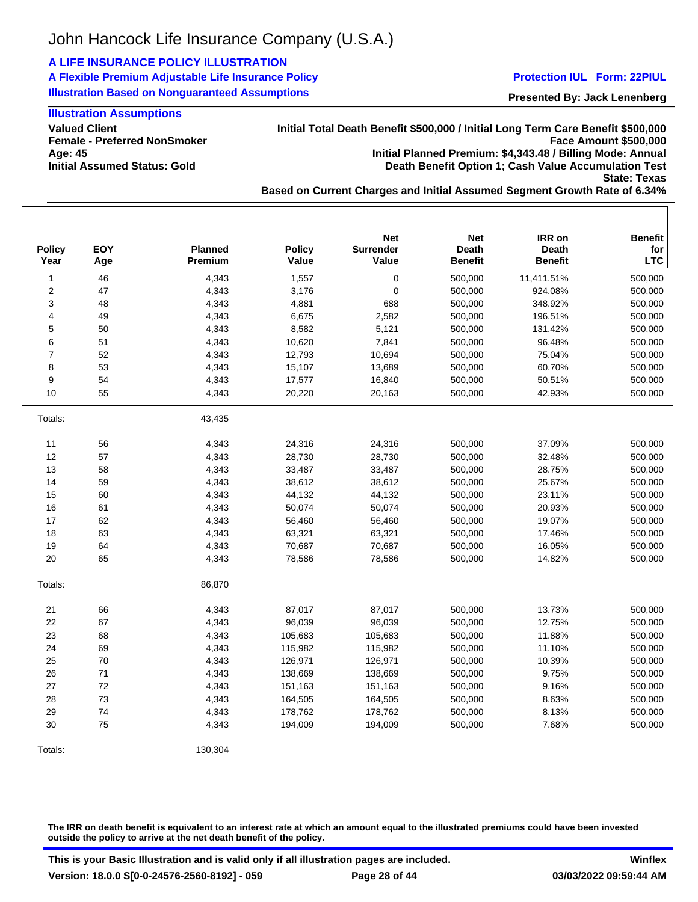## **A LIFE INSURANCE POLICY ILLUSTRATION**

**A Flexible Premium Adjustable Life Insurance Policy Illustration Based on Nonguaranteed Assumptions**

#### **Protection IUL Form: 22PIUL**

**Presented By: Jack Lenenberg**

## **Illustration Assumptions**

**Valued Client Female - Preferred NonSmoker Age: 45 Initial Assumed Status: Gold**

**Initial Total Death Benefit \$500,000 / Initial Long Term Care Benefit \$500,000 Face Amount \$500,000 Initial Planned Premium: \$4,343.48 / Billing Mode: Annual Death Benefit Option 1; Cash Value Accumulation Test State: Texas**

**Based on Current Charges and Initial Assumed Segment Growth Rate of 6.34%**

| <b>Policy</b><br>Year | <b>EOY</b><br>Age | <b>Planned</b><br>Premium | <b>Policy</b><br>Value | <b>Net</b><br>Surrender<br>Value | <b>Net</b><br><b>Death</b><br><b>Benefit</b> | IRR on<br>Death<br><b>Benefit</b> | <b>Benefit</b><br>for<br><b>LTC</b> |
|-----------------------|-------------------|---------------------------|------------------------|----------------------------------|----------------------------------------------|-----------------------------------|-------------------------------------|
| 1                     | 46                | 4,343                     | 1,557                  | $\pmb{0}$                        | 500,000                                      | 11,411.51%                        | 500,000                             |
| $\overline{c}$        | 47                | 4,343                     | 3,176                  | $\pmb{0}$                        | 500,000                                      | 924.08%                           | 500,000                             |
| 3                     | 48                | 4,343                     | 4,881                  | 688                              | 500,000                                      | 348.92%                           | 500,000                             |
| 4                     | 49                | 4,343                     | 6,675                  | 2,582                            | 500,000                                      | 196.51%                           | 500,000                             |
| 5                     | 50                | 4,343                     | 8,582                  | 5,121                            | 500,000                                      | 131.42%                           | 500,000                             |
| 6                     | 51                | 4,343                     | 10,620                 | 7,841                            | 500,000                                      | 96.48%                            | 500,000                             |
| $\overline{7}$        | 52                | 4,343                     | 12,793                 | 10,694                           | 500,000                                      | 75.04%                            | 500,000                             |
| 8                     | 53                | 4,343                     | 15,107                 | 13,689                           | 500,000                                      | 60.70%                            | 500,000                             |
| 9                     | 54                | 4,343                     | 17,577                 | 16,840                           | 500,000                                      | 50.51%                            | 500,000                             |
| 10                    | 55                | 4,343                     | 20,220                 | 20,163                           | 500,000                                      | 42.93%                            | 500,000                             |
| Totals:               |                   | 43,435                    |                        |                                  |                                              |                                   |                                     |
| 11                    | 56                | 4,343                     | 24,316                 | 24,316                           | 500,000                                      | 37.09%                            | 500,000                             |
| 12                    | 57                | 4,343                     | 28,730                 | 28,730                           | 500,000                                      | 32.48%                            | 500,000                             |
| 13                    | 58                | 4,343                     | 33,487                 | 33,487                           | 500,000                                      | 28.75%                            | 500,000                             |
| 14                    | 59                | 4,343                     | 38,612                 | 38,612                           | 500,000                                      | 25.67%                            | 500,000                             |
| 15                    | 60                | 4,343                     | 44,132                 | 44,132                           | 500,000                                      | 23.11%                            | 500,000                             |
| 16                    | 61                | 4,343                     | 50,074                 | 50,074                           | 500,000                                      | 20.93%                            | 500,000                             |
| 17                    | 62                | 4,343                     | 56,460                 | 56,460                           | 500,000                                      | 19.07%                            | 500,000                             |
| 18                    | 63                | 4,343                     | 63,321                 | 63,321                           | 500,000                                      | 17.46%                            | 500,000                             |
| 19                    | 64                | 4,343                     | 70,687                 | 70,687                           | 500,000                                      | 16.05%                            | 500,000                             |
| 20                    | 65                | 4,343                     | 78,586                 | 78,586                           | 500,000                                      | 14.82%                            | 500,000                             |
| Totals:               |                   | 86,870                    |                        |                                  |                                              |                                   |                                     |
| 21                    | 66                | 4,343                     | 87,017                 | 87,017                           | 500,000                                      | 13.73%                            | 500,000                             |
| 22                    | 67                | 4,343                     | 96,039                 | 96,039                           | 500,000                                      | 12.75%                            | 500,000                             |
| 23                    | 68                | 4,343                     | 105,683                | 105,683                          | 500,000                                      | 11.88%                            | 500,000                             |
| 24                    | 69                | 4,343                     | 115,982                | 115,982                          | 500,000                                      | 11.10%                            | 500,000                             |
| 25                    | 70                | 4,343                     | 126,971                | 126,971                          | 500,000                                      | 10.39%                            | 500,000                             |
| 26                    | $71$              | 4,343                     | 138,669                | 138,669                          | 500,000                                      | 9.75%                             | 500,000                             |
| 27                    | 72                | 4,343                     | 151,163                | 151,163                          | 500,000                                      | 9.16%                             | 500,000                             |
| 28                    | 73                | 4,343                     | 164,505                | 164,505                          | 500,000                                      | 8.63%                             | 500,000                             |
| 29                    | 74                | 4,343                     | 178,762                | 178,762                          | 500,000                                      | 8.13%                             | 500,000                             |
| 30                    | 75                | 4,343                     | 194,009                | 194,009                          | 500,000                                      | 7.68%                             | 500,000                             |
| Totals:               |                   | 130,304                   |                        |                                  |                                              |                                   |                                     |

**The IRR on death benefit is equivalent to an interest rate at which an amount equal to the illustrated premiums could have been invested outside the policy to arrive at the net death benefit of the policy.**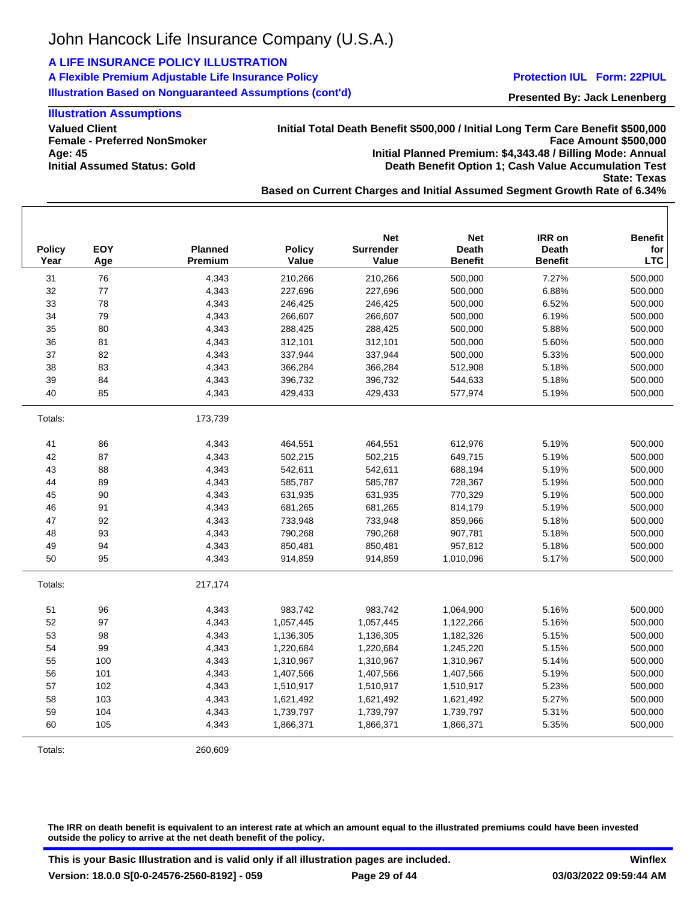## **A LIFE INSURANCE POLICY ILLUSTRATION**

**A Flexible Premium Adjustable Life Insurance Policy Illustration Based on Nonguaranteed Assumptions (cont'd)**

#### **Protection IUL Form: 22PIUL**

**Presented By: Jack Lenenberg**

## **Illustration Assumptions**

**Valued Client Female - Preferred NonSmoker Age: 45 Initial Assumed Status: Gold**

**Initial Total Death Benefit \$500,000 / Initial Long Term Care Benefit \$500,000 Face Amount \$500,000 Initial Planned Premium: \$4,343.48 / Billing Mode: Annual Death Benefit Option 1; Cash Value Accumulation Test State: Texas**

**Based on Current Charges and Initial Assumed Segment Growth Rate of 6.34%**

| <b>Policy</b><br>Year | <b>EOY</b><br>Age | <b>Planned</b><br>Premium | <b>Policy</b><br>Value | <b>Net</b><br><b>Surrender</b><br>Value | <b>Net</b><br><b>Death</b><br><b>Benefit</b> | IRR on<br><b>Death</b><br><b>Benefit</b> | <b>Benefit</b><br>for<br><b>LTC</b> |
|-----------------------|-------------------|---------------------------|------------------------|-----------------------------------------|----------------------------------------------|------------------------------------------|-------------------------------------|
| 31                    | 76                | 4,343                     | 210,266                | 210,266                                 | 500,000                                      | 7.27%                                    | 500,000                             |
| 32                    | 77                | 4,343                     | 227,696                | 227,696                                 | 500,000                                      | 6.88%                                    | 500,000                             |
| 33                    | 78                | 4,343                     | 246,425                | 246,425                                 | 500,000                                      | 6.52%                                    | 500,000                             |
| 34                    | 79                | 4,343                     | 266,607                | 266,607                                 | 500,000                                      | 6.19%                                    | 500,000                             |
| 35                    | 80                | 4,343                     | 288,425                | 288,425                                 | 500,000                                      | 5.88%                                    | 500,000                             |
| 36                    | 81                | 4,343                     | 312,101                | 312,101                                 | 500,000                                      | 5.60%                                    | 500,000                             |
| 37                    | 82                | 4,343                     | 337,944                | 337,944                                 | 500,000                                      | 5.33%                                    | 500,000                             |
| 38                    | 83                | 4,343                     | 366,284                | 366,284                                 | 512,908                                      | 5.18%                                    | 500,000                             |
| 39                    | 84                | 4,343                     | 396,732                | 396,732                                 | 544,633                                      | 5.18%                                    | 500,000                             |
| 40                    | 85                | 4,343                     | 429,433                | 429,433                                 | 577,974                                      | 5.19%                                    | 500,000                             |
| Totals:               |                   | 173,739                   |                        |                                         |                                              |                                          |                                     |
| 41                    | 86                | 4,343                     | 464,551                | 464,551                                 | 612,976                                      | 5.19%                                    | 500,000                             |
| 42                    | 87                | 4,343                     | 502,215                | 502,215                                 | 649,715                                      | 5.19%                                    | 500,000                             |
| 43                    | 88                | 4,343                     | 542,611                | 542,611                                 | 688,194                                      | 5.19%                                    | 500,000                             |
| 44                    | 89                | 4,343                     | 585,787                | 585,787                                 | 728,367                                      | 5.19%                                    | 500,000                             |
| 45                    | 90                | 4,343                     | 631,935                | 631,935                                 | 770,329                                      | 5.19%                                    | 500,000                             |
| 46                    | 91                | 4,343                     | 681,265                | 681,265                                 | 814,179                                      | 5.19%                                    | 500,000                             |
| 47                    | 92                | 4,343                     | 733,948                | 733,948                                 | 859,966                                      | 5.18%                                    | 500,000                             |
| 48                    | 93                | 4,343                     | 790,268                | 790,268                                 | 907,781                                      | 5.18%                                    | 500,000                             |
| 49                    | 94                | 4,343                     | 850,481                | 850,481                                 | 957,812                                      | 5.18%                                    | 500,000                             |
| 50                    | 95                | 4,343                     | 914,859                | 914,859                                 | 1,010,096                                    | 5.17%                                    | 500,000                             |
| Totals:               |                   | 217,174                   |                        |                                         |                                              |                                          |                                     |
| 51                    | 96                | 4,343                     | 983,742                | 983,742                                 | 1,064,900                                    | 5.16%                                    | 500,000                             |
| 52                    | 97                | 4,343                     | 1,057,445              | 1,057,445                               | 1,122,266                                    | 5.16%                                    | 500,000                             |
| 53                    | 98                | 4,343                     | 1,136,305              | 1,136,305                               | 1,182,326                                    | 5.15%                                    | 500,000                             |
| 54                    | 99                | 4,343                     | 1,220,684              | 1,220,684                               | 1,245,220                                    | 5.15%                                    | 500,000                             |
| 55                    | 100               | 4,343                     | 1,310,967              | 1,310,967                               | 1,310,967                                    | 5.14%                                    | 500,000                             |
| 56                    | 101               | 4,343                     | 1,407,566              | 1,407,566                               | 1,407,566                                    | 5.19%                                    | 500,000                             |
| 57                    | 102               | 4,343                     | 1,510,917              | 1,510,917                               | 1,510,917                                    | 5.23%                                    | 500,000                             |
| 58                    | 103               | 4,343                     | 1,621,492              | 1,621,492                               | 1,621,492                                    | 5.27%                                    | 500,000                             |
| 59                    | 104               | 4,343                     | 1,739,797              | 1,739,797                               | 1,739,797                                    | 5.31%                                    | 500,000                             |
| 60                    | 105               | 4,343                     | 1,866,371              | 1,866,371                               | 1,866,371                                    | 5.35%                                    | 500,000                             |
| Totals:               |                   | 260,609                   |                        |                                         |                                              |                                          |                                     |

**The IRR on death benefit is equivalent to an interest rate at which an amount equal to the illustrated premiums could have been invested outside the policy to arrive at the net death benefit of the policy.**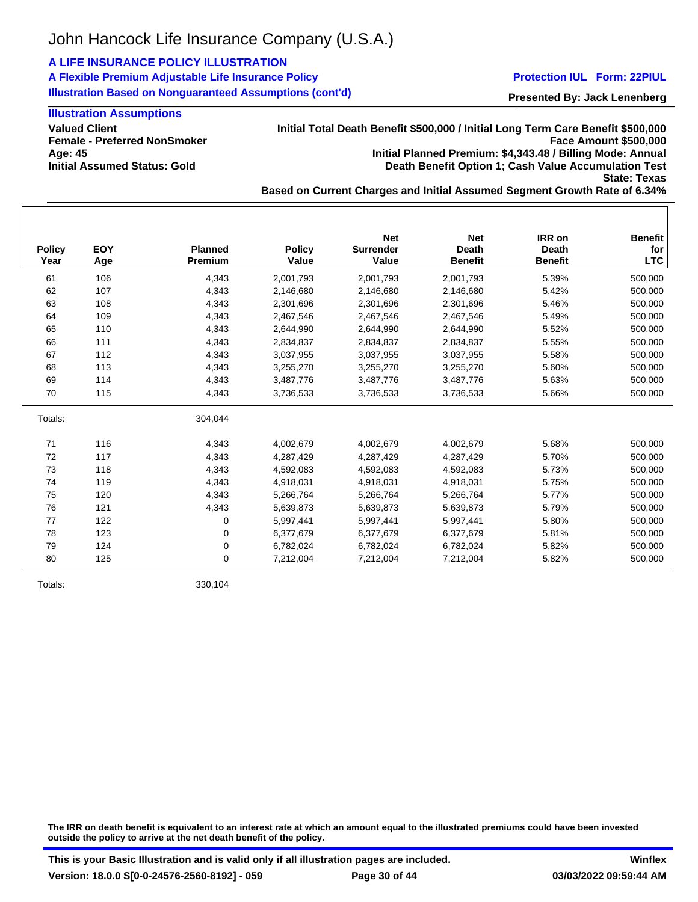## **A LIFE INSURANCE POLICY ILLUSTRATION**

**A Flexible Premium Adjustable Life Insurance Policy Illustration Based on Nonguaranteed Assumptions (cont'd)**

#### **Protection IUL Form: 22PIUL**

**Presented By: Jack Lenenberg**

## **Illustration Assumptions**

**Valued Client Female - Preferred NonSmoker Age: 45 Initial Assumed Status: Gold**

**Initial Total Death Benefit \$500,000 / Initial Long Term Care Benefit \$500,000 Face Amount \$500,000 Initial Planned Premium: \$4,343.48 / Billing Mode: Annual Death Benefit Option 1; Cash Value Accumulation Test State: Texas**

**Based on Current Charges and Initial Assumed Segment Growth Rate of 6.34%**

| <b>Policy</b><br>Year | <b>EOY</b><br>Age | <b>Planned</b><br><b>Premium</b> | <b>Policy</b><br>Value | <b>Net</b><br><b>Surrender</b><br>Value | <b>Net</b><br><b>Death</b><br><b>Benefit</b> | IRR on<br>Death<br><b>Benefit</b> | <b>Benefit</b><br>for<br><b>LTC</b> |
|-----------------------|-------------------|----------------------------------|------------------------|-----------------------------------------|----------------------------------------------|-----------------------------------|-------------------------------------|
| 61                    | 106               | 4,343                            | 2,001,793              | 2,001,793                               | 2,001,793                                    | 5.39%                             | 500,000                             |
| 62                    | 107               | 4.343                            | 2,146,680              | 2,146,680                               | 2,146,680                                    | 5.42%                             | 500,000                             |
| 63                    | 108               | 4,343                            | 2,301,696              | 2,301,696                               | 2,301,696                                    | 5.46%                             | 500,000                             |
| 64                    | 109               | 4,343                            | 2,467,546              | 2,467,546                               | 2,467,546                                    | 5.49%                             | 500,000                             |
| 65                    | 110               | 4,343                            | 2,644,990              | 2,644,990                               | 2,644,990                                    | 5.52%                             | 500,000                             |
| 66                    | 111               | 4,343                            | 2,834,837              | 2,834,837                               | 2,834,837                                    | 5.55%                             | 500,000                             |
| 67                    | 112               | 4,343                            | 3,037,955              | 3,037,955                               | 3,037,955                                    | 5.58%                             | 500,000                             |
| 68                    | 113               | 4,343                            | 3,255,270              | 3,255,270                               | 3,255,270                                    | 5.60%                             | 500,000                             |
| 69                    | 114               | 4,343                            | 3,487,776              | 3,487,776                               | 3,487,776                                    | 5.63%                             | 500,000                             |
| 70                    | 115               | 4,343                            | 3,736,533              | 3,736,533                               | 3,736,533                                    | 5.66%                             | 500,000                             |
| Totals:               |                   | 304,044                          |                        |                                         |                                              |                                   |                                     |
| 71                    | 116               | 4,343                            | 4,002,679              | 4,002,679                               | 4,002,679                                    | 5.68%                             | 500,000                             |
| 72                    | 117               | 4,343                            | 4,287,429              | 4,287,429                               | 4,287,429                                    | 5.70%                             | 500,000                             |
| 73                    | 118               | 4,343                            | 4,592,083              | 4,592,083                               | 4,592,083                                    | 5.73%                             | 500,000                             |
| 74                    | 119               | 4,343                            | 4,918,031              | 4,918,031                               | 4,918,031                                    | 5.75%                             | 500,000                             |
| 75                    | 120               | 4,343                            | 5,266,764              | 5,266,764                               | 5,266,764                                    | 5.77%                             | 500,000                             |
| 76                    | 121               | 4,343                            | 5,639,873              | 5,639,873                               | 5,639,873                                    | 5.79%                             | 500,000                             |
| 77                    | 122               | 0                                | 5,997,441              | 5,997,441                               | 5,997,441                                    | 5.80%                             | 500,000                             |
| 78                    | 123               | 0                                | 6,377,679              | 6,377,679                               | 6,377,679                                    | 5.81%                             | 500,000                             |
| 79                    | 124               | 0                                | 6,782,024              | 6,782,024                               | 6,782,024                                    | 5.82%                             | 500,000                             |
| 80                    | 125               | 0                                | 7,212,004              | 7,212,004                               | 7,212,004                                    | 5.82%                             | 500,000                             |

Totals: 330,104

**The IRR on death benefit is equivalent to an interest rate at which an amount equal to the illustrated premiums could have been invested outside the policy to arrive at the net death benefit of the policy.**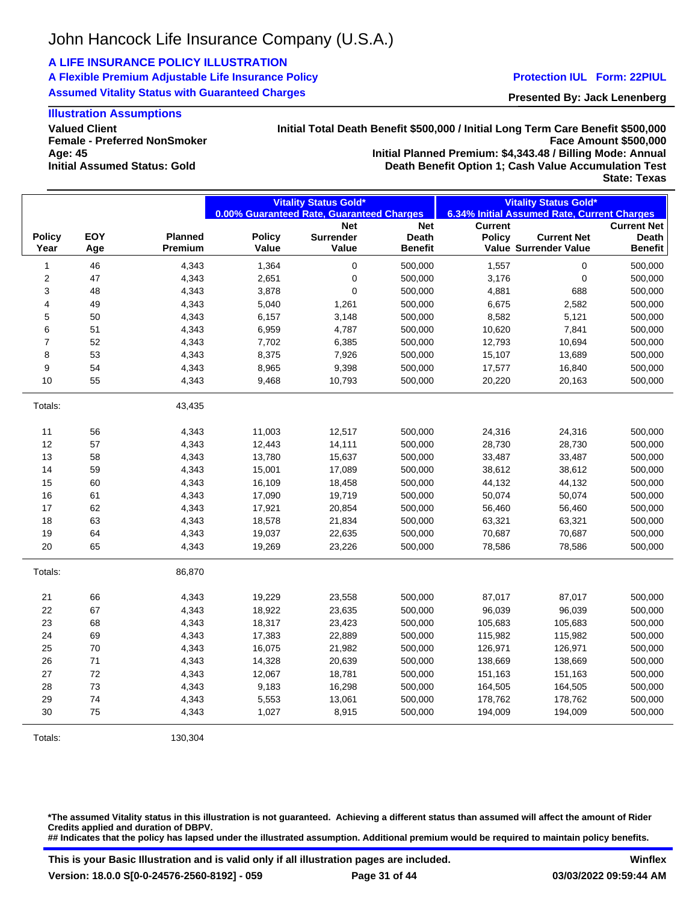## **A LIFE INSURANCE POLICY ILLUSTRATION**

**A Flexible Premium Adjustable Life Insurance Policy Assumed Vitality Status with Guaranteed Charges**

#### **Protection IUL Form: 22PIUL**

**Presented By: Jack Lenenberg**

## **Illustration Assumptions**

**Valued Client Female - Preferred NonSmoker Age: 45 Initial Assumed Status: Gold**

#### **Initial Total Death Benefit \$500,000 / Initial Long Term Care Benefit \$500,000 Face Amount \$500,000 Initial Planned Premium: \$4,343.48 / Billing Mode: Annual Death Benefit Option 1; Cash Value Accumulation Test State: Texas**

| <b>Policy</b><br>Year | EOY<br>Age | Planned |               | 0.00% Guaranteed Rate, Guaranteed Charges |                |                | 6.34% Initial Assumed Rate, Current Charges |                    |
|-----------------------|------------|---------|---------------|-------------------------------------------|----------------|----------------|---------------------------------------------|--------------------|
|                       |            |         |               |                                           |                |                |                                             |                    |
|                       |            |         |               | <b>Net</b>                                | <b>Net</b>     | <b>Current</b> |                                             | <b>Current Net</b> |
|                       |            |         | <b>Policy</b> | <b>Surrender</b>                          | <b>Death</b>   | <b>Policy</b>  | <b>Current Net</b>                          | Death              |
|                       |            | Premium | Value         | Value                                     | <b>Benefit</b> |                | Value Surrender Value                       | <b>Benefit</b>     |
| 1                     | 46         | 4,343   | 1,364         | $\pmb{0}$                                 | 500,000        | 1,557          | 0                                           | 500,000            |
| 2                     | 47         | 4,343   | 2,651         | $\pmb{0}$                                 | 500,000        | 3,176          | 0                                           | 500,000            |
| 3                     | 48         | 4,343   | 3,878         | $\pmb{0}$                                 | 500,000        | 4,881          | 688                                         | 500,000            |
| 4                     | 49         | 4,343   | 5,040         | 1,261                                     | 500,000        | 6,675          | 2,582                                       | 500,000            |
| 5                     | 50         | 4,343   | 6,157         | 3,148                                     | 500,000        | 8,582          | 5,121                                       | 500,000            |
| 6                     | 51         | 4,343   | 6,959         | 4,787                                     | 500,000        | 10,620         | 7,841                                       | 500,000            |
| $\overline{7}$        | 52         | 4,343   | 7,702         | 6,385                                     | 500,000        | 12,793         | 10,694                                      | 500,000            |
| 8                     | 53         | 4,343   | 8,375         | 7,926                                     | 500,000        | 15,107         | 13,689                                      | 500,000            |
| 9                     | 54         | 4,343   | 8,965         | 9,398                                     | 500,000        | 17,577         | 16,840                                      | 500,000            |
| 10                    | 55         | 4,343   | 9,468         | 10,793                                    | 500,000        | 20,220         | 20,163                                      | 500,000            |
| Totals:               |            | 43,435  |               |                                           |                |                |                                             |                    |
| 11                    | 56         | 4,343   | 11,003        | 12,517                                    | 500,000        | 24,316         | 24,316                                      | 500,000            |
| 12                    | 57         | 4,343   | 12,443        | 14,111                                    | 500,000        | 28,730         | 28,730                                      | 500,000            |
| 13                    | 58         | 4,343   | 13,780        | 15,637                                    | 500,000        | 33,487         | 33,487                                      | 500,000            |
| 14                    | 59         | 4,343   | 15,001        | 17,089                                    | 500,000        | 38,612         | 38,612                                      | 500,000            |
| 15                    | 60         | 4,343   | 16,109        | 18,458                                    | 500,000        | 44,132         | 44,132                                      | 500,000            |
| 16                    | 61         | 4,343   | 17,090        | 19,719                                    | 500,000        | 50,074         | 50,074                                      | 500,000            |
| 17                    | 62         | 4,343   | 17,921        | 20,854                                    | 500,000        | 56,460         | 56,460                                      | 500,000            |
| 18                    | 63         | 4,343   | 18,578        | 21,834                                    | 500,000        | 63,321         | 63,321                                      | 500,000            |
| 19                    | 64         | 4,343   | 19,037        | 22,635                                    | 500,000        | 70,687         | 70,687                                      | 500,000            |
| 20                    | 65         | 4,343   | 19,269        | 23,226                                    | 500,000        | 78,586         | 78,586                                      | 500,000            |
| Totals:               |            | 86,870  |               |                                           |                |                |                                             |                    |
| 21                    | 66         | 4,343   | 19,229        | 23,558                                    | 500,000        | 87,017         | 87,017                                      | 500,000            |
| 22                    | 67         | 4,343   | 18,922        | 23,635                                    | 500,000        | 96,039         | 96,039                                      | 500,000            |
| 23                    | 68         | 4,343   | 18,317        | 23,423                                    | 500,000        | 105,683        | 105,683                                     | 500,000            |
| 24                    | 69         | 4,343   | 17,383        | 22,889                                    | 500,000        | 115,982        | 115,982                                     | 500,000            |
| 25                    | 70         | 4,343   | 16,075        | 21,982                                    | 500,000        | 126,971        | 126,971                                     | 500,000            |
| 26                    | 71         | 4,343   | 14,328        | 20,639                                    | 500,000        | 138,669        | 138,669                                     | 500,000            |
| 27                    | 72         | 4,343   | 12,067        | 18,781                                    | 500,000        | 151,163        | 151,163                                     | 500,000            |
| 28                    | 73         | 4,343   | 9,183         | 16,298                                    | 500,000        | 164,505        | 164,505                                     | 500,000            |
| 29                    | 74         | 4,343   | 5,553         | 13,061                                    | 500,000        | 178,762        | 178,762                                     | 500,000            |
| 30                    | 75         | 4,343   | 1,027         | 8,915                                     | 500,000        | 194,009        | 194,009                                     | 500,000            |

Totals: 130,304

**\*The assumed Vitality status in this illustration is not guaranteed. Achieving a different status than assumed will affect the amount of Rider Credits applied and duration of DBPV. ## Indicates that the policy has lapsed under the illustrated assumption. Additional premium would be required to maintain policy benefits.**

**This is your Basic Illustration and is valid only if all illustration pages are included. Version: 18.0.0 S[0-0-24576-2560-8192] - 059 Page 31 of 44**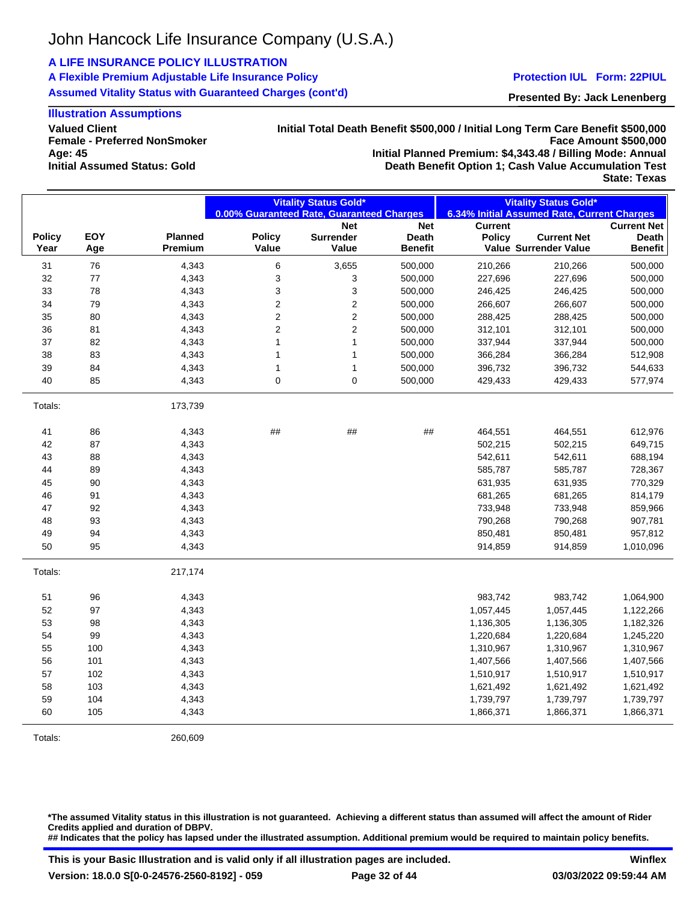## **A LIFE INSURANCE POLICY ILLUSTRATION**

**A Flexible Premium Adjustable Life Insurance Policy Assumed Vitality Status with Guaranteed Charges (cont'd)**

#### **Protection IUL Form: 22PIUL**

**Presented By: Jack Lenenberg**

## **Illustration Assumptions**

**Valued Client Female - Preferred NonSmoker Age: 45 Initial Assumed Status: Gold**

#### **Initial Total Death Benefit \$500,000 / Initial Long Term Care Benefit \$500,000 Face Amount \$500,000 Initial Planned Premium: \$4,343.48 / Billing Mode: Annual Death Benefit Option 1; Cash Value Accumulation Test**

**State: Texas**

|               |            |                | <b>Vitality Status Gold*</b><br>0.00% Guaranteed Rate, Guaranteed Charges |                                | <b>Vitality Status Gold*</b><br>6.34% Initial Assumed Rate, Current Charges |                                 |                       |                             |
|---------------|------------|----------------|---------------------------------------------------------------------------|--------------------------------|-----------------------------------------------------------------------------|---------------------------------|-----------------------|-----------------------------|
|               |            |                |                                                                           |                                |                                                                             |                                 |                       |                             |
| <b>Policy</b> | <b>EOY</b> | <b>Planned</b> | <b>Policy</b>                                                             | <b>Net</b><br><b>Surrender</b> | <b>Net</b><br><b>Death</b>                                                  | <b>Current</b><br><b>Policy</b> | <b>Current Net</b>    | <b>Current Net</b><br>Death |
| Year          | Age        | <b>Premium</b> | Value                                                                     | Value                          | <b>Benefit</b>                                                              |                                 | Value Surrender Value | <b>Benefit</b>              |
| 31            | 76         | 4,343          | 6                                                                         | 3,655                          | 500,000                                                                     | 210,266                         | 210,266               | 500,000                     |
| 32            | 77         | 4,343          | 3                                                                         | 3                              | 500,000                                                                     | 227,696                         | 227,696               | 500,000                     |
| 33            | 78         | 4,343          | 3                                                                         | 3                              | 500,000                                                                     | 246,425                         | 246,425               | 500,000                     |
| 34            | 79         | 4,343          | $\overline{\mathbf{c}}$                                                   | $\overline{\mathbf{c}}$        | 500,000                                                                     | 266,607                         | 266,607               | 500,000                     |
| 35            | 80         | 4,343          | 2                                                                         | $\boldsymbol{2}$               | 500,000                                                                     | 288,425                         | 288,425               | 500,000                     |
| 36            | 81         | 4,343          | 2                                                                         | $\boldsymbol{2}$               | 500,000                                                                     | 312,101                         | 312,101               | 500,000                     |
| 37            | 82         | 4,343          | 1                                                                         | $\mathbf{1}$                   | 500,000                                                                     | 337,944                         | 337,944               | 500,000                     |
| 38            | 83         | 4,343          | 1                                                                         | 1                              | 500,000                                                                     | 366,284                         | 366,284               | 512,908                     |
| 39            | 84         | 4,343          | 1                                                                         | 1                              | 500,000                                                                     | 396,732                         | 396,732               | 544,633                     |
| 40            | 85         | 4,343          | 0                                                                         | $\mathbf 0$                    | 500,000                                                                     | 429,433                         | 429,433               | 577,974                     |
| Totals:       |            | 173,739        |                                                                           |                                |                                                                             |                                 |                       |                             |
| 41            | 86         | 4,343          | $\# \#$                                                                   | ##                             | ##                                                                          | 464,551                         | 464,551               | 612,976                     |
| 42            | 87         | 4,343          |                                                                           |                                |                                                                             | 502,215                         | 502,215               | 649,715                     |
| 43            | 88         | 4,343          |                                                                           |                                |                                                                             | 542,611                         | 542,611               | 688,194                     |
| 44            | 89         | 4,343          |                                                                           |                                |                                                                             | 585,787                         | 585,787               | 728,367                     |
| 45            | 90         | 4,343          |                                                                           |                                |                                                                             | 631,935                         | 631,935               | 770,329                     |
| 46            | 91         | 4,343          |                                                                           |                                |                                                                             | 681,265                         | 681,265               | 814,179                     |
| 47            | 92         | 4,343          |                                                                           |                                |                                                                             | 733,948                         | 733,948               | 859,966                     |
| 48            | 93         | 4,343          |                                                                           |                                |                                                                             | 790,268                         | 790,268               | 907,781                     |
| 49            | 94         | 4,343          |                                                                           |                                |                                                                             | 850,481                         | 850,481               | 957,812                     |
| 50            | 95         | 4,343          |                                                                           |                                |                                                                             | 914,859                         | 914,859               | 1,010,096                   |
| Totals:       |            | 217,174        |                                                                           |                                |                                                                             |                                 |                       |                             |
| 51            | 96         | 4,343          |                                                                           |                                |                                                                             | 983,742                         | 983,742               | 1,064,900                   |
| 52            | 97         | 4,343          |                                                                           |                                |                                                                             | 1,057,445                       | 1,057,445             | 1,122,266                   |
| 53            | 98         | 4,343          |                                                                           |                                |                                                                             | 1,136,305                       | 1,136,305             | 1,182,326                   |
| 54            | 99         | 4,343          |                                                                           |                                |                                                                             | 1,220,684                       | 1,220,684             | 1,245,220                   |
| 55            | 100        | 4,343          |                                                                           |                                |                                                                             | 1,310,967                       | 1,310,967             | 1,310,967                   |
| 56            | 101        | 4,343          |                                                                           |                                |                                                                             | 1,407,566                       | 1,407,566             | 1,407,566                   |
| 57            | 102        | 4,343          |                                                                           |                                |                                                                             | 1,510,917                       | 1,510,917             | 1,510,917                   |
| 58            | 103        | 4,343          |                                                                           |                                |                                                                             | 1,621,492                       | 1,621,492             | 1,621,492                   |
| 59            | 104        | 4,343          |                                                                           |                                |                                                                             | 1,739,797                       | 1,739,797             | 1,739,797                   |
| 60            | 105        | 4,343          |                                                                           |                                |                                                                             | 1,866,371                       | 1,866,371             | 1,866,371                   |

Totals: 260,609

**\*The assumed Vitality status in this illustration is not guaranteed. Achieving a different status than assumed will affect the amount of Rider Credits applied and duration of DBPV. ## Indicates that the policy has lapsed under the illustrated assumption. Additional premium would be required to maintain policy benefits.**

**This is your Basic Illustration and is valid only if all illustration pages are included. Version: 18.0.0 S[0-0-24576-2560-8192] - 059 Page 32 of 44**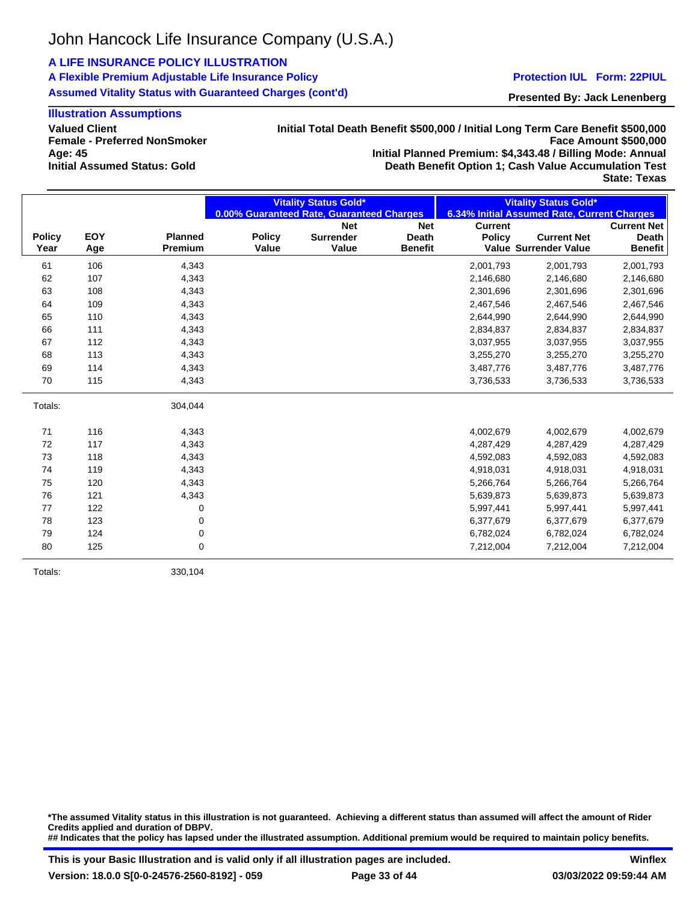## **A LIFE INSURANCE POLICY ILLUSTRATION**

**A Flexible Premium Adjustable Life Insurance Policy Assumed Vitality Status with Guaranteed Charges (cont'd)**

#### **Protection IUL Form: 22PIUL**

**Presented By: Jack Lenenberg**

## **Illustration Assumptions**

**Valued Client Female - Preferred NonSmoker Age: 45 Initial Assumed Status: Gold**

**Initial Total Death Benefit \$500,000 / Initial Long Term Care Benefit \$500,000 Face Amount \$500,000 Initial Planned Premium: \$4,343.48 / Billing Mode: Annual Death Benefit Option 1; Cash Value Accumulation Test**

**State: Texas**

|               |            |                | <b>Vitality Status Gold*</b> |                                           | <b>Vitality Status Gold*</b> |                |                                             |                    |
|---------------|------------|----------------|------------------------------|-------------------------------------------|------------------------------|----------------|---------------------------------------------|--------------------|
|               |            |                |                              | 0.00% Guaranteed Rate, Guaranteed Charges |                              |                | 6.34% Initial Assumed Rate, Current Charges |                    |
|               |            |                |                              | <b>Net</b>                                | <b>Net</b>                   | <b>Current</b> |                                             | <b>Current Net</b> |
| <b>Policy</b> | <b>EOY</b> | <b>Planned</b> | <b>Policy</b>                | <b>Surrender</b>                          | <b>Death</b>                 | <b>Policy</b>  | <b>Current Net</b>                          | <b>Death</b>       |
| Year          | Age        | Premium        | Value                        | Value                                     | <b>Benefit</b>               |                | Value Surrender Value                       | <b>Benefit</b>     |
| 61            | 106        | 4,343          |                              |                                           |                              | 2,001,793      | 2,001,793                                   | 2,001,793          |
| 62            | 107        | 4,343          |                              |                                           |                              | 2,146,680      | 2,146,680                                   | 2,146,680          |
| 63            | 108        | 4,343          |                              |                                           |                              | 2,301,696      | 2,301,696                                   | 2,301,696          |
| 64            | 109        | 4,343          |                              |                                           |                              | 2,467,546      | 2,467,546                                   | 2,467,546          |
| 65            | 110        | 4,343          |                              |                                           |                              | 2,644,990      | 2,644,990                                   | 2,644,990          |
| 66            | 111        | 4,343          |                              |                                           |                              | 2,834,837      | 2,834,837                                   | 2,834,837          |
| 67            | 112        | 4,343          |                              |                                           |                              | 3,037,955      | 3,037,955                                   | 3,037,955          |
| 68            | 113        | 4,343          |                              |                                           |                              | 3,255,270      | 3,255,270                                   | 3,255,270          |
| 69            | 114        | 4,343          |                              |                                           |                              | 3,487,776      | 3,487,776                                   | 3,487,776          |
| 70            | 115        | 4,343          |                              |                                           |                              | 3,736,533      | 3,736,533                                   | 3,736,533          |
| Totals:       |            | 304,044        |                              |                                           |                              |                |                                             |                    |
| 71            | 116        | 4,343          |                              |                                           |                              | 4,002,679      | 4,002,679                                   | 4,002,679          |
| 72            | 117        | 4,343          |                              |                                           |                              | 4,287,429      | 4,287,429                                   | 4,287,429          |
| 73            | 118        | 4,343          |                              |                                           |                              | 4,592,083      | 4,592,083                                   | 4,592,083          |
| 74            | 119        | 4,343          |                              |                                           |                              | 4,918,031      | 4,918,031                                   | 4,918,031          |
| 75            | 120        | 4,343          |                              |                                           |                              | 5,266,764      | 5,266,764                                   | 5,266,764          |
| 76            | 121        | 4,343          |                              |                                           |                              | 5,639,873      | 5,639,873                                   | 5,639,873          |
| 77            | 122        | 0              |                              |                                           |                              | 5,997,441      | 5,997,441                                   | 5,997,441          |
| 78            | 123        | 0              |                              |                                           |                              | 6,377,679      | 6,377,679                                   | 6,377,679          |
| 79            | 124        | 0              |                              |                                           |                              | 6,782,024      | 6,782,024                                   | 6,782,024          |
| 80            | 125        | 0              |                              |                                           |                              | 7,212,004      | 7,212,004                                   | 7,212,004          |

Totals: 330,104

**\*The assumed Vitality status in this illustration is not guaranteed. Achieving a different status than assumed will affect the amount of Rider Credits applied and duration of DBPV. ## Indicates that the policy has lapsed under the illustrated assumption. Additional premium would be required to maintain policy benefits.**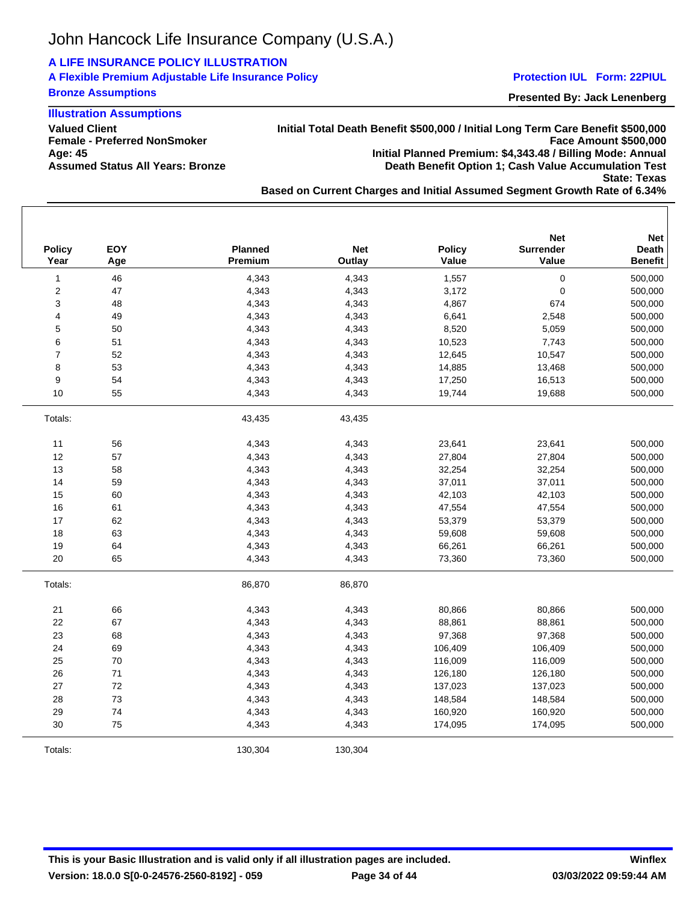## **A LIFE INSURANCE POLICY ILLUSTRATION**

## **A Flexible Premium Adjustable Life Insurance Policy Bronze Assumptions**

#### **Protection IUL Form: 22PIUL**

**Presented By: Jack Lenenberg**

## **Illustration Assumptions**

**Valued Client Female - Preferred NonSmoker Age: 45 Assumed Status All Years: Bronze** **Initial Total Death Benefit \$500,000 / Initial Long Term Care Benefit \$500,000 Face Amount \$500,000 Initial Planned Premium: \$4,343.48 / Billing Mode: Annual Death Benefit Option 1; Cash Value Accumulation Test State: Texas**

**Based on Current Charges and Initial Assumed Segment Growth Rate of 6.34%**

| <b>Policy</b><br>Year   | EOY<br>Age | <b>Planned</b><br>Premium | <b>Net</b><br>Outlay | <b>Policy</b><br>Value | <b>Net</b><br>Surrender<br>Value | <b>Net</b><br><b>Death</b><br><b>Benefit</b> |
|-------------------------|------------|---------------------------|----------------------|------------------------|----------------------------------|----------------------------------------------|
| $\mathbf{1}$            | 46         | 4,343                     | 4,343                | 1,557                  | $\pmb{0}$                        | 500,000                                      |
| $\boldsymbol{2}$        | 47         | 4,343                     | 4,343                | 3,172                  | $\pmb{0}$                        | 500,000                                      |
| 3                       | 48         | 4,343                     | 4,343                | 4,867                  | 674                              | 500,000                                      |
| $\overline{\mathbf{4}}$ | 49         | 4,343                     | 4,343                | 6,641                  | 2,548                            | 500,000                                      |
| 5                       | 50         | 4,343                     | 4,343                | 8,520                  | 5,059                            | 500,000                                      |
| 6                       | 51         | 4,343                     | 4,343                | 10,523                 | 7,743                            | 500,000                                      |
| $\overline{7}$          | 52         | 4,343                     | 4,343                | 12,645                 | 10,547                           | 500,000                                      |
| 8                       | 53         | 4,343                     | 4,343                | 14,885                 | 13,468                           | 500,000                                      |
| 9                       | 54         | 4,343                     | 4,343                | 17,250                 | 16,513                           | 500,000                                      |
| 10                      | 55         | 4,343                     | 4,343                | 19,744                 | 19,688                           | 500,000                                      |
| Totals:                 |            | 43,435                    | 43,435               |                        |                                  |                                              |
| 11                      | 56         | 4,343                     | 4,343                | 23,641                 | 23,641                           | 500,000                                      |
| 12                      | 57         | 4,343                     | 4,343                | 27,804                 | 27,804                           | 500,000                                      |
| 13                      | 58         | 4,343                     | 4,343                | 32,254                 | 32,254                           | 500,000                                      |
| 14                      | 59         | 4,343                     | 4,343                | 37,011                 | 37,011                           | 500,000                                      |
| 15                      | 60         | 4,343                     | 4,343                | 42,103                 | 42,103                           | 500,000                                      |
| 16                      | 61         | 4,343                     | 4,343                | 47,554                 | 47,554                           | 500,000                                      |
| 17                      | 62         | 4,343                     | 4,343                | 53,379                 | 53,379                           | 500,000                                      |
| 18                      | 63         | 4,343                     | 4,343                | 59,608                 | 59,608                           | 500,000                                      |
| 19                      | 64         | 4,343                     | 4,343                | 66,261                 | 66,261                           | 500,000                                      |
| 20                      | 65         | 4,343                     | 4,343                | 73,360                 | 73,360                           | 500,000                                      |
| Totals:                 |            | 86,870                    | 86,870               |                        |                                  |                                              |
| 21                      | 66         | 4,343                     | 4,343                | 80,866                 | 80,866                           | 500,000                                      |
| 22                      | 67         | 4,343                     | 4,343                | 88,861                 | 88,861                           | 500,000                                      |
| 23                      | 68         | 4,343                     | 4,343                | 97,368                 | 97,368                           | 500,000                                      |
| 24                      | 69         | 4,343                     | 4,343                | 106,409                | 106,409                          | 500,000                                      |
| 25                      | 70         | 4,343                     | 4,343                | 116,009                | 116,009                          | 500,000                                      |
| 26                      | 71         | 4,343                     | 4,343                | 126,180                | 126,180                          | 500,000                                      |
| 27                      | 72         | 4,343                     | 4,343                | 137,023                | 137,023                          | 500,000                                      |
| 28                      | 73         | 4,343                     | 4,343                | 148,584                | 148,584                          | 500,000                                      |
| 29                      | 74         | 4,343                     | 4,343                | 160,920                | 160,920                          | 500,000                                      |
| 30                      | 75         | 4,343                     | 4,343                | 174,095                | 174,095                          | 500,000                                      |
| Totals:                 |            | 130,304                   | 130,304              |                        |                                  |                                              |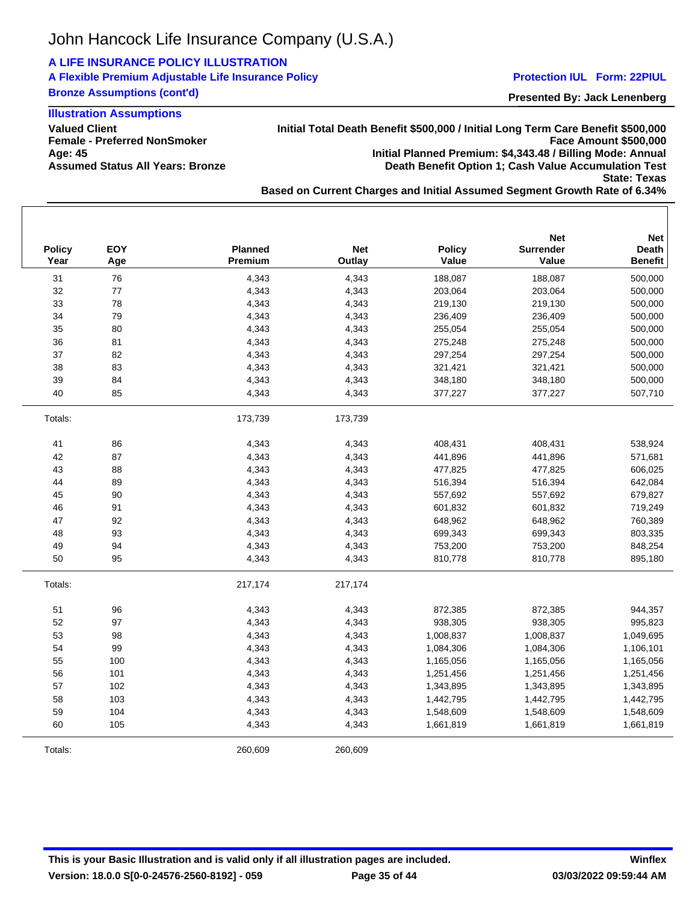# **A LIFE INSURANCE POLICY ILLUSTRATION**

## **A Flexible Premium Adjustable Life Insurance Policy Bronze Assumptions (cont'd)**

## **Illustration Assumptions**

**Valued Client Female - Preferred NonSmoker Age: 45 Assumed Status All Years: Bronze**

**Initial Total Death Benefit \$500,000 / Initial Long Term Care Benefit \$500,000 Face Amount \$500,000 Initial Planned Premium: \$4,343.48 / Billing Mode: Annual Death Benefit Option 1; Cash Value Accumulation Test State: Texas**

**Based on Current Charges and Initial Assumed Segment Growth Rate of 6.34%**

| <b>Policy</b><br>Year | <b>EOY</b><br>Age | Planned<br>Premium | <b>Net</b><br>Outlay | <b>Policy</b><br>Value | <b>Net</b><br><b>Surrender</b><br>Value | <b>Net</b><br><b>Death</b><br><b>Benefit</b> |
|-----------------------|-------------------|--------------------|----------------------|------------------------|-----------------------------------------|----------------------------------------------|
| 31                    | 76                | 4,343              | 4,343                | 188,087                | 188,087                                 | 500,000                                      |
| 32                    | 77                | 4,343              | 4,343                | 203,064                | 203,064                                 | 500,000                                      |
| 33                    | 78                | 4,343              | 4,343                | 219,130                | 219,130                                 | 500,000                                      |
| 34                    | 79                | 4,343              | 4,343                | 236,409                | 236,409                                 | 500,000                                      |
| 35                    | 80                | 4,343              | 4,343                | 255,054                | 255,054                                 | 500,000                                      |
| 36                    | 81                | 4,343              | 4,343                | 275,248                | 275,248                                 | 500,000                                      |
| 37                    | 82                | 4,343              | 4,343                | 297,254                | 297,254                                 | 500,000                                      |
| 38                    | 83                | 4,343              | 4,343                | 321,421                | 321,421                                 | 500,000                                      |
| 39                    | 84                | 4,343              | 4,343                | 348,180                | 348,180                                 | 500,000                                      |
| 40                    | 85                | 4,343              | 4,343                | 377,227                | 377,227                                 | 507,710                                      |
| Totals:               |                   | 173,739            | 173,739              |                        |                                         |                                              |
| 41                    | 86                | 4,343              | 4,343                | 408,431                | 408,431                                 | 538,924                                      |
| 42                    | 87                | 4,343              | 4,343                | 441,896                | 441,896                                 | 571,681                                      |
| 43                    | 88                | 4,343              | 4,343                | 477,825                | 477,825                                 | 606,025                                      |
| 44                    | 89                | 4,343              | 4,343                | 516,394                | 516,394                                 | 642,084                                      |
| 45                    | 90                | 4,343              | 4,343                | 557,692                | 557,692                                 | 679,827                                      |
| 46                    | 91                | 4,343              | 4,343                | 601,832                | 601,832                                 | 719,249                                      |
| 47                    | 92                | 4,343              | 4,343                | 648,962                | 648,962                                 | 760,389                                      |
| 48                    | 93                | 4,343              | 4,343                | 699,343                | 699,343                                 | 803,335                                      |
| 49                    | 94                | 4,343              | 4,343                | 753,200                | 753,200                                 | 848,254                                      |
| 50                    | 95                | 4,343              | 4,343                | 810,778                | 810,778                                 | 895,180                                      |
| Totals:               |                   | 217,174            | 217,174              |                        |                                         |                                              |
| 51                    | 96                | 4,343              | 4,343                | 872,385                | 872,385                                 | 944,357                                      |
| 52                    | 97                | 4,343              | 4,343                | 938,305                | 938,305                                 | 995,823                                      |
| 53                    | 98                | 4,343              | 4,343                | 1,008,837              | 1,008,837                               | 1,049,695                                    |
| 54                    | 99                | 4,343              | 4,343                | 1,084,306              | 1,084,306                               | 1,106,101                                    |
| 55                    | 100               | 4,343              | 4,343                | 1,165,056              | 1,165,056                               | 1,165,056                                    |
| 56                    | 101               | 4,343              | 4,343                | 1,251,456              | 1,251,456                               | 1,251,456                                    |
| 57                    | 102               | 4,343              | 4,343                | 1,343,895              | 1,343,895                               | 1,343,895                                    |
| 58                    | 103               | 4,343              | 4,343                | 1,442,795              | 1,442,795                               | 1,442,795                                    |
| 59                    | 104               | 4,343              | 4,343                | 1,548,609              | 1,548,609                               | 1,548,609                                    |
| 60                    | 105               | 4,343              | 4,343                | 1,661,819              | 1,661,819                               | 1,661,819                                    |
| Totals:               |                   | 260,609            | 260,609              |                        |                                         |                                              |

#### **Protection IUL Form: 22PIUL**

**Presented By: Jack Lenenberg**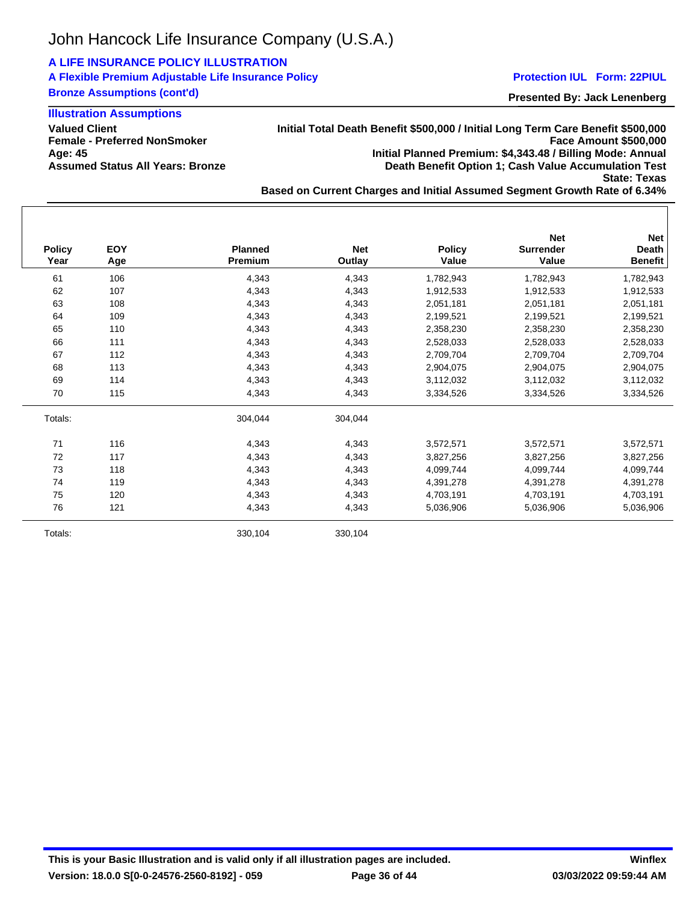# **A LIFE INSURANCE POLICY ILLUSTRATION**

## **A Flexible Premium Adjustable Life Insurance Policy Bronze Assumptions (cont'd)**

**Illustration Assumptions**

**Valued Client Female - Preferred NonSmoker Age: 45 Assumed Status All Years: Bronze** **Initial Total Death Benefit \$500,000 / Initial Long Term Care Benefit \$500,000 Face Amount \$500,000 Initial Planned Premium: \$4,343.48 / Billing Mode: Annual Death Benefit Option 1; Cash Value Accumulation Test State: Texas**

**Based on Current Charges and Initial Assumed Segment Growth Rate of 6.34%**

| <b>Policy</b><br>Year | <b>EOY</b><br>Age | <b>Planned</b><br>Premium | <b>Net</b><br>Outlay | <b>Policy</b><br>Value | <b>Net</b><br><b>Surrender</b><br>Value | <b>Net</b><br><b>Death</b><br><b>Benefit</b> |
|-----------------------|-------------------|---------------------------|----------------------|------------------------|-----------------------------------------|----------------------------------------------|
| 61                    | 106               | 4,343                     | 4,343                | 1,782,943              | 1,782,943                               | 1,782,943                                    |
| 62                    | 107               | 4,343                     | 4,343                | 1,912,533              | 1,912,533                               | 1,912,533                                    |
| 63                    | 108               | 4,343                     | 4,343                | 2,051,181              | 2,051,181                               | 2,051,181                                    |
| 64                    | 109               | 4,343                     | 4,343                | 2,199,521              | 2,199,521                               | 2,199,521                                    |
| 65                    | 110               | 4,343                     | 4,343                | 2,358,230              | 2,358,230                               | 2,358,230                                    |
| 66                    | 111               | 4,343                     | 4,343                | 2,528,033              | 2,528,033                               | 2,528,033                                    |
| 67                    | 112               | 4,343                     | 4,343                | 2,709,704              | 2,709,704                               | 2,709,704                                    |
| 68                    | 113               | 4,343                     | 4,343                | 2,904,075              | 2,904,075                               | 2,904,075                                    |
| 69                    | 114               | 4,343                     | 4,343                | 3,112,032              | 3,112,032                               | 3,112,032                                    |
| 70                    | 115               | 4,343                     | 4,343                | 3,334,526              | 3,334,526                               | 3,334,526                                    |
| Totals:               |                   | 304,044                   | 304,044              |                        |                                         |                                              |
| 71                    | 116               | 4,343                     | 4,343                | 3,572,571              | 3,572,571                               | 3,572,571                                    |
| 72                    | 117               | 4,343                     | 4,343                | 3,827,256              | 3,827,256                               | 3,827,256                                    |
| 73                    | 118               | 4,343                     | 4,343                | 4,099,744              | 4,099,744                               | 4,099,744                                    |
| 74                    | 119               | 4,343                     | 4,343                | 4,391,278              | 4,391,278                               | 4,391,278                                    |
| 75                    | 120               | 4,343                     | 4,343                | 4,703,191              | 4,703,191                               | 4,703,191                                    |
| 76                    | 121               | 4,343                     | 4,343                | 5,036,906              | 5,036,906                               | 5,036,906                                    |
| Totals:               |                   | 330,104                   | 330,104              |                        |                                         |                                              |

**Protection IUL Form: 22PIUL**

**Presented By: Jack Lenenberg**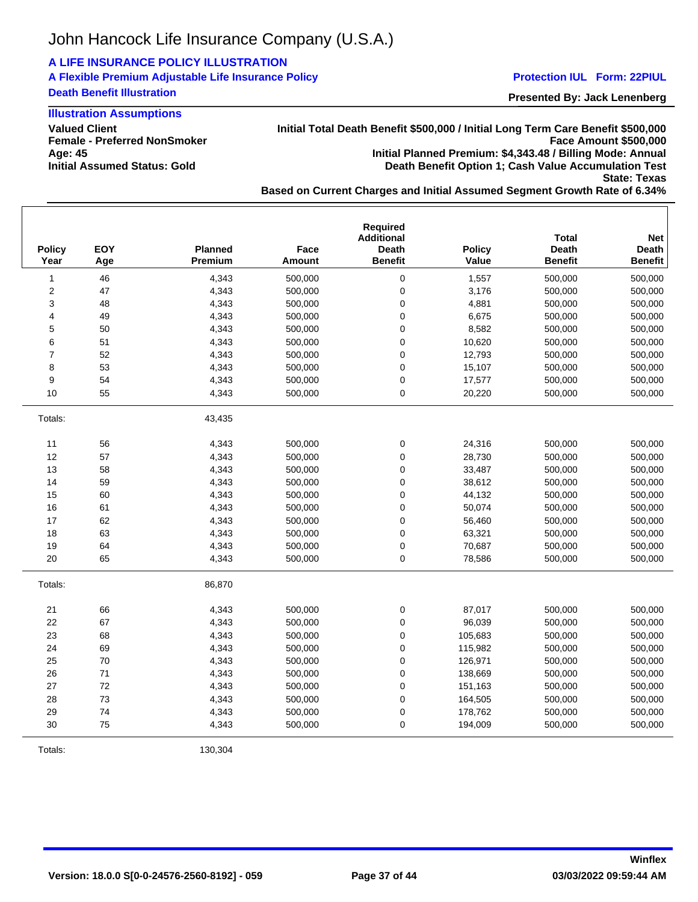## **A LIFE INSURANCE POLICY ILLUSTRATION**

**A Flexible Premium Adjustable Life Insurance Policy Death Benefit Illustration**

### **Illustration Assumptions**

**Valued Client Female - Preferred NonSmoker Age: 45 Initial Assumed Status: Gold**

**Initial Total Death Benefit \$500,000 / Initial Long Term Care Benefit \$500,000 Face Amount \$500,000 Initial Planned Premium: \$4,343.48 / Billing Mode: Annual Death Benefit Option 1; Cash Value Accumulation Test**

**State: Texas**

**Presented By: Jack Lenenberg Protection IUL Form: 22PIUL**

**Based on Current Charges and Initial Assumed Segment Growth Rate of 6.34%**

| <b>Policy</b><br>Year   | EOY<br>Age | Planned<br><b>Premium</b> | Face<br>Amount | <b>Required</b><br><b>Additional</b><br><b>Death</b><br><b>Benefit</b> | <b>Policy</b><br>Value | <b>Total</b><br>Death<br><b>Benefit</b> | <b>Net</b><br>Death<br><b>Benefit</b> |
|-------------------------|------------|---------------------------|----------------|------------------------------------------------------------------------|------------------------|-----------------------------------------|---------------------------------------|
| $\mathbf{1}$            | 46         | 4,343                     | 500,000        | 0                                                                      | 1,557                  | 500,000                                 | 500.000                               |
| $\overline{\mathbf{c}}$ | 47         | 4,343                     | 500,000        | $\mathbf 0$                                                            | 3,176                  | 500,000                                 | 500,000                               |
| 3                       | 48         | 4,343                     | 500,000        | 0                                                                      | 4,881                  | 500,000                                 | 500,000                               |
| 4                       | 49         | 4,343                     | 500,000        | 0                                                                      | 6,675                  | 500,000                                 | 500,000                               |
| 5                       | 50         | 4,343                     | 500,000        | $\mathbf 0$                                                            | 8,582                  | 500,000                                 | 500,000                               |
| 6                       | 51         | 4,343                     | 500,000        | 0                                                                      | 10,620                 | 500,000                                 | 500,000                               |
| $\overline{7}$          | 52         | 4,343                     | 500,000        | $\pmb{0}$                                                              | 12,793                 | 500,000                                 | 500,000                               |
| 8                       | 53         | 4,343                     | 500,000        | 0                                                                      | 15,107                 | 500,000                                 | 500,000                               |
| 9                       | 54         | 4,343                     | 500,000        | $\mathbf 0$                                                            | 17,577                 | 500,000                                 | 500,000                               |
| 10                      | 55         | 4,343                     | 500,000        | 0                                                                      | 20,220                 | 500,000                                 | 500,000                               |
| Totals:                 |            | 43,435                    |                |                                                                        |                        |                                         |                                       |
| 11                      | 56         | 4,343                     | 500,000        | 0                                                                      | 24,316                 | 500,000                                 | 500,000                               |
| 12                      | 57         | 4,343                     | 500,000        | 0                                                                      | 28,730                 | 500,000                                 | 500,000                               |
| 13                      | 58         | 4,343                     | 500,000        | $\mathbf 0$                                                            | 33,487                 | 500,000                                 | 500,000                               |
| 14                      | 59         | 4,343                     | 500,000        | 0                                                                      | 38,612                 | 500,000                                 | 500,000                               |
| 15                      | 60         | 4,343                     | 500,000        | $\mathbf 0$                                                            | 44,132                 | 500,000                                 | 500,000                               |
| 16                      | 61         | 4,343                     | 500,000        | 0                                                                      | 50,074                 | 500,000                                 | 500,000                               |
| 17                      | 62         | 4,343                     | 500,000        | 0                                                                      | 56,460                 | 500,000                                 | 500,000                               |
| 18                      | 63         | 4,343                     | 500,000        | $\mathsf 0$                                                            | 63,321                 | 500,000                                 | 500,000                               |
| 19                      | 64         | 4,343                     | 500,000        | 0                                                                      | 70,687                 | 500,000                                 | 500,000                               |
| 20                      | 65         | 4,343                     | 500,000        | 0                                                                      | 78,586                 | 500,000                                 | 500,000                               |
| Totals:                 |            | 86,870                    |                |                                                                        |                        |                                         |                                       |
| 21                      | 66         | 4,343                     | 500,000        | 0                                                                      | 87,017                 | 500,000                                 | 500,000                               |
| 22                      | 67         | 4,343                     | 500,000        | 0                                                                      | 96,039                 | 500,000                                 | 500,000                               |
| 23                      | 68         | 4,343                     | 500,000        | $\mathbf 0$                                                            | 105,683                | 500,000                                 | 500,000                               |
| 24                      | 69         | 4,343                     | 500,000        | 0                                                                      | 115,982                | 500,000                                 | 500,000                               |
| 25                      | 70         | 4,343                     | 500,000        | 0                                                                      | 126,971                | 500,000                                 | 500,000                               |
| 26                      | 71         | 4,343                     | 500,000        | 0                                                                      | 138,669                | 500,000                                 | 500,000                               |
| 27                      | 72         | 4,343                     | 500,000        | $\mathbf 0$                                                            | 151,163                | 500,000                                 | 500,000                               |
| 28                      | 73         | 4,343                     | 500,000        | 0                                                                      | 164,505                | 500,000                                 | 500,000                               |
| 29                      | 74         | 4,343                     | 500,000        | $\mathbf 0$                                                            | 178,762                | 500,000                                 | 500,000                               |
| 30                      | 75         | 4,343                     | 500,000        | 0                                                                      | 194,009                | 500,000                                 | 500,000                               |

Totals: 130,304

**Version: 18.0.0 S[0-0-24576-2560-8192] - 059**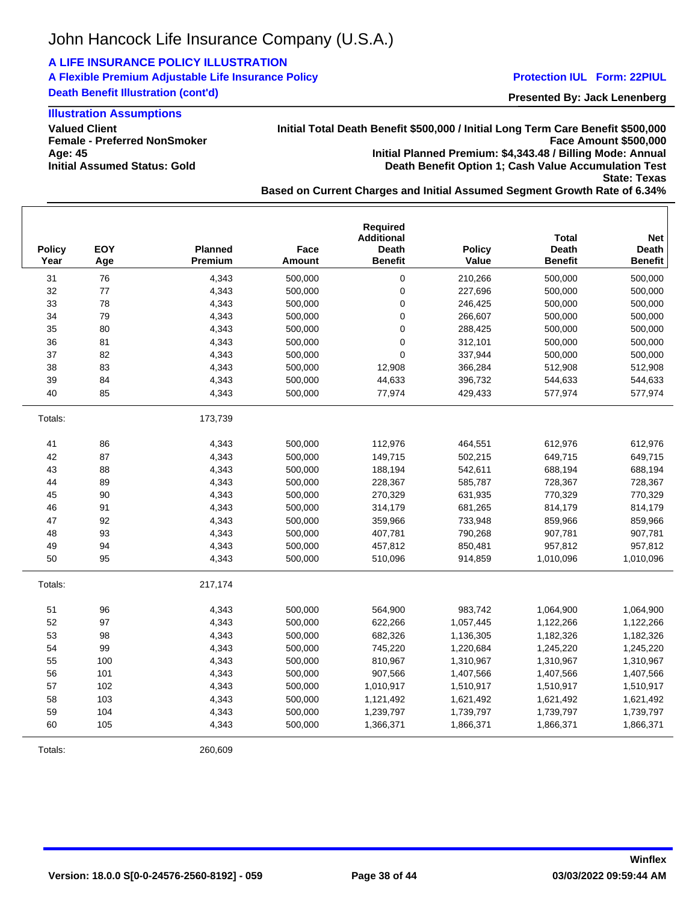## **A LIFE INSURANCE POLICY ILLUSTRATION**

**A Flexible Premium Adjustable Life Insurance Policy Death Benefit Illustration (cont'd)**

## **Illustration Assumptions**

**Valued Client Female - Preferred NonSmoker Age: 45 Initial Assumed Status: Gold**

## **Initial Total Death Benefit \$500,000 / Initial Long Term Care Benefit \$500,000 Face Amount \$500,000 Initial Planned Premium: \$4,343.48 / Billing Mode: Annual Death Benefit Option 1; Cash Value Accumulation Test**

**State: Texas**

**Based on Current Charges and Initial Assumed Segment Growth Rate of 6.34%**

| <b>Policy</b><br>Year | EOY<br>Age | <b>Planned</b><br>Premium | Face<br><b>Amount</b> | Required<br><b>Additional</b><br><b>Death</b><br><b>Benefit</b> | <b>Policy</b><br>Value | <b>Total</b><br><b>Death</b><br><b>Benefit</b> | <b>Net</b><br><b>Death</b><br><b>Benefit</b> |
|-----------------------|------------|---------------------------|-----------------------|-----------------------------------------------------------------|------------------------|------------------------------------------------|----------------------------------------------|
| 31                    | 76         | 4,343                     | 500.000               | 0                                                               | 210,266                | 500,000                                        | 500,000                                      |
| 32                    | 77         | 4,343                     | 500,000               | 0                                                               | 227,696                | 500,000                                        | 500,000                                      |
| 33                    | 78         | 4,343                     | 500,000               | 0                                                               | 246,425                | 500,000                                        | 500,000                                      |
| 34                    | 79         | 4,343                     | 500,000               | $\mathsf 0$                                                     | 266,607                | 500,000                                        | 500,000                                      |
| 35                    | 80         | 4,343                     | 500,000               | $\mathsf 0$                                                     | 288,425                | 500,000                                        | 500,000                                      |
| 36                    | 81         | 4,343                     | 500,000               | $\mathsf 0$                                                     | 312,101                | 500,000                                        | 500,000                                      |
| 37                    | 82         | 4,343                     | 500,000               | 0                                                               | 337,944                | 500,000                                        | 500,000                                      |
| 38                    | 83         | 4,343                     | 500,000               | 12,908                                                          | 366,284                | 512,908                                        | 512,908                                      |
| 39                    | 84         | 4,343                     | 500,000               | 44,633                                                          | 396,732                | 544,633                                        | 544,633                                      |
| 40                    | 85         | 4,343                     | 500,000               | 77,974                                                          | 429,433                | 577,974                                        | 577,974                                      |
| Totals:               |            | 173.739                   |                       |                                                                 |                        |                                                |                                              |
| 41                    | 86         | 4,343                     | 500,000               | 112,976                                                         | 464,551                | 612,976                                        | 612,976                                      |
| 42                    | 87         | 4,343                     | 500,000               | 149,715                                                         | 502,215                | 649,715                                        | 649,715                                      |
| 43                    | 88         | 4,343                     | 500,000               | 188,194                                                         | 542,611                | 688,194                                        | 688,194                                      |
| 44                    | 89         | 4,343                     | 500,000               | 228,367                                                         | 585,787                | 728,367                                        | 728,367                                      |
| 45                    | 90         | 4,343                     | 500,000               | 270,329                                                         | 631,935                | 770,329                                        | 770,329                                      |
| 46                    | 91         | 4,343                     | 500,000               | 314,179                                                         | 681,265                | 814,179                                        | 814,179                                      |
| 47                    | 92         | 4,343                     | 500,000               | 359,966                                                         | 733,948                | 859,966                                        | 859,966                                      |
| 48                    | 93         | 4,343                     | 500,000               | 407,781                                                         | 790,268                | 907,781                                        | 907,781                                      |
| 49                    | 94         | 4,343                     | 500,000               | 457,812                                                         | 850,481                | 957,812                                        | 957,812                                      |
| 50                    | 95         | 4,343                     | 500,000               | 510,096                                                         | 914,859                | 1,010,096                                      | 1,010,096                                    |
| Totals:               |            | 217,174                   |                       |                                                                 |                        |                                                |                                              |
| 51                    | 96         | 4,343                     | 500,000               | 564,900                                                         | 983,742                | 1,064,900                                      | 1,064,900                                    |
| 52                    | 97         | 4,343                     | 500,000               | 622,266                                                         | 1,057,445              | 1,122,266                                      | 1,122,266                                    |
| 53                    | 98         | 4,343                     | 500,000               | 682,326                                                         | 1,136,305              | 1,182,326                                      | 1,182,326                                    |
| 54                    | 99         | 4,343                     | 500,000               | 745,220                                                         | 1,220,684              | 1,245,220                                      | 1,245,220                                    |
| 55                    | 100        | 4,343                     | 500,000               | 810,967                                                         | 1,310,967              | 1,310,967                                      | 1,310,967                                    |
| 56                    | 101        | 4,343                     | 500,000               | 907,566                                                         | 1,407,566              | 1,407,566                                      | 1,407,566                                    |
| 57                    | 102        | 4,343                     | 500,000               | 1,010,917                                                       | 1,510,917              | 1,510,917                                      | 1,510,917                                    |
| 58                    | 103        | 4,343                     | 500,000               | 1,121,492                                                       | 1,621,492              | 1,621,492                                      | 1,621,492                                    |
| 59                    | 104        | 4,343                     | 500,000               | 1,239,797                                                       | 1,739,797              | 1,739,797                                      | 1,739,797                                    |
| 60                    | 105        | 4,343                     | 500,000               | 1,366,371                                                       | 1,866,371              | 1,866,371                                      | 1,866,371                                    |

Totals: 260,609

#### **Protection IUL Form: 22PIUL**

**Presented By: Jack Lenenberg**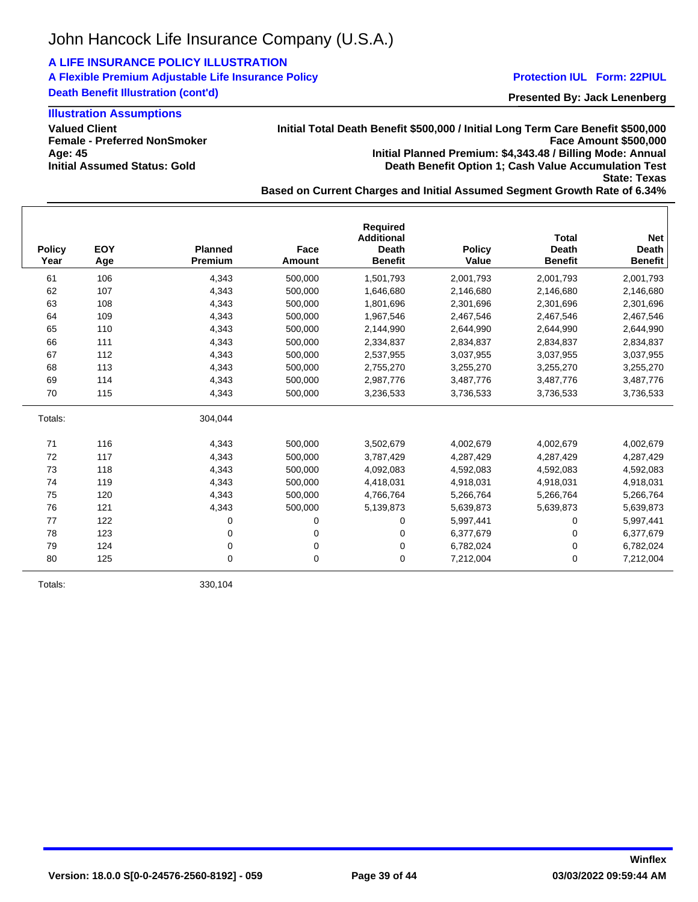## **A LIFE INSURANCE POLICY ILLUSTRATION**

**A Flexible Premium Adjustable Life Insurance Policy Death Benefit Illustration (cont'd)**

## **Illustration Assumptions**

**Valued Client Female - Preferred NonSmoker Age: 45 Initial Assumed Status: Gold**

## **Initial Total Death Benefit \$500,000 / Initial Long Term Care Benefit \$500,000 Face Amount \$500,000 Initial Planned Premium: \$4,343.48 / Billing Mode: Annual Death Benefit Option 1; Cash Value Accumulation Test**

**State: Texas**

**Presented By: Jack Lenenberg Protection IUL Form: 22PIUL**

**Based on Current Charges and Initial Assumed Segment Growth Rate of 6.34%**

| <b>Policy</b><br>Year | EOY<br>Age | <b>Planned</b><br><b>Premium</b> | Face<br>Amount | <b>Required</b><br><b>Additional</b><br><b>Death</b><br><b>Benefit</b> | <b>Policy</b><br>Value | <b>Total</b><br><b>Death</b><br><b>Benefit</b> | <b>Net</b><br><b>Death</b><br><b>Benefit</b> |
|-----------------------|------------|----------------------------------|----------------|------------------------------------------------------------------------|------------------------|------------------------------------------------|----------------------------------------------|
| 61                    | 106        | 4,343                            | 500,000        | 1,501,793                                                              | 2,001,793              | 2,001,793                                      | 2,001,793                                    |
| 62                    | 107        | 4,343                            | 500,000        | 1,646,680                                                              | 2,146,680              | 2,146,680                                      | 2,146,680                                    |
| 63                    | 108        | 4,343                            | 500.000        | 1.801.696                                                              | 2,301,696              | 2,301,696                                      | 2,301,696                                    |
| 64                    | 109        | 4,343                            | 500.000        | 1,967,546                                                              | 2,467,546              | 2,467,546                                      | 2,467,546                                    |
| 65                    | 110        | 4,343                            | 500,000        | 2,144,990                                                              | 2.644.990              | 2,644,990                                      | 2,644,990                                    |
| 66                    | 111        | 4,343                            | 500,000        | 2,334,837                                                              | 2,834,837              | 2,834,837                                      | 2,834,837                                    |
| 67                    | 112        | 4,343                            | 500,000        | 2,537,955                                                              | 3,037,955              | 3,037,955                                      | 3,037,955                                    |
| 68                    | 113        | 4,343                            | 500,000        | 2,755,270                                                              | 3,255,270              | 3,255,270                                      | 3,255,270                                    |
| 69                    | 114        | 4,343                            | 500,000        | 2,987,776                                                              | 3,487,776              | 3,487,776                                      | 3,487,776                                    |
| 70                    | 115        | 4,343                            | 500,000        | 3,236,533                                                              | 3,736,533              | 3,736,533                                      | 3,736,533                                    |
| Totals:               |            | 304,044                          |                |                                                                        |                        |                                                |                                              |
| 71                    | 116        | 4,343                            | 500,000        | 3,502,679                                                              | 4,002,679              | 4,002,679                                      | 4,002,679                                    |
| 72                    | 117        | 4,343                            | 500,000        | 3,787,429                                                              | 4,287,429              | 4,287,429                                      | 4,287,429                                    |
| 73                    | 118        | 4,343                            | 500,000        | 4,092,083                                                              | 4,592,083              | 4,592,083                                      | 4,592,083                                    |
| 74                    | 119        | 4,343                            | 500,000        | 4,418,031                                                              | 4,918,031              | 4,918,031                                      | 4,918,031                                    |
| 75                    | 120        | 4.343                            | 500.000        | 4,766,764                                                              | 5,266,764              | 5,266,764                                      | 5,266,764                                    |
| 76                    | 121        | 4,343                            | 500,000        | 5,139,873                                                              | 5,639,873              | 5,639,873                                      | 5,639,873                                    |
| 77                    | 122        | 0                                | 0              | 0                                                                      | 5,997,441              | 0                                              | 5,997,441                                    |
| 78                    | 123        | 0                                | 0              | 0                                                                      | 6,377,679              | 0                                              | 6,377,679                                    |
| 79                    | 124        | 0                                | 0              | 0                                                                      | 6,782,024              | 0                                              | 6,782,024                                    |
| 80                    | 125        | 0                                | 0              | 0                                                                      | 7,212,004              | 0                                              | 7,212,004                                    |

Totals: 330,104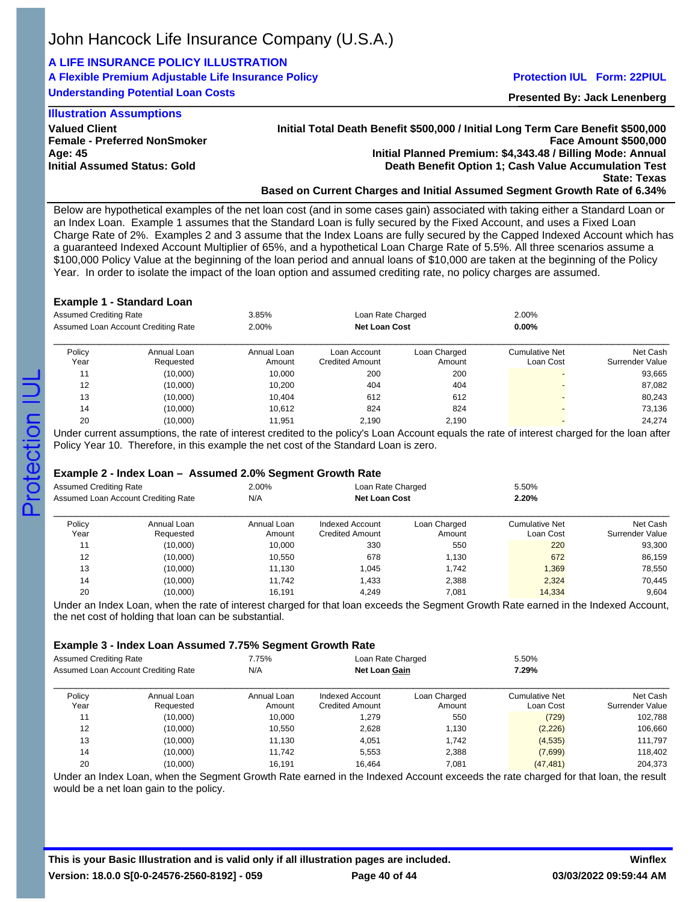# **A LIFE INSURANCE POLICY ILLUSTRATION**

# **A Flexible Premium Adjustable Life Insurance Policy**

**Understanding Potential Loan Costs**

### **Protection IUL Form: 22PIUL**

**Presented By: Jack Lenenberg**

### **Illustration Assumptions**

**Valued Client Female - Preferred NonSmoker Age: 45 Initial Assumed Status: Gold**

**Initial Total Death Benefit \$500,000 / Initial Long Term Care Benefit \$500,000 Face Amount \$500,000 Initial Planned Premium: \$4,343.48 / Billing Mode: Annual Death Benefit Option 1; Cash Value Accumulation Test State: Texas**

### **Based on Current Charges and Initial Assumed Segment Growth Rate of 6.34%**

Below are hypothetical examples of the net loan cost (and in some cases gain) associated with taking either a Standard Loan or an Index Loan. Example 1 assumes that the Standard Loan is fully secured by the Fixed Account, and uses a Fixed Loan Charge Rate of 2%. Examples 2 and 3 assume that the Index Loans are fully secured by the Capped Indexed Account which has a guaranteed Indexed Account Multiplier of 65%, and a hypothetical Loan Charge Rate of 5.5%. All three scenarios assume a \$100,000 Policy Value at the beginning of the loan period and annual loans of \$10,000 are taken at the beginning of the Policy Year. In order to isolate the impact of the loan option and assumed crediting rate, no policy charges are assumed.

#### **Example 1 - Standard Loan**

| <b>Assumed Crediting Rate</b><br>Assumed Loan Account Crediting Rate |                          | 3.85%<br>Loan Rate Charged<br><b>Net Loan Cost</b><br>2.00% |                                        |                        | 2.00%<br>$0.00\%$                  |                             |
|----------------------------------------------------------------------|--------------------------|-------------------------------------------------------------|----------------------------------------|------------------------|------------------------------------|-----------------------------|
| Policy<br>Year                                                       | Annual Loan<br>Requested | Annual Loan<br>Amount                                       | Loan Account<br><b>Credited Amount</b> | Loan Charged<br>Amount | <b>Cumulative Net</b><br>Loan Cost | Net Cash<br>Surrender Value |
| 11                                                                   | (10,000)                 | 10.000                                                      | 200                                    | 200                    |                                    | 93,665                      |
| 12                                                                   | (10,000)                 | 10.200                                                      | 404                                    | 404                    |                                    | 87,082                      |
| 13                                                                   | (10,000)                 | 10,404                                                      | 612                                    | 612                    |                                    | 80,243                      |
| 14                                                                   | (10,000)                 | 10,612                                                      | 824                                    | 824                    |                                    | 73,136                      |
| 20                                                                   | (10,000)                 | 11.951                                                      | 2.190                                  | 2,190                  |                                    | 24.274                      |

Under current assumptions, the rate of interest credited to the policy's Loan Account equals the rate of interest charged for the loan after Policy Year 10. Therefore, in this example the net cost of the Standard Loan is zero.

### **Example 2 - Index Loan – Assumed 2.0% Segment Growth Rate**

| Assumed Crediting Rate<br>Assumed Loan Account Crediting Rate |                          | 2.00%<br>Loan Rate Charged<br><b>Net Loan Cost</b><br>N/A |                                           |                        | 5.50%<br>2.20%                     |                             |
|---------------------------------------------------------------|--------------------------|-----------------------------------------------------------|-------------------------------------------|------------------------|------------------------------------|-----------------------------|
| Policy<br>Year                                                | Annual Loan<br>Requested | Annual Loan<br>Amount                                     | Indexed Account<br><b>Credited Amount</b> | Loan Charged<br>Amount | <b>Cumulative Net</b><br>Loan Cost | Net Cash<br>Surrender Value |
| 11                                                            | (10,000)                 | 10.000                                                    | 330                                       | 550                    | 220                                | 93,300                      |
| 12                                                            | (10,000)                 | 10.550                                                    | 678                                       | 1,130                  | 672                                | 86,159                      |
| 13                                                            | (10,000)                 | 11.130                                                    | 1,045                                     | 1.742                  | 1,369                              | 78,550                      |
| 14                                                            | (10,000)                 | 11.742                                                    | 1,433                                     | 2,388                  | 2,324                              | 70,445                      |
| 20                                                            | (10,000)                 | 16.191                                                    | 4.249                                     | 7,081                  | 14,334                             | 9,604                       |

Under an Index Loan, when the rate of interest charged for that loan exceeds the Segment Growth Rate earned in the Indexed Account, the net cost of holding that loan can be substantial.

### **Example 3 - Index Loan Assumed 7.75% Segment Growth Rate**

| Assumed Crediting Rate<br>Assumed Loan Account Crediting Rate |                          | 7.75%<br>Loan Rate Charged<br><b>Net Loan Gain</b><br>N/A |                                           |                        | 5.50%<br>7.29%                     |                             |
|---------------------------------------------------------------|--------------------------|-----------------------------------------------------------|-------------------------------------------|------------------------|------------------------------------|-----------------------------|
| Policy<br>Year                                                | Annual Loan<br>Requested | Annual Loan<br>Amount                                     | Indexed Account<br><b>Credited Amount</b> | Loan Charged<br>Amount | <b>Cumulative Net</b><br>Loan Cost | Net Cash<br>Surrender Value |
| 11                                                            | (10,000)                 | 10.000                                                    | 1.279                                     | 550                    | (729)                              | 102,788                     |
| 12                                                            | (10,000)                 | 10,550                                                    | 2,628                                     | 1,130                  | (2, 226)                           | 106,660                     |
| 13                                                            | (10,000)                 | 11.130                                                    | 4.051                                     | 1.742                  | (4,535)                            | 111.797                     |
| 14                                                            | (10,000)                 | 11.742                                                    | 5.553                                     | 2,388                  | (7,699)                            | 118,402                     |
| 20                                                            | (10,000)                 | 16,191                                                    | 16.464                                    | 7,081                  | (47, 481)                          | 204,373                     |

Under an Index Loan, when the Segment Growth Rate earned in the Indexed Account exceeds the rate charged for that loan, the result would be a net loan gain to the policy.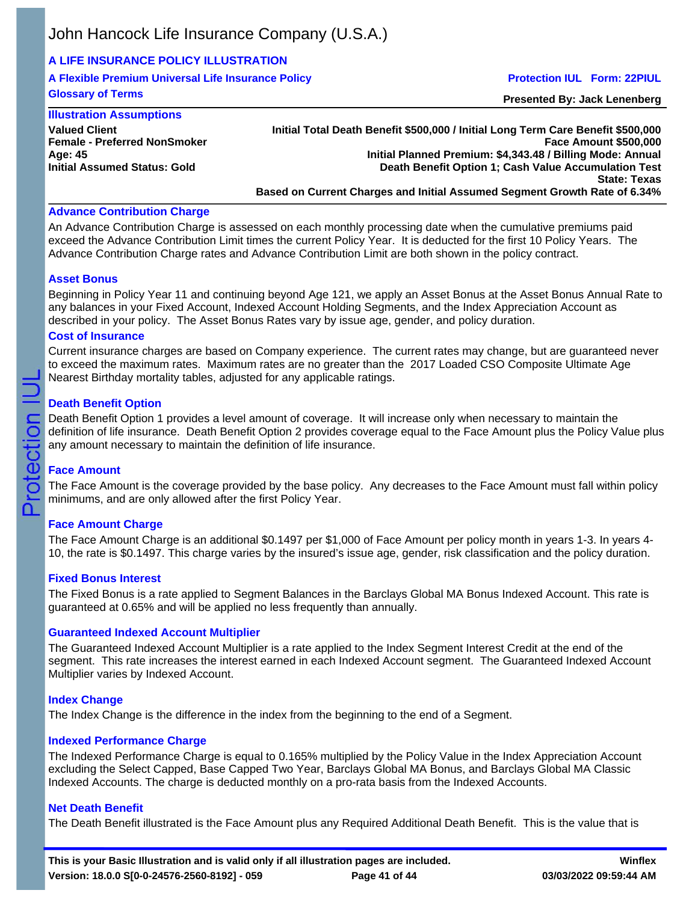## **A LIFE INSURANCE POLICY ILLUSTRATION**

**A Flexible Premium Universal Life Insurance Policy Glossary of Terms**

### **Protection IUL Form: 22PIUL**

**Presented By: Jack Lenenberg**

## **Illustration Assumptions**

**Valued Client Female - Preferred NonSmoker Age: 45 Initial Assumed Status: Gold**

**Initial Total Death Benefit \$500,000 / Initial Long Term Care Benefit \$500,000 Face Amount \$500,000 Initial Planned Premium: \$4,343.48 / Billing Mode: Annual Death Benefit Option 1; Cash Value Accumulation Test State: Texas Based on Current Charges and Initial Assumed Segment Growth Rate of 6.34%**

### **Advance Contribution Charge**

An Advance Contribution Charge is assessed on each monthly processing date when the cumulative premiums paid exceed the Advance Contribution Limit times the current Policy Year. It is deducted for the first 10 Policy Years. The Advance Contribution Charge rates and Advance Contribution Limit are both shown in the policy contract.

## **Asset Bonus**

Beginning in Policy Year 11 and continuing beyond Age 121, we apply an Asset Bonus at the Asset Bonus Annual Rate to any balances in your Fixed Account, Indexed Account Holding Segments, and the Index Appreciation Account as described in your policy. The Asset Bonus Rates vary by issue age, gender, and policy duration.

#### **Cost of Insurance**

Current insurance charges are based on Company experience. The current rates may change, but are guaranteed never to exceed the maximum rates. Maximum rates are no greater than the 2017 Loaded CSO Composite Ultimate Age Nearest Birthday mortality tables, adjusted for any applicable ratings.

### **Death Benefit Option**

Death Benefit Option 1 provides a level amount of coverage. It will increase only when necessary to maintain the definition of life insurance. Death Benefit Option 2 provides coverage equal to the Face Amount plus the Policy Value plus any amount necessary to maintain the definition of life insurance.

## **Face Amount**

Protection

The Face Amount is the coverage provided by the base policy. Any decreases to the Face Amount must fall within policy minimums, and are only allowed after the first Policy Year.

## **Face Amount Charge**

The Face Amount Charge is an additional \$0.1497 per \$1,000 of Face Amount per policy month in years 1-3. In years 4- 10, the rate is \$0.1497. This charge varies by the insured's issue age, gender, risk classification and the policy duration.

### **Fixed Bonus Interest**

The Fixed Bonus is a rate applied to Segment Balances in the Barclays Global MA Bonus Indexed Account. This rate is guaranteed at 0.65% and will be applied no less frequently than annually.

### **Guaranteed Indexed Account Multiplier**

The Guaranteed Indexed Account Multiplier is a rate applied to the Index Segment Interest Credit at the end of the segment. This rate increases the interest earned in each Indexed Account segment. The Guaranteed Indexed Account Multiplier varies by Indexed Account.

### **Index Change**

The Index Change is the difference in the index from the beginning to the end of a Segment.

### **Indexed Performance Charge**

The Indexed Performance Charge is equal to 0.165% multiplied by the Policy Value in the Index Appreciation Account excluding the Select Capped, Base Capped Two Year, Barclays Global MA Bonus, and Barclays Global MA Classic Indexed Accounts. The charge is deducted monthly on a pro-rata basis from the Indexed Accounts.

### **Net Death Benefit**

The Death Benefit illustrated is the Face Amount plus any Required Additional Death Benefit. This is the value that is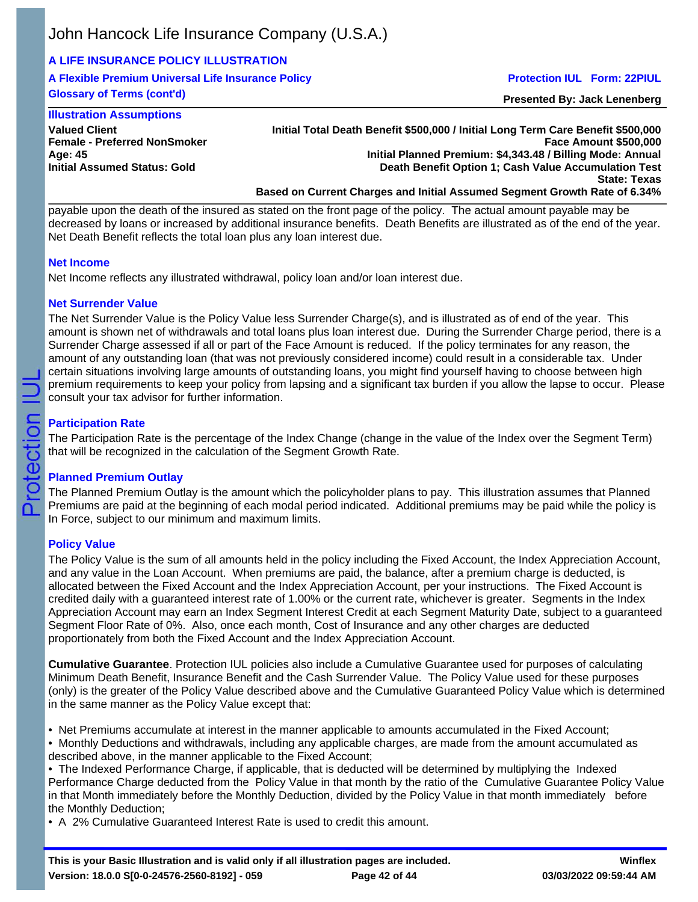## **A LIFE INSURANCE POLICY ILLUSTRATION**

**A Flexible Premium Universal Life Insurance Policy Glossary of Terms (cont'd)**

### **Protection IUL Form: 22PIUL**

**Presented By: Jack Lenenberg**

## **Illustration Assumptions**

**Valued Client Female - Preferred NonSmoker Age: 45 Initial Assumed Status: Gold**

**Initial Total Death Benefit \$500,000 / Initial Long Term Care Benefit \$500,000 Face Amount \$500,000 Initial Planned Premium: \$4,343.48 / Billing Mode: Annual Death Benefit Option 1; Cash Value Accumulation Test State: Texas Based on Current Charges and Initial Assumed Segment Growth Rate of 6.34%**

payable upon the death of the insured as stated on the front page of the policy. The actual amount payable may be decreased by loans or increased by additional insurance benefits. Death Benefits are illustrated as of the end of the year. Net Death Benefit reflects the total loan plus any loan interest due.

### **Net Income**

Net Income reflects any illustrated withdrawal, policy loan and/or loan interest due.

## **Net Surrender Value**

The Net Surrender Value is the Policy Value less Surrender Charge(s), and is illustrated as of end of the year. This amount is shown net of withdrawals and total loans plus loan interest due. During the Surrender Charge period, there is a Surrender Charge assessed if all or part of the Face Amount is reduced. If the policy terminates for any reason, the amount of any outstanding loan (that was not previously considered income) could result in a considerable tax. Under certain situations involving large amounts of outstanding loans, you might find yourself having to choose between high premium requirements to keep your policy from lapsing and a significant tax burden if you allow the lapse to occur. Please consult your tax advisor for further information.

## **Participation Rate**

The Participation Rate is the percentage of the Index Change (change in the value of the Index over the Segment Term) that will be recognized in the calculation of the Segment Growth Rate.

## **Planned Premium Outlay**

The Planned Premium Outlay is the amount which the policyholder plans to pay. This illustration assumes that Planned Premiums are paid at the beginning of each modal period indicated. Additional premiums may be paid while the policy is In Force, subject to our minimum and maximum limits.

## **Policy Value**

The Policy Value is the sum of all amounts held in the policy including the Fixed Account, the Index Appreciation Account, and any value in the Loan Account. When premiums are paid, the balance, after a premium charge is deducted, is allocated between the Fixed Account and the Index Appreciation Account, per your instructions. The Fixed Account is credited daily with a guaranteed interest rate of 1.00% or the current rate, whichever is greater. Segments in the Index Appreciation Account may earn an Index Segment Interest Credit at each Segment Maturity Date, subject to a guaranteed Segment Floor Rate of 0%. Also, once each month, Cost of Insurance and any other charges are deducted proportionately from both the Fixed Account and the Index Appreciation Account.

**Cumulative Guarantee**. Protection IUL policies also include a Cumulative Guarantee used for purposes of calculating Minimum Death Benefit, Insurance Benefit and the Cash Surrender Value. The Policy Value used for these purposes (only) is the greater of the Policy Value described above and the Cumulative Guaranteed Policy Value which is determined in the same manner as the Policy Value except that:

- Net Premiums accumulate at interest in the manner applicable to amounts accumulated in the Fixed Account;
- Monthly Deductions and withdrawals, including any applicable charges, are made from the amount accumulated as described above, in the manner applicable to the Fixed Account;
- The Indexed Performance Charge, if applicable, that is deducted will be determined by multiplying the Indexed Performance Charge deducted from the Policy Value in that month by the ratio of the Cumulative Guarantee Policy Value in that Month immediately before the Monthly Deduction, divided by the Policy Value in that month immediately before the Monthly Deduction;
- A 2% Cumulative Guaranteed Interest Rate is used to credit this amount.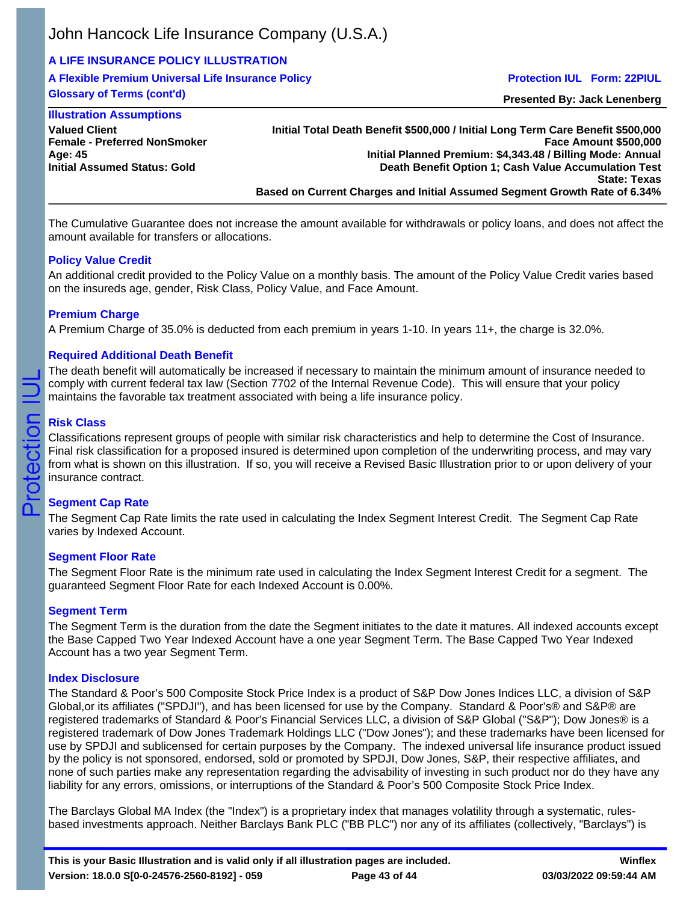## **A LIFE INSURANCE POLICY ILLUSTRATION**

**A Flexible Premium Universal Life Insurance Policy Glossary of Terms (cont'd)**

### **Protection IUL Form: 22PIUL**

**Presented By: Jack Lenenberg**

#### **Illustration Assumptions Valued Client Female - Preferred NonSmoker Age: 45 Initial Assumed Status: Gold**

**Initial Total Death Benefit \$500,000 / Initial Long Term Care Benefit \$500,000 Face Amount \$500,000 Initial Planned Premium: \$4,343.48 / Billing Mode: Annual Death Benefit Option 1; Cash Value Accumulation Test State: Texas Based on Current Charges and Initial Assumed Segment Growth Rate of 6.34%**

The Cumulative Guarantee does not increase the amount available for withdrawals or policy loans, and does not affect the amount available for transfers or allocations.

## **Policy Value Credit**

An additional credit provided to the Policy Value on a monthly basis. The amount of the Policy Value Credit varies based on the insureds age, gender, Risk Class, Policy Value, and Face Amount.

## **Premium Charge**

A Premium Charge of 35.0% is deducted from each premium in years 1-10. In years 11+, the charge is 32.0%.

## **Required Additional Death Benefit**

The death benefit will automatically be increased if necessary to maintain the minimum amount of insurance needed to comply with current federal tax law (Section 7702 of the Internal Revenue Code). This will ensure that your policy maintains the favorable tax treatment associated with being a life insurance policy.

## **Risk Class**

Protection

Classifications represent groups of people with similar risk characteristics and help to determine the Cost of Insurance. Final risk classification for a proposed insured is determined upon completion of the underwriting process, and may vary from what is shown on this illustration. If so, you will receive a Revised Basic Illustration prior to or upon delivery of your insurance contract.

## **Segment Cap Rate**

The Segment Cap Rate limits the rate used in calculating the Index Segment Interest Credit. The Segment Cap Rate varies by Indexed Account.

## **Segment Floor Rate**

The Segment Floor Rate is the minimum rate used in calculating the Index Segment Interest Credit for a segment. The guaranteed Segment Floor Rate for each Indexed Account is 0.00%.

## **Segment Term**

The Segment Term is the duration from the date the Segment initiates to the date it matures. All indexed accounts except the Base Capped Two Year Indexed Account have a one year Segment Term. The Base Capped Two Year Indexed Account has a two year Segment Term.

## **Index Disclosure**

The Standard & Poor's 500 Composite Stock Price Index is a product of S&P Dow Jones Indices LLC, a division of S&P Global,or its affiliates ("SPDJI"), and has been licensed for use by the Company. Standard & Poor's® and S&P® are registered trademarks of Standard & Poor's Financial Services LLC, a division of S&P Global ("S&P"); Dow Jones® is a registered trademark of Dow Jones Trademark Holdings LLC ("Dow Jones"); and these trademarks have been licensed for use by SPDJI and sublicensed for certain purposes by the Company. The indexed universal life insurance product issued by the policy is not sponsored, endorsed, sold or promoted by SPDJI, Dow Jones, S&P, their respective affiliates, and none of such parties make any representation regarding the advisability of investing in such product nor do they have any liability for any errors, omissions, or interruptions of the Standard & Poor's 500 Composite Stock Price Index.

The Barclays Global MA Index (the "Index") is a proprietary index that manages volatility through a systematic, rulesbased investments approach. Neither Barclays Bank PLC ("BB PLC") nor any of its affiliates (collectively, "Barclays") is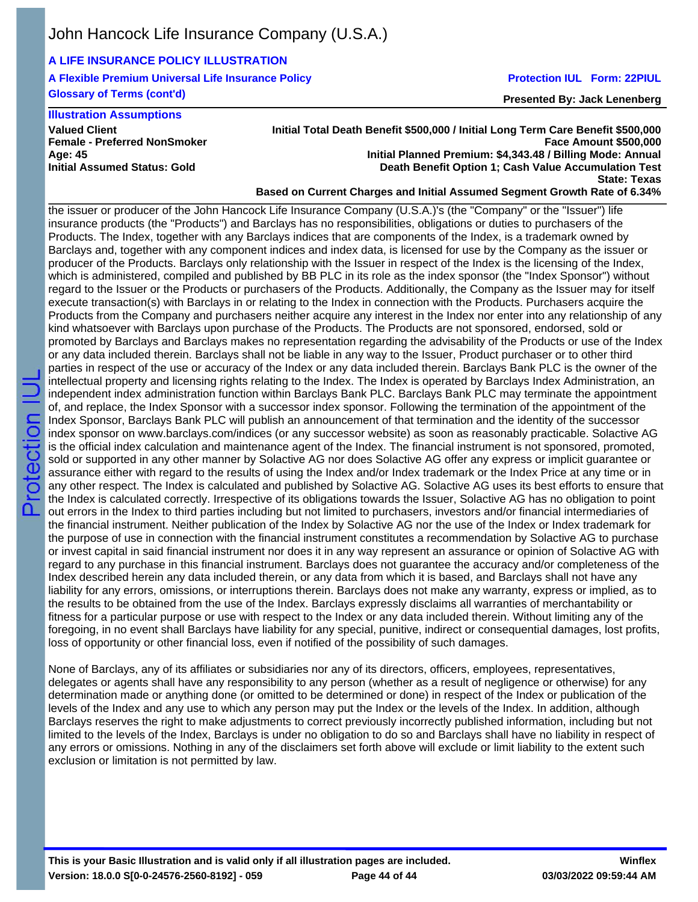## **A LIFE INSURANCE POLICY ILLUSTRATION**

**A Flexible Premium Universal Life Insurance Policy Glossary of Terms (cont'd)**

## **Protection IUL Form: 22PIUL**

**Presented By: Jack Lenenberg**

## **Illustration Assumptions**

**Valued Client Female - Preferred NonSmoker Age: 45 Initial Assumed Status: Gold**

### **Initial Total Death Benefit \$500,000 / Initial Long Term Care Benefit \$500,000 Face Amount \$500,000 Initial Planned Premium: \$4,343.48 / Billing Mode: Annual Death Benefit Option 1; Cash Value Accumulation Test State: Texas**

**Based on Current Charges and Initial Assumed Segment Growth Rate of 6.34%**

the issuer or producer of the John Hancock Life Insurance Company (U.S.A.)'s (the "Company" or the "Issuer") life insurance products (the "Products") and Barclays has no responsibilities, obligations or duties to purchasers of the Products. The Index, together with any Barclays indices that are components of the Index, is a trademark owned by Barclays and, together with any component indices and index data, is licensed for use by the Company as the issuer or producer of the Products. Barclays only relationship with the Issuer in respect of the Index is the licensing of the Index, which is administered, compiled and published by BB PLC in its role as the index sponsor (the "Index Sponsor") without regard to the Issuer or the Products or purchasers of the Products. Additionally, the Company as the Issuer may for itself execute transaction(s) with Barclays in or relating to the Index in connection with the Products. Purchasers acquire the Products from the Company and purchasers neither acquire any interest in the Index nor enter into any relationship of any kind whatsoever with Barclays upon purchase of the Products. The Products are not sponsored, endorsed, sold or promoted by Barclays and Barclays makes no representation regarding the advisability of the Products or use of the Index or any data included therein. Barclays shall not be liable in any way to the Issuer, Product purchaser or to other third parties in respect of the use or accuracy of the Index or any data included therein. Barclays Bank PLC is the owner of the intellectual property and licensing rights relating to the Index. The Index is operated by Barclays Index Administration, an independent index administration function within Barclays Bank PLC. Barclays Bank PLC may terminate the appointment of, and replace, the Index Sponsor with a successor index sponsor. Following the termination of the appointment of the Index Sponsor, Barclays Bank PLC will publish an announcement of that termination and the identity of the successor index sponsor on www.barclays.com/indices (or any successor website) as soon as reasonably practicable. Solactive AG is the official index calculation and maintenance agent of the Index. The financial instrument is not sponsored, promoted, sold or supported in any other manner by Solactive AG nor does Solactive AG offer any express or implicit guarantee or assurance either with regard to the results of using the Index and/or Index trademark or the Index Price at any time or in any other respect. The Index is calculated and published by Solactive AG. Solactive AG uses its best efforts to ensure that the Index is calculated correctly. Irrespective of its obligations towards the Issuer, Solactive AG has no obligation to point out errors in the Index to third parties including but not limited to purchasers, investors and/or financial intermediaries of the financial instrument. Neither publication of the Index by Solactive AG nor the use of the Index or Index trademark for the purpose of use in connection with the financial instrument constitutes a recommendation by Solactive AG to purchase or invest capital in said financial instrument nor does it in any way represent an assurance or opinion of Solactive AG with regard to any purchase in this financial instrument. Barclays does not guarantee the accuracy and/or completeness of the Index described herein any data included therein, or any data from which it is based, and Barclays shall not have any liability for any errors, omissions, or interruptions therein. Barclays does not make any warranty, express or implied, as to the results to be obtained from the use of the Index. Barclays expressly disclaims all warranties of merchantability or fitness for a particular purpose or use with respect to the Index or any data included therein. Without limiting any of the foregoing, in no event shall Barclays have liability for any special, punitive, indirect or consequential damages, lost profits, loss of opportunity or other financial loss, even if notified of the possibility of such damages.

None of Barclays, any of its affiliates or subsidiaries nor any of its directors, officers, employees, representatives, delegates or agents shall have any responsibility to any person (whether as a result of negligence or otherwise) for any determination made or anything done (or omitted to be determined or done) in respect of the Index or publication of the levels of the Index and any use to which any person may put the Index or the levels of the Index. In addition, although Barclays reserves the right to make adjustments to correct previously incorrectly published information, including but not limited to the levels of the Index, Barclays is under no obligation to do so and Barclays shall have no liability in respect of any errors or omissions. Nothing in any of the disclaimers set forth above will exclude or limit liability to the extent such exclusion or limitation is not permitted by law.

**This is your Basic Illustration and is valid only if all illustration pages are included. Version: 18.0.0 S[0-0-24576-2560-8192] - 059**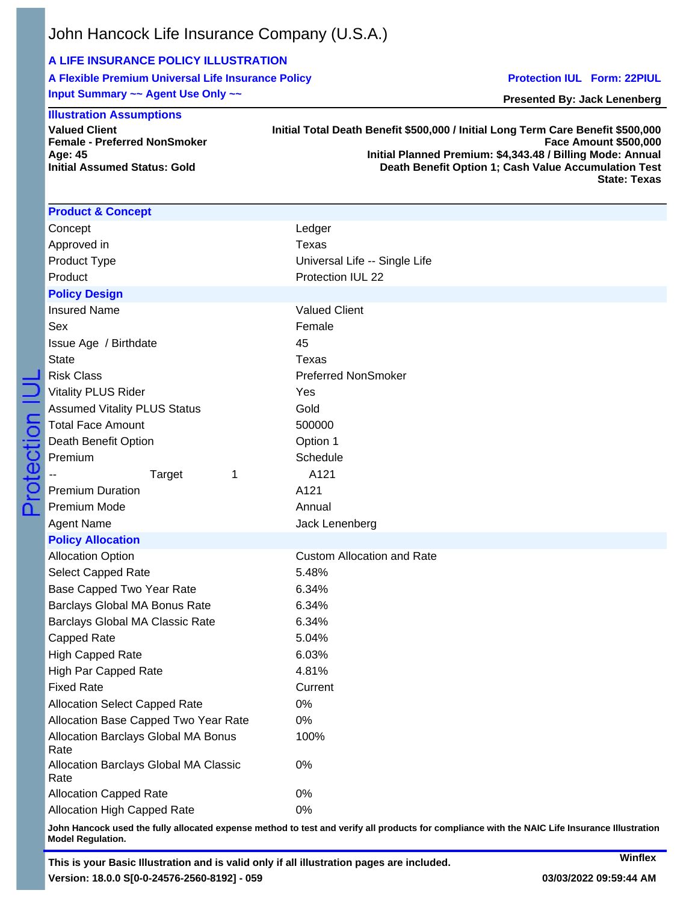## **A LIFE INSURANCE POLICY ILLUSTRATION**

**A Flexible Premium Universal Life Insurance Policy Input Summary ~~ Agent Use Only ~~**

### **Illustration Assumptions**

**Initial Assumed Status: Gold**

**Valued Client**

**Age: 45**

**Protection IUL Form: 22PIUL**

**Presented By: Jack Lenenberg**

#### **Female - Preferred NonSmoker Initial Total Death Benefit \$500,000 / Initial Long Term Care Benefit \$500,000 Face Amount \$500,000 Initial Planned Premium: \$4,343.48 / Billing Mode: Annual Death Benefit Option 1; Cash Value Accumulation Test State: Texas**

| <b>Product &amp; Concept</b>                  |                                   |
|-----------------------------------------------|-----------------------------------|
| Concept                                       | Ledger                            |
| Approved in                                   | <b>Texas</b>                      |
| Product Type                                  | Universal Life -- Single Life     |
| Product                                       | Protection IUL 22                 |
| <b>Policy Design</b>                          |                                   |
| <b>Insured Name</b>                           | <b>Valued Client</b>              |
| Sex                                           | Female                            |
| Issue Age / Birthdate                         | 45                                |
| <b>State</b>                                  | <b>Texas</b>                      |
| <b>Risk Class</b>                             | <b>Preferred NonSmoker</b>        |
| <b>Vitality PLUS Rider</b>                    | Yes                               |
| <b>Assumed Vitality PLUS Status</b>           | Gold                              |
| <b>Total Face Amount</b>                      | 500000                            |
| Death Benefit Option                          | Option 1                          |
| Premium                                       | Schedule                          |
| Target<br>1                                   | A121                              |
| <b>Premium Duration</b>                       | A121                              |
| Premium Mode                                  | Annual                            |
| <b>Agent Name</b>                             | Jack Lenenberg                    |
| <b>Policy Allocation</b>                      |                                   |
| <b>Allocation Option</b>                      | <b>Custom Allocation and Rate</b> |
| <b>Select Capped Rate</b>                     | 5.48%                             |
| Base Capped Two Year Rate                     | 6.34%                             |
| Barclays Global MA Bonus Rate                 | 6.34%                             |
| Barclays Global MA Classic Rate               | 6.34%                             |
| Capped Rate                                   | 5.04%                             |
| High Capped Rate                              | 6.03%                             |
| <b>High Par Capped Rate</b>                   | 4.81%                             |
| <b>Fixed Rate</b>                             | Current                           |
| <b>Allocation Select Capped Rate</b>          | $0\%$                             |
| Allocation Base Capped Two Year Rate          | $0\%$                             |
| Allocation Barclays Global MA Bonus<br>Rate   | 100%                              |
| Allocation Barclays Global MA Classic<br>Rate | 0%                                |
| <b>Allocation Capped Rate</b>                 | 0%                                |
| Allocation High Capped Rate                   | 0%                                |

**John Hancock used the fully allocated expense method to test and verify all products for compliance with the NAIC Life Insurance Illustration Model Regulation.**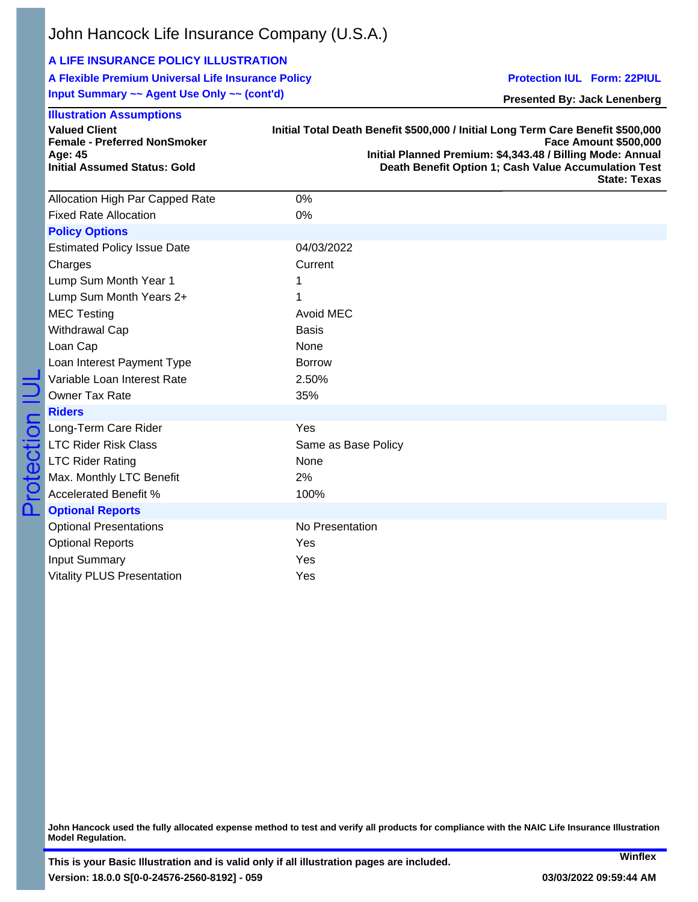# **A LIFE INSURANCE POLICY ILLUSTRATION**

**A Flexible Premium Universal Life Insurance Policy Input Summary ~~ Agent Use Only ~~ (cont'd)**

**Protection IUL Form: 22PIUL**

**Presented By: Jack Lenenberg**

| <b>Illustration Assumptions</b><br><b>Valued Client</b> | Initial Total Death Benefit \$500,000 / Initial Long Term Care Benefit \$500,000 |
|---------------------------------------------------------|----------------------------------------------------------------------------------|
| <b>Female - Preferred NonSmoker</b>                     | <b>Face Amount \$500,000</b>                                                     |
| Age: 45                                                 | Initial Planned Premium: \$4,343.48 / Billing Mode: Annual                       |
| <b>Initial Assumed Status: Gold</b>                     | Death Benefit Option 1; Cash Value Accumulation Test<br><b>State: Texas</b>      |
| Allocation High Par Capped Rate                         | 0%                                                                               |
| <b>Fixed Rate Allocation</b>                            | 0%                                                                               |
| <b>Policy Options</b>                                   |                                                                                  |
| <b>Estimated Policy Issue Date</b>                      | 04/03/2022                                                                       |
| Charges                                                 | Current                                                                          |
| Lump Sum Month Year 1                                   | 1                                                                                |
| Lump Sum Month Years 2+                                 | 1                                                                                |
| <b>MEC Testing</b>                                      | Avoid MEC                                                                        |
| Withdrawal Cap                                          | <b>Basis</b>                                                                     |
| Loan Cap                                                | None                                                                             |
| Loan Interest Payment Type                              | <b>Borrow</b>                                                                    |
| Variable Loan Interest Rate                             | 2.50%                                                                            |
| <b>Owner Tax Rate</b>                                   | 35%                                                                              |
| <b>Riders</b>                                           |                                                                                  |
| Long-Term Care Rider                                    | Yes                                                                              |
| <b>LTC Rider Risk Class</b>                             | Same as Base Policy                                                              |
| <b>LTC Rider Rating</b>                                 | None                                                                             |
| Max. Monthly LTC Benefit                                | 2%                                                                               |
| <b>Accelerated Benefit %</b>                            | 100%                                                                             |
| <b>Optional Reports</b>                                 |                                                                                  |
| <b>Optional Presentations</b>                           | No Presentation                                                                  |
| <b>Optional Reports</b>                                 | Yes                                                                              |
| <b>Input Summary</b>                                    | Yes                                                                              |
| <b>Vitality PLUS Presentation</b>                       | Yes                                                                              |

**John Hancock used the fully allocated expense method to test and verify all products for compliance with the NAIC Life Insurance Illustration Model Regulation.**

**Winflex**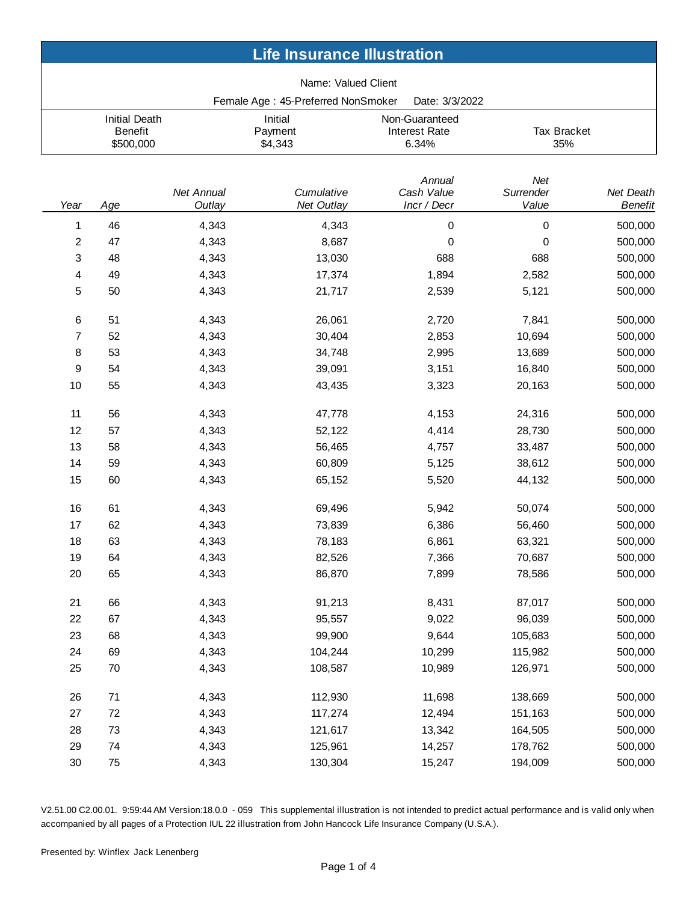| <b>Life Insurance Illustration</b> |                                                     |                      |                                    |                                                 |                           |                             |
|------------------------------------|-----------------------------------------------------|----------------------|------------------------------------|-------------------------------------------------|---------------------------|-----------------------------|
|                                    |                                                     |                      | Name: Valued Client                |                                                 |                           |                             |
|                                    |                                                     |                      | Female Age: 45-Preferred NonSmoker | Date: 3/3/2022                                  |                           |                             |
|                                    | <b>Initial Death</b><br><b>Benefit</b><br>\$500,000 |                      | Initial<br>Payment<br>\$4,343      | Non-Guaranteed<br><b>Interest Rate</b><br>6.34% | Tax Bracket<br>35%        |                             |
| Year                               | Age                                                 | Net Annual<br>Outlay | Cumulative<br>Net Outlay           | Annual<br>Cash Value<br>Incr / Decr             | Net<br>Surrender<br>Value | Net Death<br><b>Benefit</b> |
| 1                                  | 46                                                  | 4,343                | 4,343                              | 0                                               | 0                         | 500,000                     |
| 2                                  | 47                                                  | 4,343                | 8,687                              | 0                                               | $\mathbf 0$               | 500,000                     |
| 3                                  | 48                                                  | 4,343                | 13,030                             | 688                                             | 688                       | 500,000                     |
| 4                                  | 49                                                  | 4,343                | 17,374                             | 1,894                                           | 2,582                     | 500,000                     |
| 5                                  | 50                                                  | 4,343                | 21,717                             | 2,539                                           | 5,121                     | 500,000                     |
| 6                                  | 51                                                  | 4,343                | 26,061                             | 2,720                                           | 7,841                     | 500,000                     |
| 7                                  | 52                                                  | 4,343                | 30,404                             | 2,853                                           | 10,694                    | 500,000                     |
| 8                                  | 53                                                  | 4,343                | 34,748                             | 2,995                                           | 13,689                    | 500,000                     |
| 9                                  | 54                                                  | 4,343                | 39,091                             | 3,151                                           | 16,840                    | 500,000                     |
| 10                                 | 55                                                  | 4,343                | 43,435                             | 3,323                                           | 20,163                    | 500,000                     |
| 11                                 | 56                                                  | 4,343                | 47,778                             | 4,153                                           | 24,316                    | 500,000                     |
| 12                                 | 57                                                  | 4,343                | 52,122                             | 4,414                                           | 28,730                    | 500,000                     |
| 13                                 | 58                                                  | 4,343                | 56,465                             | 4,757                                           | 33,487                    | 500,000                     |
| 14                                 | 59                                                  | 4,343                | 60,809                             | 5,125                                           | 38,612                    | 500,000                     |
| 15                                 | 60                                                  | 4,343                | 65,152                             | 5,520                                           | 44,132                    | 500,000                     |
| 16                                 | 61                                                  | 4,343                | 69,496                             | 5,942                                           | 50,074                    | 500,000                     |
| 17                                 | 62                                                  | 4,343                | 73,839                             | 6,386                                           | 56,460                    | 500,000                     |
| 18                                 | 63                                                  | 4,343                | 78,183                             | 6,861                                           | 63,321                    | 500,000                     |
| 19                                 | 64                                                  | 4,343                | 82,526                             | 7,366                                           | 70,687                    | 500,000                     |
| $20\,$                             | 65                                                  | 4,343                | 86,870                             | 7,899                                           | 78,586                    | 500,000                     |
| 21                                 | 66                                                  | 4,343                | 91,213                             | 8,431                                           | 87,017                    | 500,000                     |
| 22                                 | 67                                                  | 4,343                | 95,557                             | 9,022                                           | 96,039                    | 500,000                     |
| 23                                 | 68                                                  | 4,343                | 99,900                             | 9,644                                           | 105,683                   | 500,000                     |
| 24                                 | 69                                                  | 4,343                | 104,244                            | 10,299                                          | 115,982                   | 500,000                     |
| 25                                 | 70                                                  | 4,343                | 108,587                            | 10,989                                          | 126,971                   | 500,000                     |
| 26                                 | 71                                                  | 4,343                | 112,930                            | 11,698                                          | 138,669                   | 500,000                     |
| 27                                 | $72\,$                                              | 4,343                | 117,274                            | 12,494                                          | 151,163                   | 500,000                     |
| 28                                 | 73                                                  | 4,343                | 121,617                            | 13,342                                          | 164,505                   | 500,000                     |
| 29                                 | 74                                                  | 4,343                | 125,961                            | 14,257                                          | 178,762                   | 500,000                     |
| $30\,$                             | 75                                                  | 4,343                | 130,304                            | 15,247                                          | 194,009                   | 500,000                     |

V2.51.00 C2.00.01. 9:59:44 AM Version:18.0.0 - 059 This supplemental illustration is not intended to predict actual performance and is valid only when accompanied by all pages of a Protection IUL 22 illustration from John Hancock Life Insurance Company (U.S.A.).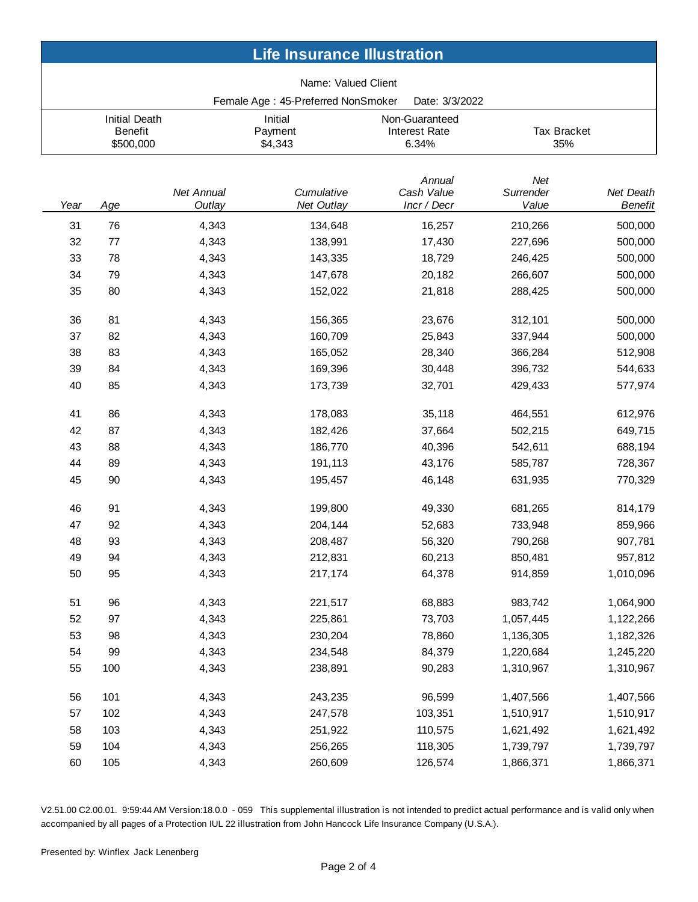| <b>Life Insurance Illustration</b> |                                                     |                      |                                    |                                          |                           |                             |
|------------------------------------|-----------------------------------------------------|----------------------|------------------------------------|------------------------------------------|---------------------------|-----------------------------|
|                                    |                                                     |                      | Name: Valued Client                |                                          |                           |                             |
|                                    |                                                     |                      | Female Age: 45-Preferred NonSmoker | Date: 3/3/2022                           |                           |                             |
|                                    | <b>Initial Death</b><br><b>Benefit</b><br>\$500,000 |                      | Initial<br>Payment<br>\$4,343      | Non-Guaranteed<br>Interest Rate<br>6.34% | <b>Tax Bracket</b><br>35% |                             |
| Year                               | Age                                                 | Net Annual<br>Outlay | Cumulative<br>Net Outlay           | Annual<br>Cash Value<br>Incr / Decr      | Net<br>Surrender<br>Value | Net Death<br><b>Benefit</b> |
| 31                                 | 76                                                  | 4,343                | 134,648                            | 16,257                                   | 210,266                   | 500,000                     |
| 32                                 | 77                                                  | 4,343                | 138,991                            | 17,430                                   | 227,696                   | 500,000                     |
| 33                                 | 78                                                  | 4,343                | 143,335                            | 18,729                                   | 246,425                   | 500,000                     |
| 34                                 | 79                                                  | 4,343                | 147,678                            | 20,182                                   | 266,607                   | 500,000                     |
| 35                                 | 80                                                  | 4,343                | 152,022                            | 21,818                                   | 288,425                   | 500,000                     |
| 36                                 | 81                                                  | 4,343                | 156,365                            | 23,676                                   | 312,101                   | 500,000                     |
| 37                                 | 82                                                  | 4,343                | 160,709                            | 25,843                                   | 337,944                   | 500,000                     |
| 38                                 | 83                                                  | 4,343                | 165,052                            | 28,340                                   | 366,284                   | 512,908                     |
| 39                                 | 84                                                  | 4,343                | 169,396                            | 30,448                                   | 396,732                   | 544,633                     |
| 40                                 | 85                                                  | 4,343                | 173,739                            | 32,701                                   | 429,433                   | 577,974                     |
| 41                                 | 86                                                  | 4,343                | 178,083                            | 35,118                                   | 464,551                   | 612,976                     |
| 42                                 | 87                                                  | 4,343                | 182,426                            | 37,664                                   | 502,215                   | 649,715                     |
| 43                                 | 88                                                  | 4,343                | 186,770                            | 40,396                                   | 542,611                   | 688,194                     |
| 44                                 | 89                                                  | 4,343                | 191,113                            | 43,176                                   | 585,787                   | 728,367                     |
| 45                                 | 90                                                  | 4,343                | 195,457                            | 46,148                                   | 631,935                   | 770,329                     |
| 46                                 | 91                                                  | 4,343                | 199,800                            | 49,330                                   | 681,265                   | 814,179                     |
| 47                                 | 92                                                  | 4,343                | 204,144                            | 52,683                                   | 733,948                   | 859,966                     |
| 48                                 | 93                                                  | 4,343                | 208,487                            | 56,320                                   | 790,268                   | 907,781                     |
| 49                                 | 94                                                  | 4,343                | 212,831                            | 60,213                                   | 850,481                   | 957,812                     |
| 50                                 | 95                                                  | 4,343                | 217,174                            | 64,378                                   | 914,859                   | 1,010,096                   |
| 51                                 | 96                                                  | 4,343                | 221,517                            | 68,883                                   | 983,742                   | 1,064,900                   |
| 52                                 | 97                                                  | 4,343                | 225,861                            | 73,703                                   | 1,057,445                 | 1,122,266                   |
| 53                                 | 98                                                  | 4,343                | 230,204                            | 78,860                                   | 1,136,305                 | 1,182,326                   |
| 54                                 | 99                                                  | 4,343                | 234,548                            | 84,379                                   | 1,220,684                 | 1,245,220                   |
| 55                                 | 100                                                 | 4,343                | 238,891                            | 90,283                                   | 1,310,967                 | 1,310,967                   |
| 56                                 | 101                                                 | 4,343                | 243,235                            | 96,599                                   | 1,407,566                 | 1,407,566                   |
| 57                                 | 102                                                 | 4,343                | 247,578                            | 103,351                                  | 1,510,917                 | 1,510,917                   |
| 58                                 | 103                                                 | 4,343                | 251,922                            | 110,575                                  | 1,621,492                 | 1,621,492                   |
| 59                                 | 104                                                 | 4,343                | 256,265                            | 118,305                                  | 1,739,797                 | 1,739,797                   |
| 60                                 | 105                                                 | 4,343                | 260,609                            | 126,574                                  | 1,866,371                 | 1,866,371                   |

V2.51.00 C2.00.01. 9:59:44 AM Version:18.0.0 - 059 This supplemental illustration is not intended to predict actual performance and is valid only when accompanied by all pages of a Protection IUL 22 illustration from John Hancock Life Insurance Company (U.S.A.).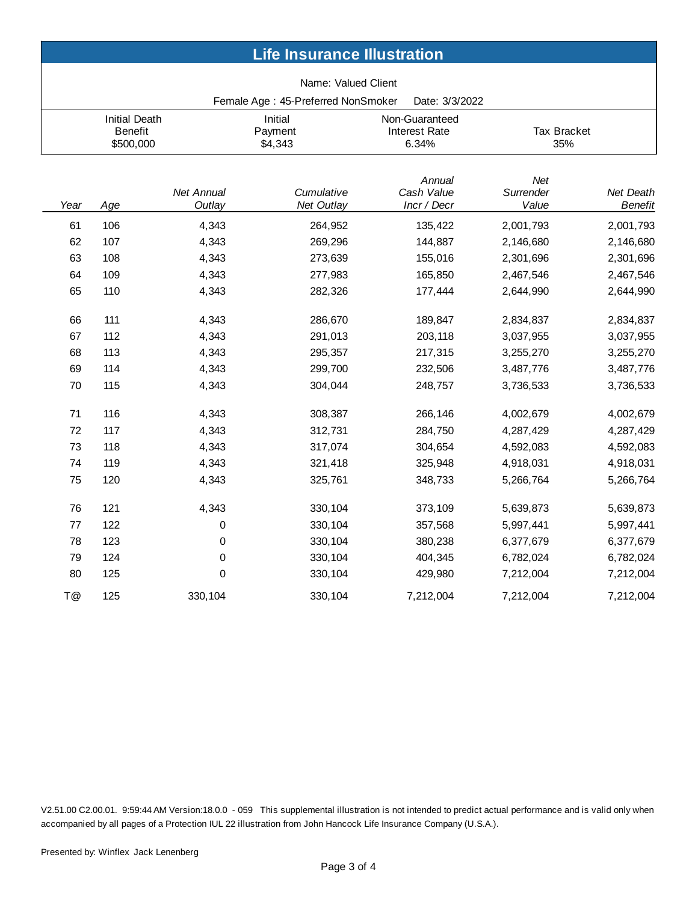| <b>Life Insurance Illustration</b> |                                                     |                             |                                    |                                                 |                           |                             |
|------------------------------------|-----------------------------------------------------|-----------------------------|------------------------------------|-------------------------------------------------|---------------------------|-----------------------------|
|                                    |                                                     |                             | Name: Valued Client                |                                                 |                           |                             |
|                                    |                                                     |                             | Female Age: 45-Preferred NonSmoker | Date: 3/3/2022                                  |                           |                             |
|                                    | <b>Initial Death</b><br><b>Benefit</b><br>\$500,000 |                             | Initial<br>Payment<br>\$4,343      | Non-Guaranteed<br><b>Interest Rate</b><br>6.34% | <b>Tax Bracket</b><br>35% |                             |
| Year                               | Age                                                 | <b>Net Annual</b><br>Outlay | Cumulative<br>Net Outlay           | Annual<br>Cash Value<br>Incr / Decr             | Net<br>Surrender<br>Value | Net Death<br><b>Benefit</b> |
| 61                                 | 106                                                 | 4,343                       | 264,952                            | 135,422                                         | 2,001,793                 | 2,001,793                   |
| 62                                 | 107                                                 | 4,343                       | 269,296                            | 144,887                                         | 2,146,680                 | 2,146,680                   |
| 63                                 | 108                                                 | 4,343                       | 273,639                            | 155,016                                         | 2,301,696                 | 2,301,696                   |
| 64                                 | 109                                                 | 4,343                       | 277,983                            | 165,850                                         | 2,467,546                 | 2,467,546                   |
| 65                                 | 110                                                 | 4,343                       | 282,326                            | 177,444                                         | 2,644,990                 | 2,644,990                   |
| 66                                 | 111                                                 | 4,343                       | 286,670                            | 189,847                                         | 2,834,837                 | 2,834,837                   |
| 67                                 | 112                                                 | 4,343                       | 291,013                            | 203,118                                         | 3,037,955                 | 3,037,955                   |
| 68                                 | 113                                                 | 4,343                       | 295,357                            | 217,315                                         | 3,255,270                 | 3,255,270                   |
| 69                                 | 114                                                 | 4,343                       | 299,700                            | 232,506                                         | 3,487,776                 | 3,487,776                   |
| 70                                 | 115                                                 | 4,343                       | 304,044                            | 248,757                                         | 3,736,533                 | 3,736,533                   |
| 71                                 | 116                                                 | 4,343                       | 308,387                            | 266,146                                         | 4,002,679                 | 4,002,679                   |
| 72                                 | 117                                                 | 4,343                       | 312,731                            | 284,750                                         | 4,287,429                 | 4,287,429                   |
| 73                                 | 118                                                 | 4,343                       | 317,074                            | 304,654                                         | 4,592,083                 | 4,592,083                   |
| 74                                 | 119                                                 | 4,343                       | 321,418                            | 325,948                                         | 4,918,031                 | 4,918,031                   |
| 75                                 | 120                                                 | 4,343                       | 325,761                            | 348,733                                         | 5,266,764                 | 5,266,764                   |
| 76                                 | 121                                                 | 4,343                       | 330,104                            | 373,109                                         | 5,639,873                 | 5,639,873                   |
| 77                                 | 122                                                 | 0                           | 330,104                            | 357,568                                         | 5,997,441                 | 5,997,441                   |
| 78                                 | 123                                                 | 0                           | 330,104                            | 380,238                                         | 6,377,679                 | 6,377,679                   |
| 79                                 | 124                                                 | 0                           | 330,104                            | 404,345                                         | 6,782,024                 | 6,782,024                   |
| 80                                 | 125                                                 | 0                           | 330,104                            | 429,980                                         | 7,212,004                 | 7,212,004                   |
| T@                                 | 125                                                 | 330,104                     | 330,104                            | 7,212,004                                       | 7,212,004                 | 7,212,004                   |

V2.51.00 C2.00.01. 9:59:44 AM Version:18.0.0 - 059 This supplemental illustration is not intended to predict actual performance and is valid only when accompanied by all pages of a Protection IUL 22 illustration from John Hancock Life Insurance Company (U.S.A.).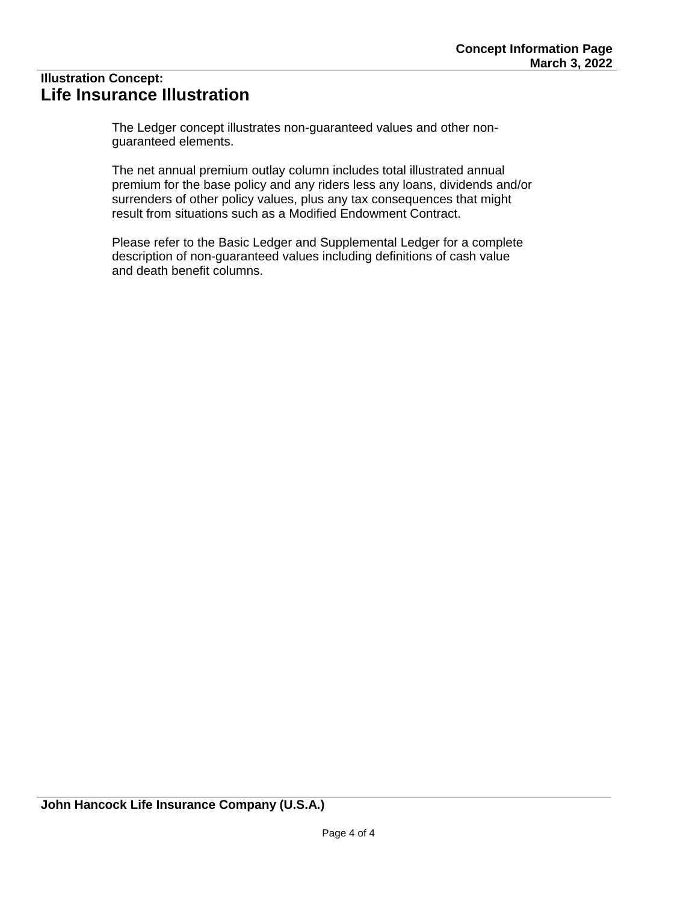# **Illustration Concept: Life Insurance Illustration**

The Ledger concept illustrates non-guaranteed values and other nonguaranteed elements.

The net annual premium outlay column includes total illustrated annual premium for the base policy and any riders less any loans, dividends and/or surrenders of other policy values, plus any tax consequences that might result from situations such as a Modified Endowment Contract.

Please refer to the Basic Ledger and Supplemental Ledger for a complete description of non-guaranteed values including definitions of cash value and death benefit columns.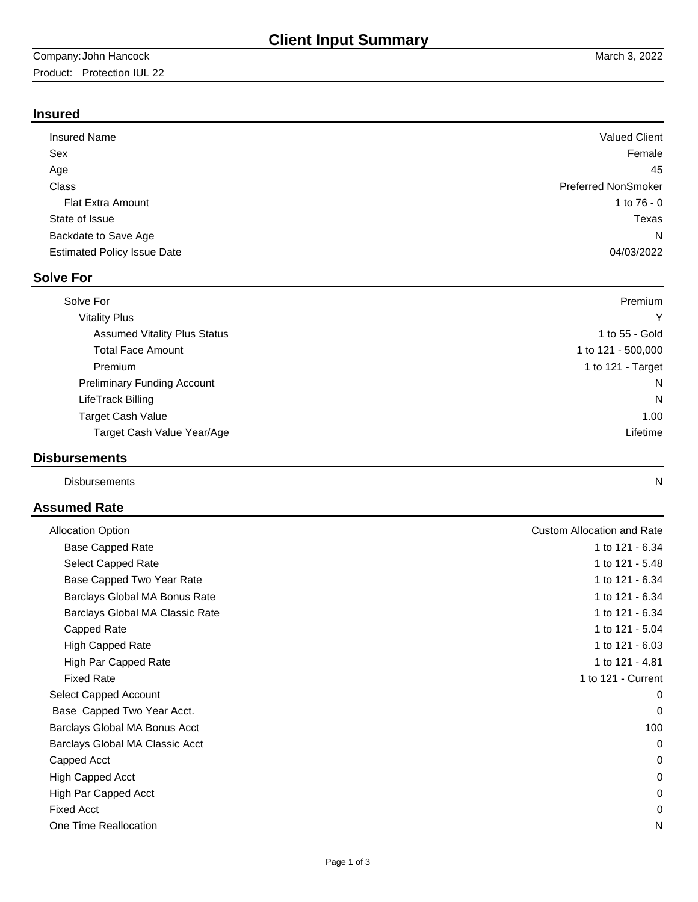# **Insured**

| <b>Insured Name</b>                | <b>Valued Client</b>       |
|------------------------------------|----------------------------|
| Sex                                | Female                     |
| Age                                | 45                         |
| Class                              | <b>Preferred NonSmoker</b> |
| <b>Flat Extra Amount</b>           | 1 to $76 - 0$              |
| State of Issue                     | Texas                      |
| Backdate to Save Age               | N                          |
| <b>Estimated Policy Issue Date</b> | 04/03/2022                 |
|                                    |                            |

# **Solve For**

| Solve For                           | Premium            |
|-------------------------------------|--------------------|
| <b>Vitality Plus</b>                | Y                  |
| <b>Assumed Vitality Plus Status</b> | 1 to 55 - Gold     |
| <b>Total Face Amount</b>            | 1 to 121 - 500,000 |
| Premium                             | 1 to 121 - Target  |
| <b>Preliminary Funding Account</b>  | N                  |
| LifeTrack Billing                   | N                  |
| <b>Target Cash Value</b>            | 1.00               |
| Target Cash Value Year/Age          | Lifetime           |

## **Disbursements**

Disbursements N

# **Assumed Rate**

| <b>Allocation Option</b>        | <b>Custom Allocation and Rate</b> |
|---------------------------------|-----------------------------------|
| <b>Base Capped Rate</b>         | 1 to 121 - 6.34                   |
| Select Capped Rate              | 1 to 121 - 5.48                   |
| Base Capped Two Year Rate       | 1 to 121 - 6.34                   |
| Barclays Global MA Bonus Rate   | 1 to 121 - 6.34                   |
| Barclays Global MA Classic Rate | 1 to 121 - 6.34                   |
| Capped Rate                     | 1 to 121 - 5.04                   |
| High Capped Rate                | 1 to 121 - 6.03                   |
| High Par Capped Rate            | 1 to 121 - 4.81                   |
| <b>Fixed Rate</b>               | 1 to 121 - Current                |
| Select Capped Account           | 0                                 |
| Base Capped Two Year Acct.      | 0                                 |
| Barclays Global MA Bonus Acct   | 100                               |
| Barclays Global MA Classic Acct | 0                                 |
| Capped Acct                     | 0                                 |
| High Capped Acct                | 0                                 |
| High Par Capped Acct            | 0                                 |
| <b>Fixed Acct</b>               | 0                                 |
| One Time Reallocation           | N                                 |
|                                 |                                   |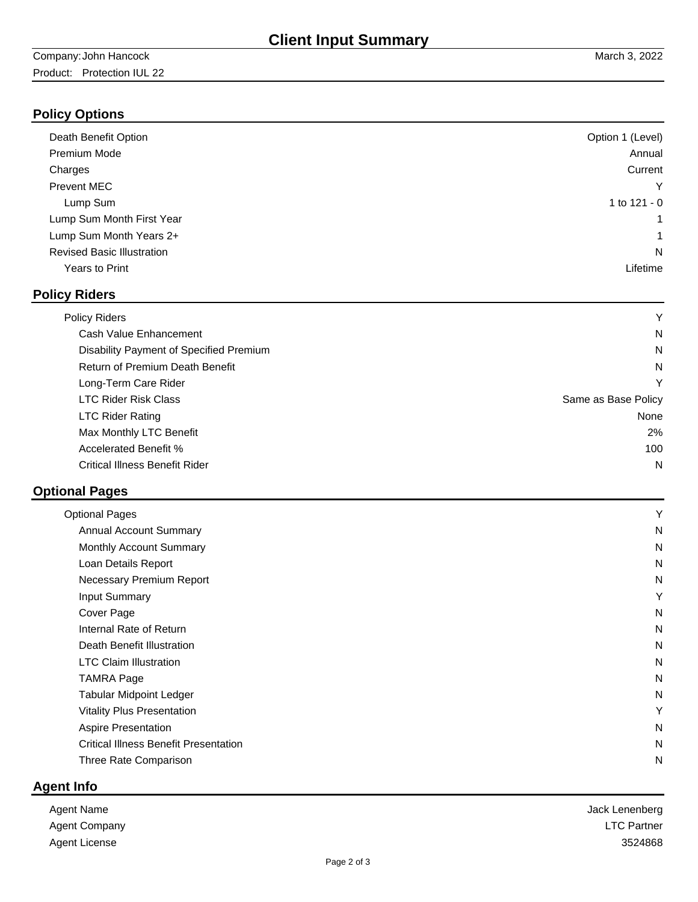# **Policy Options**

| Death Benefit Option              | Option 1 (Level) |
|-----------------------------------|------------------|
| <b>Premium Mode</b>               | Annual           |
| Charges                           | Current          |
| <b>Prevent MEC</b>                | Υ                |
| Lump Sum                          | 1 to 121 - 0     |
| Lump Sum Month First Year         | 1                |
| Lump Sum Month Years 2+           | 1                |
| <b>Revised Basic Illustration</b> | N                |
| Years to Print                    | Lifetime         |
|                                   |                  |

## **Policy Riders**

| <b>Policy Riders</b>                    | Y                   |
|-----------------------------------------|---------------------|
| Cash Value Enhancement                  | N                   |
| Disability Payment of Specified Premium | N                   |
| Return of Premium Death Benefit         | N                   |
| Long-Term Care Rider                    | Υ                   |
| <b>LTC Rider Risk Class</b>             | Same as Base Policy |
| <b>LTC Rider Rating</b>                 | None                |
| Max Monthly LTC Benefit                 | 2%                  |
| <b>Accelerated Benefit %</b>            | 100                 |
| <b>Critical Illness Benefit Rider</b>   | N                   |

# **Optional Pages**

| <b>Optional Pages</b>                        | Υ |
|----------------------------------------------|---|
| <b>Annual Account Summary</b>                | N |
| Monthly Account Summary                      | N |
| Loan Details Report                          | N |
| Necessary Premium Report                     | N |
| <b>Input Summary</b>                         | Y |
| Cover Page                                   | N |
| Internal Rate of Return                      | N |
| Death Benefit Illustration                   | N |
| <b>LTC Claim Illustration</b>                | N |
| <b>TAMRA Page</b>                            | N |
| <b>Tabular Midpoint Ledger</b>               | N |
| <b>Vitality Plus Presentation</b>            | Y |
| <b>Aspire Presentation</b>                   | N |
| <b>Critical Illness Benefit Presentation</b> | N |
| Three Rate Comparison                        | N |
|                                              |   |

# **Agent Info**

| Agent Name           | Jack Lenenberg     |
|----------------------|--------------------|
| <b>Agent Company</b> | <b>LTC Partner</b> |
| Agent License        | 3524868            |